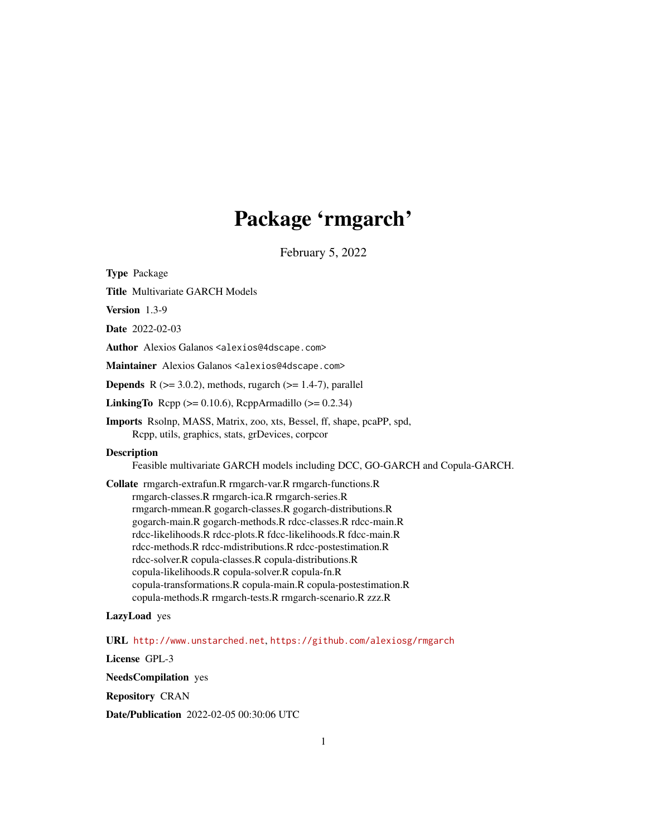# Package 'rmgarch'

February 5, 2022

<span id="page-0-0"></span>Type Package

Title Multivariate GARCH Models

Version 1.3-9

Date 2022-02-03

Author Alexios Galanos <alexios@4dscape.com>

Maintainer Alexios Galanos <alexios@4dscape.com>

**Depends** R  $(>= 3.0.2)$ , methods, rugarch  $(>= 1.4-7)$ , parallel

LinkingTo Rcpp ( $>= 0.10.6$ ), RcppArmadillo ( $>= 0.2.34$ )

Imports Rsolnp, MASS, Matrix, zoo, xts, Bessel, ff, shape, pcaPP, spd, Rcpp, utils, graphics, stats, grDevices, corpcor

**Description** 

Feasible multivariate GARCH models including DCC, GO-GARCH and Copula-GARCH.

Collate rmgarch-extrafun.R rmgarch-var.R rmgarch-functions.R rmgarch-classes.R rmgarch-ica.R rmgarch-series.R rmgarch-mmean.R gogarch-classes.R gogarch-distributions.R gogarch-main.R gogarch-methods.R rdcc-classes.R rdcc-main.R rdcc-likelihoods.R rdcc-plots.R fdcc-likelihoods.R fdcc-main.R rdcc-methods.R rdcc-mdistributions.R rdcc-postestimation.R rdcc-solver.R copula-classes.R copula-distributions.R copula-likelihoods.R copula-solver.R copula-fn.R copula-transformations.R copula-main.R copula-postestimation.R copula-methods.R rmgarch-tests.R rmgarch-scenario.R zzz.R

# LazyLoad yes

URL <http://www.unstarched.net>, <https://github.com/alexiosg/rmgarch>

License GPL-3

NeedsCompilation yes

Repository CRAN

Date/Publication 2022-02-05 00:30:06 UTC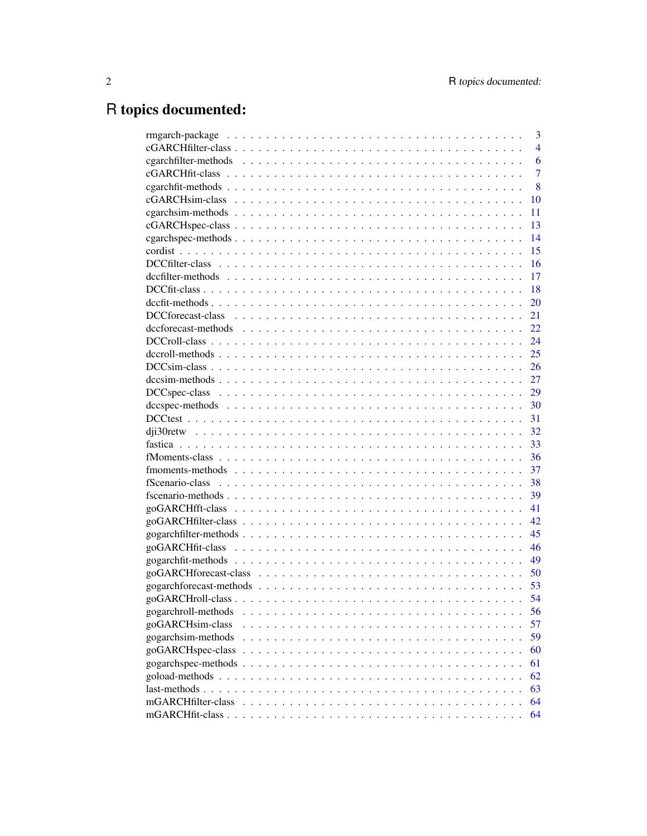# R topics documented:

|                                                                                                                     | 3              |
|---------------------------------------------------------------------------------------------------------------------|----------------|
|                                                                                                                     | $\overline{4}$ |
|                                                                                                                     | 6              |
|                                                                                                                     | $\overline{7}$ |
|                                                                                                                     | 8              |
|                                                                                                                     | 10             |
|                                                                                                                     | 11             |
|                                                                                                                     | 13             |
|                                                                                                                     | 14             |
|                                                                                                                     | 15             |
|                                                                                                                     | 16             |
|                                                                                                                     | 17             |
|                                                                                                                     | 18             |
|                                                                                                                     | 20             |
|                                                                                                                     | 21             |
| $decfore$ cast-methods $\ldots \ldots \ldots \ldots \ldots \ldots \ldots \ldots \ldots \ldots \ldots \ldots \ldots$ | 22             |
|                                                                                                                     | 24             |
|                                                                                                                     | 25             |
|                                                                                                                     | 26             |
|                                                                                                                     | 27             |
|                                                                                                                     | 29             |
|                                                                                                                     | 30             |
|                                                                                                                     | 31             |
|                                                                                                                     | 32             |
|                                                                                                                     | 33             |
|                                                                                                                     | 36             |
|                                                                                                                     | 37             |
|                                                                                                                     | 38             |
|                                                                                                                     | 39             |
|                                                                                                                     | 41             |
|                                                                                                                     | 42             |
|                                                                                                                     | 45             |
|                                                                                                                     | 46             |
|                                                                                                                     | 49             |
|                                                                                                                     | 50             |
|                                                                                                                     | 53             |
|                                                                                                                     | 54             |
| gogarchroll-methods                                                                                                 | 56             |
| goGARCHsim-class<br>.                                                                                               | 57             |
| gogarchsim-methods                                                                                                  | 59             |
| goGARCHspec-class                                                                                                   | 60             |
|                                                                                                                     | 61             |
|                                                                                                                     | 62             |
| last-methods                                                                                                        | 63             |
| mGARCHfilter-class                                                                                                  | 64             |
|                                                                                                                     | 64             |
|                                                                                                                     |                |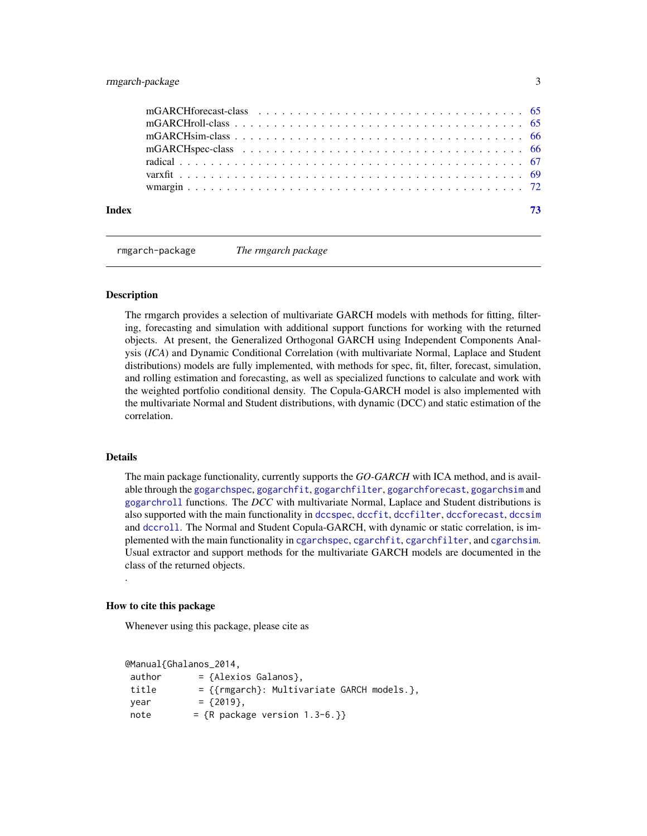# <span id="page-2-0"></span>rmgarch-package 3

| Index |  | 73 |
|-------|--|----|
|       |  |    |
|       |  |    |
|       |  |    |
|       |  |    |
|       |  |    |

rmgarch-package *The rmgarch package*

#### Description

The rmgarch provides a selection of multivariate GARCH models with methods for fitting, filtering, forecasting and simulation with additional support functions for working with the returned objects. At present, the Generalized Orthogonal GARCH using Independent Components Analysis (*ICA*) and Dynamic Conditional Correlation (with multivariate Normal, Laplace and Student distributions) models are fully implemented, with methods for spec, fit, filter, forecast, simulation, and rolling estimation and forecasting, as well as specialized functions to calculate and work with the weighted portfolio conditional density. The Copula-GARCH model is also implemented with the multivariate Normal and Student distributions, with dynamic (DCC) and static estimation of the correlation.

# Details

.

The main package functionality, currently supports the *GO-GARCH* with ICA method, and is available through the [gogarchspec](#page-60-1), [gogarchfit](#page-48-1), [gogarchfilter](#page-44-1), [gogarchforecast](#page-52-1), [gogarchsim](#page-58-1) and [gogarchroll](#page-55-1) functions. The *DCC* with multivariate Normal, Laplace and Student distributions is also supported with the main functionality in [dccspec](#page-29-1), [dccfit](#page-19-1), [dccfilter](#page-16-1), [dccforecast](#page-21-1), [dccsim](#page-26-1) and [dccroll](#page-24-1). The Normal and Student Copula-GARCH, with dynamic or static correlation, is implemented with the main functionality in [cgarchspec](#page-13-1), [cgarchfit](#page-7-1), [cgarchfilter](#page-5-1), and [cgarchsim](#page-10-1). Usual extractor and support methods for the multivariate GARCH models are documented in the class of the returned objects.

#### How to cite this package

Whenever using this package, please cite as

```
@Manual{Ghalanos_2014,
author = {Alexios Galanos}.title = {{rmgarch}: Multivariate GARCH models.},
year = {2019},note = {R} package version 1.3-6.}}
```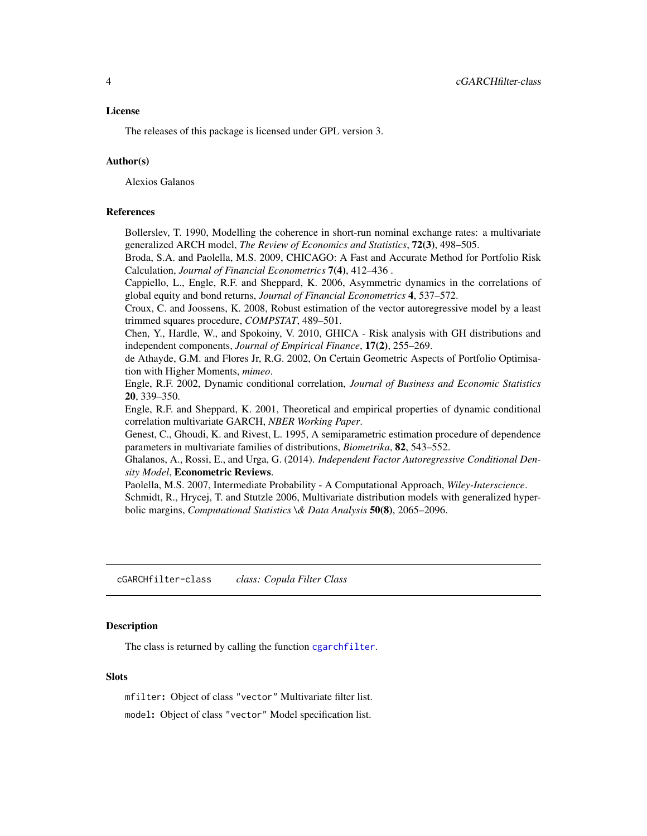#### <span id="page-3-0"></span>License

The releases of this package is licensed under GPL version 3.

# Author(s)

Alexios Galanos

# References

Bollerslev, T. 1990, Modelling the coherence in short-run nominal exchange rates: a multivariate generalized ARCH model, *The Review of Economics and Statistics*, 72(3), 498–505.

Broda, S.A. and Paolella, M.S. 2009, CHICAGO: A Fast and Accurate Method for Portfolio Risk Calculation, *Journal of Financial Econometrics* 7(4), 412–436 .

Cappiello, L., Engle, R.F. and Sheppard, K. 2006, Asymmetric dynamics in the correlations of global equity and bond returns, *Journal of Financial Econometrics* 4, 537–572.

Croux, C. and Joossens, K. 2008, Robust estimation of the vector autoregressive model by a least trimmed squares procedure, *COMPSTAT*, 489–501.

Chen, Y., Hardle, W., and Spokoiny, V. 2010, GHICA - Risk analysis with GH distributions and independent components, *Journal of Empirical Finance*, 17(2), 255–269.

de Athayde, G.M. and Flores Jr, R.G. 2002, On Certain Geometric Aspects of Portfolio Optimisation with Higher Moments, *mimeo*.

Engle, R.F. 2002, Dynamic conditional correlation, *Journal of Business and Economic Statistics* 20, 339–350.

Engle, R.F. and Sheppard, K. 2001, Theoretical and empirical properties of dynamic conditional correlation multivariate GARCH, *NBER Working Paper*.

Genest, C., Ghoudi, K. and Rivest, L. 1995, A semiparametric estimation procedure of dependence parameters in multivariate families of distributions, *Biometrika*, 82, 543–552.

Ghalanos, A., Rossi, E., and Urga, G. (2014). *Independent Factor Autoregressive Conditional Density Model*, Econometric Reviews.

Paolella, M.S. 2007, Intermediate Probability - A Computational Approach, *Wiley-Interscience*. Schmidt, R., Hrycej, T. and Stutzle 2006, Multivariate distribution models with generalized hyperbolic margins, *Computational Statistics \& Data Analysis* 50(8), 2065–2096.

<span id="page-3-1"></span>cGARCHfilter-class *class: Copula Filter Class*

# Description

The class is returned by calling the function [cgarchfilter](#page-5-1).

# **Slots**

mfilter: Object of class "vector" Multivariate filter list. model: Object of class "vector" Model specification list.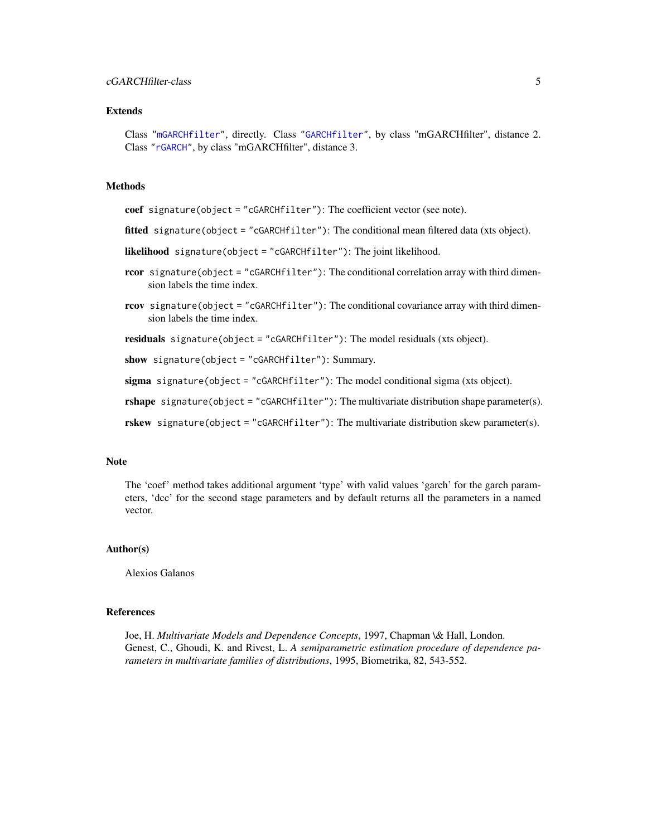# cGARCHfilter-class 5

#### Extends

Class ["mGARCHfilter"](#page-63-1), directly. Class ["GARCHfilter"](#page-0-0), by class "mGARCHfilter", distance 2. Class ["rGARCH"](#page-0-0), by class "mGARCHfilter", distance 3.

# Methods

coef signature(object = "cGARCHfilter"): The coefficient vector (see note).

- fitted signature(object = "cGARCHfilter"): The conditional mean filtered data (xts object).
- likelihood signature(object = "cGARCHfilter"): The joint likelihood.
- rcor signature(object = "cGARCHfilter"): The conditional correlation array with third dimension labels the time index.
- rcov signature(object = "cGARCHfilter"): The conditional covariance array with third dimension labels the time index.

residuals signature(object = "cGARCHfilter"): The model residuals (xts object).

show signature(object = "cGARCHfilter"): Summary.

sigma signature(object = "cGARCHfilter"): The model conditional sigma (xts object).

rshape signature(object = "cGARCHfilter"): The multivariate distribution shape parameter(s).

rskew signature(object = "cGARCHfilter"): The multivariate distribution skew parameter(s).

#### **Note**

The 'coef' method takes additional argument 'type' with valid values 'garch' for the garch parameters, 'dcc' for the second stage parameters and by default returns all the parameters in a named vector.

#### Author(s)

Alexios Galanos

#### References

Joe, H. *Multivariate Models and Dependence Concepts*, 1997, Chapman \& Hall, London. Genest, C., Ghoudi, K. and Rivest, L. *A semiparametric estimation procedure of dependence parameters in multivariate families of distributions*, 1995, Biometrika, 82, 543-552.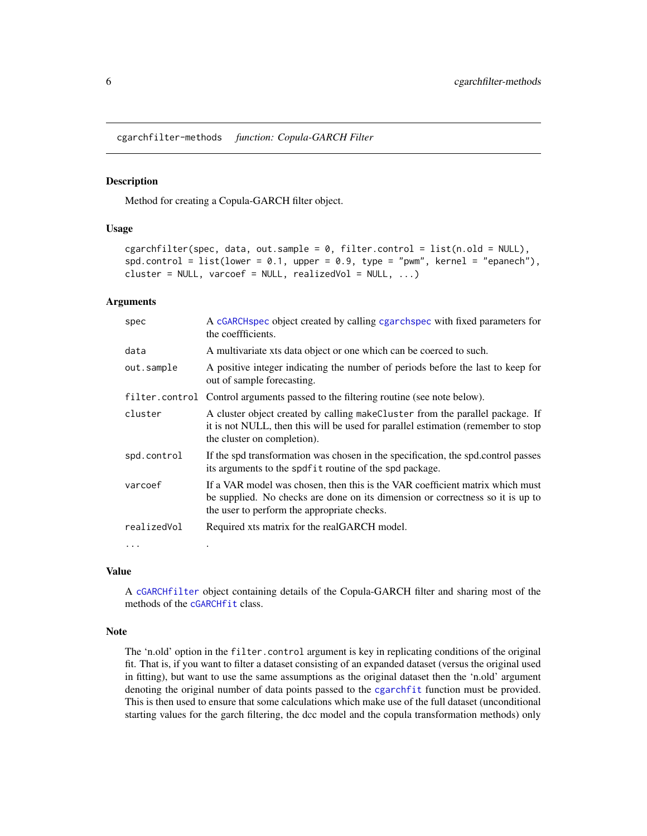<span id="page-5-0"></span>cgarchfilter-methods *function: Copula-GARCH Filter*

#### <span id="page-5-1"></span>Description

Method for creating a Copula-GARCH filter object.

#### Usage

```
cgarchfilter(spec, data, out.sample = 0, filter.control = list(n.old = NULL),
spd.contrib = list(lower = 0.1, upper = 0.9, type = "pwm", kernel = "epanech"),cluster = NULL, varcoef = NULL, realizedVol = NULL, ...)
```
# Arguments

| spec        | A cGARCHspec object created by calling cgarchspec with fixed parameters for<br>the coeffficients.                                                                                                              |
|-------------|----------------------------------------------------------------------------------------------------------------------------------------------------------------------------------------------------------------|
| data        | A multivariate xts data object or one which can be coerced to such.                                                                                                                                            |
| out.sample  | A positive integer indicating the number of periods before the last to keep for<br>out of sample forecasting.                                                                                                  |
|             | filter.control Control arguments passed to the filtering routine (see note below).                                                                                                                             |
| cluster     | A cluster object created by calling makeCluster from the parallel package. If<br>it is not NULL, then this will be used for parallel estimation (remember to stop<br>the cluster on completion).               |
| spd.control | If the spd transformation was chosen in the specification, the spd.control passes<br>its arguments to the spdfit routine of the spd package.                                                                   |
| varcoef     | If a VAR model was chosen, then this is the VAR coefficient matrix which must<br>be supplied. No checks are done on its dimension or correctness so it is up to<br>the user to perform the appropriate checks. |
| realizedVol | Required xts matrix for the realGARCH model.                                                                                                                                                                   |
| $\ddotsc$   |                                                                                                                                                                                                                |

#### Value

A [cGARCHfilter](#page-3-1) object containing details of the Copula-GARCH filter and sharing most of the methods of the [cGARCHfit](#page-6-1) class.

# Note

The 'n.old' option in the filter.control argument is key in replicating conditions of the original fit. That is, if you want to filter a dataset consisting of an expanded dataset (versus the original used in fitting), but want to use the same assumptions as the original dataset then the 'n.old' argument denoting the original number of data points passed to the [cgarchfit](#page-7-1) function must be provided. This is then used to ensure that some calculations which make use of the full dataset (unconditional starting values for the garch filtering, the dcc model and the copula transformation methods) only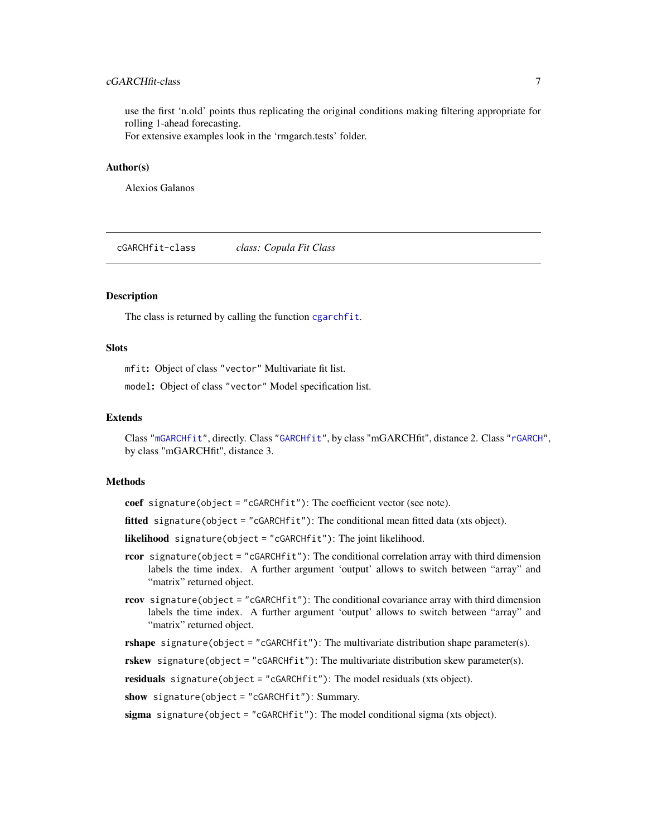# <span id="page-6-0"></span>cGARCHfit-class 7

use the first 'n.old' points thus replicating the original conditions making filtering appropriate for rolling 1-ahead forecasting.

For extensive examples look in the 'rmgarch.tests' folder.

# Author(s)

Alexios Galanos

<span id="page-6-1"></span>cGARCHfit-class *class: Copula Fit Class*

# Description

The class is returned by calling the function [cgarchfit](#page-7-1).

#### Slots

mfit: Object of class "vector" Multivariate fit list.

model: Object of class "vector" Model specification list.

#### Extends

Class ["mGARCHfit"](#page-63-2), directly. Class ["GARCHfit"](#page-0-0), by class "mGARCHfit", distance 2. Class ["rGARCH"](#page-0-0), by class "mGARCHfit", distance 3.

#### Methods

coef signature(object = "cGARCHfit"): The coefficient vector (see note).

fitted signature(object = "cGARCHfit"): The conditional mean fitted data (xts object).

likelihood signature(object = "cGARCHfit"): The joint likelihood.

- rcor signature(object = "cGARCHfit"): The conditional correlation array with third dimension labels the time index. A further argument 'output' allows to switch between "array" and "matrix" returned object.
- rcov signature(object = "cGARCHfit"): The conditional covariance array with third dimension labels the time index. A further argument 'output' allows to switch between "array" and "matrix" returned object.

rshape signature(object = "cGARCHfit"): The multivariate distribution shape parameter(s).

rskew signature(object = "cGARCHfit"): The multivariate distribution skew parameter(s).

residuals signature(object = "cGARCHfit"): The model residuals (xts object).

show signature(object = "cGARCHfit"): Summary.

sigma signature(object = "cGARCH $fit$ "): The model conditional sigma (xts object).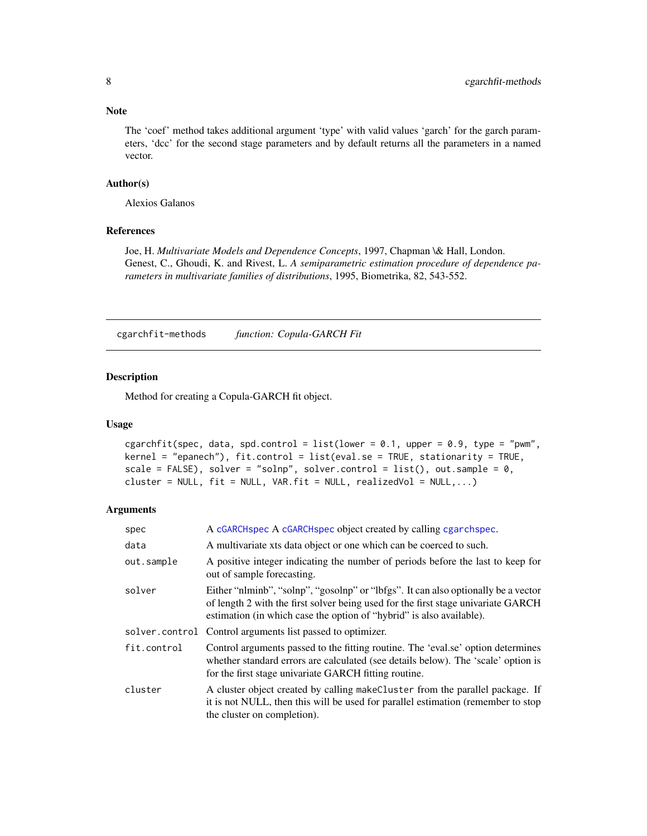# <span id="page-7-0"></span>Note

The 'coef' method takes additional argument 'type' with valid values 'garch' for the garch parameters, 'dcc' for the second stage parameters and by default returns all the parameters in a named vector.

#### Author(s)

Alexios Galanos

# References

Joe, H. *Multivariate Models and Dependence Concepts*, 1997, Chapman \& Hall, London. Genest, C., Ghoudi, K. and Rivest, L. *A semiparametric estimation procedure of dependence parameters in multivariate families of distributions*, 1995, Biometrika, 82, 543-552.

cgarchfit-methods *function: Copula-GARCH Fit*

# <span id="page-7-1"></span>Description

Method for creating a Copula-GARCH fit object.

### Usage

```
cgarchfit(spec, data, spd.control = list(lower = 0.1, upper = 0.9, type = "pwm",
kernel = "epanech"), fit.control = list(eval.se = TRUE, stationarity = TRUE,
scale = FALSE), solver = "solnp", solver.control = list(), out.sample = 0,
cluster = NULL, fit = NULL, VAR.fit = NULL, realizedVol = NULL,...)
```

| spec        | A cGARCHspec A cGARCHspec object created by calling cgarchspec.                                                                                                                                                                                 |
|-------------|-------------------------------------------------------------------------------------------------------------------------------------------------------------------------------------------------------------------------------------------------|
| data        | A multivariate xts data object or one which can be coerced to such.                                                                                                                                                                             |
| out.sample  | A positive integer indicating the number of periods before the last to keep for<br>out of sample forecasting.                                                                                                                                   |
| solver      | Either "nlminb", "solnp", "gosolnp" or "lbfgs". It can also optionally be a vector<br>of length 2 with the first solver being used for the first stage univariate GARCH<br>estimation (in which case the option of "hybrid" is also available). |
|             | solver.control Control arguments list passed to optimizer.                                                                                                                                                                                      |
| fit.control | Control arguments passed to the fitting routine. The 'eval.se' option determines<br>whether standard errors are calculated (see details below). The 'scale' option is<br>for the first stage univariate GARCH fitting routine.                  |
| cluster     | A cluster object created by calling make Cluster from the parallel package. If<br>it is not NULL, then this will be used for parallel estimation (remember to stop<br>the cluster on completion).                                               |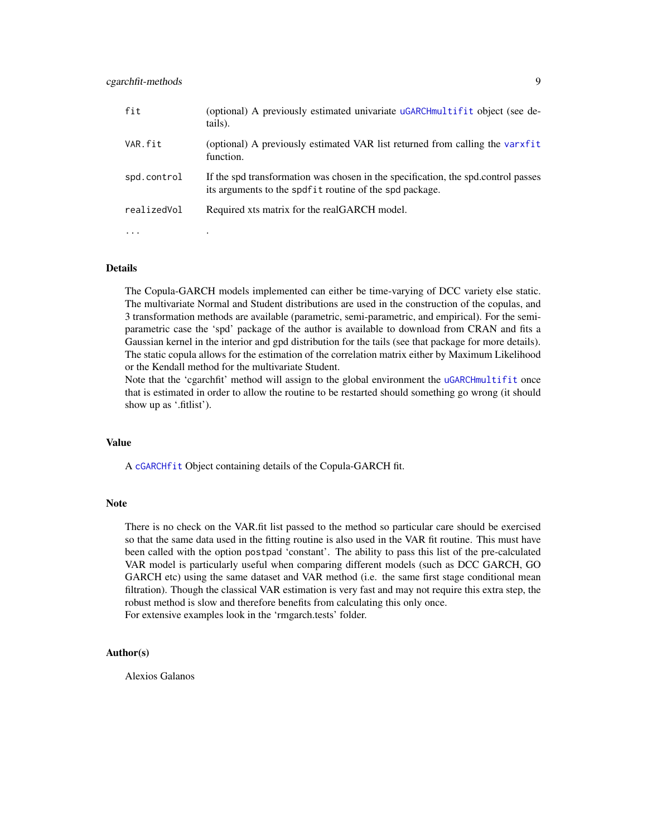| fit         | (optional) A previously estimated univariate uGARCHmultifit object (see de-<br>tails).                                                       |
|-------------|----------------------------------------------------------------------------------------------------------------------------------------------|
| VAR.fit     | (optional) A previously estimated VAR list returned from calling the varxfit<br>function.                                                    |
| spd.control | If the spd transformation was chosen in the specification, the spd.control passes<br>its arguments to the spdfit routine of the spd package. |
| realizedVol | Required xts matrix for the realGARCH model.                                                                                                 |
| $\cdots$    |                                                                                                                                              |

# Details

The Copula-GARCH models implemented can either be time-varying of DCC variety else static. The multivariate Normal and Student distributions are used in the construction of the copulas, and 3 transformation methods are available (parametric, semi-parametric, and empirical). For the semiparametric case the 'spd' package of the author is available to download from CRAN and fits a Gaussian kernel in the interior and gpd distribution for the tails (see that package for more details). The static copula allows for the estimation of the correlation matrix either by Maximum Likelihood or the Kendall method for the multivariate Student.

Note that the 'cgarchfit' method will assign to the global environment the [uGARCHmultifit](#page-0-0) once that is estimated in order to allow the routine to be restarted should something go wrong (it should show up as '.fitlist').

#### Value

A [cGARCHfit](#page-6-1) Object containing details of the Copula-GARCH fit.

#### Note

There is no check on the VAR.fit list passed to the method so particular care should be exercised so that the same data used in the fitting routine is also used in the VAR fit routine. This must have been called with the option postpad 'constant'. The ability to pass this list of the pre-calculated VAR model is particularly useful when comparing different models (such as DCC GARCH, GO GARCH etc) using the same dataset and VAR method (i.e. the same first stage conditional mean filtration). Though the classical VAR estimation is very fast and may not require this extra step, the robust method is slow and therefore benefits from calculating this only once. For extensive examples look in the 'rmgarch.tests' folder.

#### Author(s)

Alexios Galanos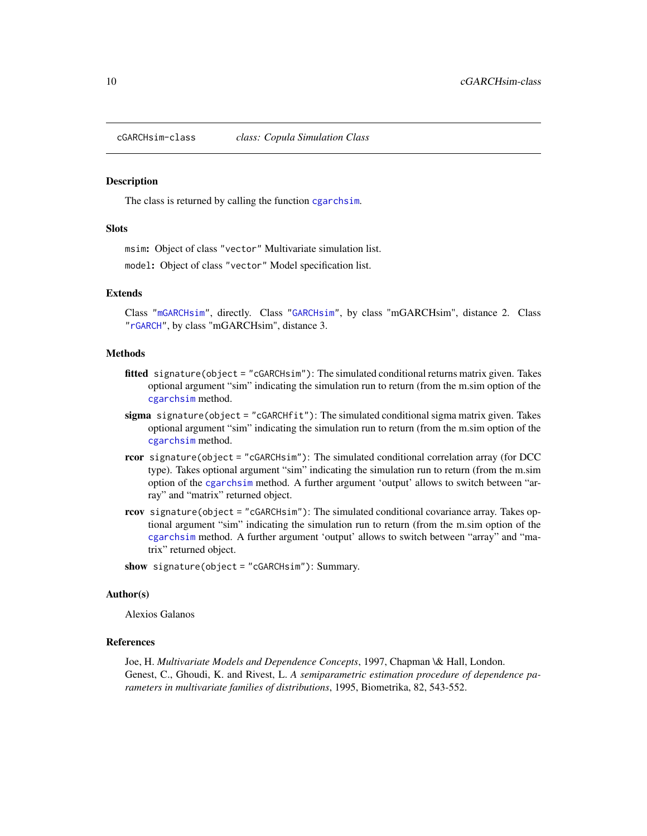<span id="page-9-1"></span><span id="page-9-0"></span>

#### **Description**

The class is returned by calling the function [cgarchsim](#page-10-1).

#### **Slots**

msim: Object of class "vector" Multivariate simulation list.

model: Object of class "vector" Model specification list.

#### Extends

Class ["mGARCHsim"](#page-65-1), directly. Class ["GARCHsim"](#page-0-0), by class "mGARCHsim", distance 2. Class ["rGARCH"](#page-0-0), by class "mGARCHsim", distance 3.

#### Methods

- fitted signature(object = "cGARCHsim"): The simulated conditional returns matrix given. Takes optional argument "sim" indicating the simulation run to return (from the m.sim option of the [cgarchsim](#page-10-1) method.
- sigma signature(object = "cGARCHfit"): The simulated conditional sigma matrix given. Takes optional argument "sim" indicating the simulation run to return (from the m.sim option of the [cgarchsim](#page-10-1) method.
- rcor signature(object = "cGARCHsim"): The simulated conditional correlation array (for DCC type). Takes optional argument "sim" indicating the simulation run to return (from the m.sim option of the [cgarchsim](#page-10-1) method. A further argument 'output' allows to switch between "array" and "matrix" returned object.
- rcov signature(object = "cGARCHsim"): The simulated conditional covariance array. Takes optional argument "sim" indicating the simulation run to return (from the m.sim option of the [cgarchsim](#page-10-1) method. A further argument 'output' allows to switch between "array" and "matrix" returned object.
- show signature(object = "cGARCHsim"): Summary.

#### Author(s)

Alexios Galanos

#### References

Joe, H. *Multivariate Models and Dependence Concepts*, 1997, Chapman \& Hall, London. Genest, C., Ghoudi, K. and Rivest, L. *A semiparametric estimation procedure of dependence parameters in multivariate families of distributions*, 1995, Biometrika, 82, 543-552.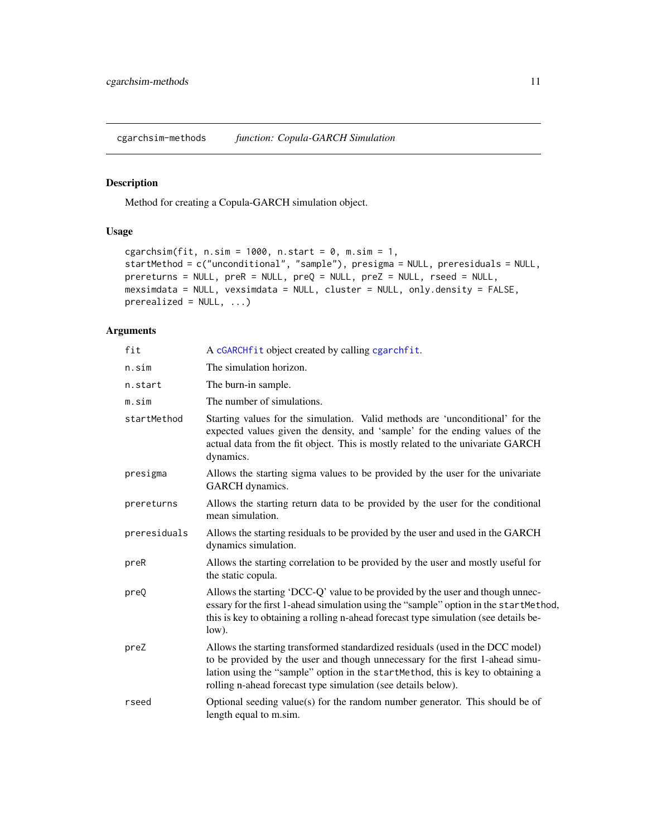<span id="page-10-0"></span>cgarchsim-methods *function: Copula-GARCH Simulation*

# <span id="page-10-1"></span>Description

Method for creating a Copula-GARCH simulation object.

# Usage

```
cgarchsim(fit, n.\sin = 1000, n.\text{start} = 0, m.\sin = 1,
startMethod = c("unconditional", "sample"), presigma = NULL, preresiduals = NULL,
prereturns = NULL, preR = NULL, preQ = NULL, preZ = NULL, rseed = NULL,
mexsimdata = NULL, vexsimdata = NULL, cluster = NULL, only.density = FALSE,
prerealized = NULL, ...
```

| fit          | A cGARCHfit object created by calling cgarchfit.                                                                                                                                                                                                                                                                    |
|--------------|---------------------------------------------------------------------------------------------------------------------------------------------------------------------------------------------------------------------------------------------------------------------------------------------------------------------|
| n.sim        | The simulation horizon.                                                                                                                                                                                                                                                                                             |
| n.start      | The burn-in sample.                                                                                                                                                                                                                                                                                                 |
| m.sim        | The number of simulations.                                                                                                                                                                                                                                                                                          |
| startMethod  | Starting values for the simulation. Valid methods are 'unconditional' for the<br>expected values given the density, and 'sample' for the ending values of the<br>actual data from the fit object. This is mostly related to the univariate GARCH<br>dynamics.                                                       |
| presigma     | Allows the starting sigma values to be provided by the user for the univariate<br>GARCH dynamics.                                                                                                                                                                                                                   |
| prereturns   | Allows the starting return data to be provided by the user for the conditional<br>mean simulation.                                                                                                                                                                                                                  |
| preresiduals | Allows the starting residuals to be provided by the user and used in the GARCH<br>dynamics simulation.                                                                                                                                                                                                              |
| preR         | Allows the starting correlation to be provided by the user and mostly useful for<br>the static copula.                                                                                                                                                                                                              |
| preQ         | Allows the starting 'DCC-Q' value to be provided by the user and though unnec-<br>essary for the first 1-ahead simulation using the "sample" option in the startMethod,<br>this is key to obtaining a rolling n-ahead forecast type simulation (see details be-<br>low).                                            |
| preZ         | Allows the starting transformed standardized residuals (used in the DCC model)<br>to be provided by the user and though unnecessary for the first 1-ahead simu-<br>lation using the "sample" option in the startMethod, this is key to obtaining a<br>rolling n-ahead forecast type simulation (see details below). |
| rseed        | Optional seeding value(s) for the random number generator. This should be of<br>length equal to m.sim.                                                                                                                                                                                                              |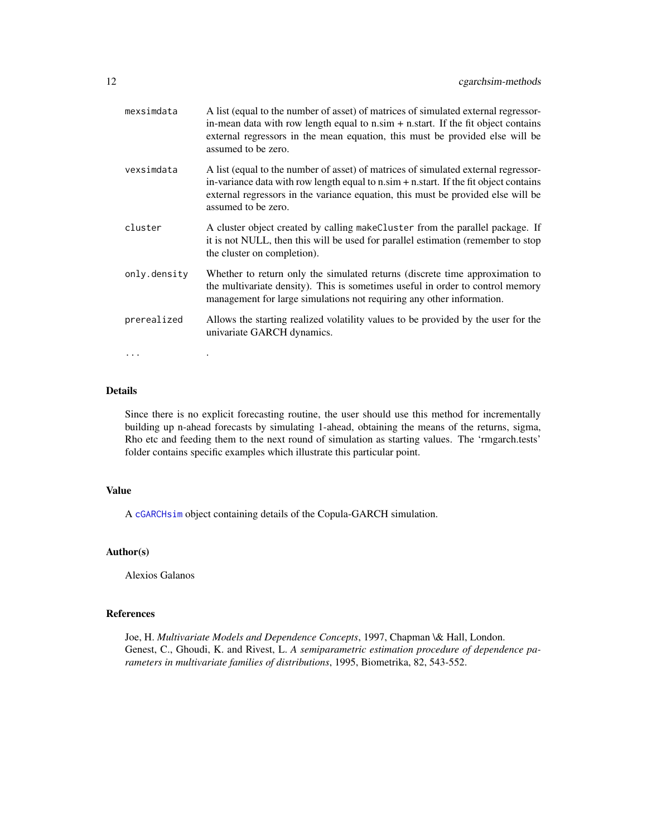| mexsimdata   | A list (equal to the number of asset) of matrices of simulated external regressor-<br>in-mean data with row length equal to $n \sin + n \cdot$ start. If the fit object contains<br>external regressors in the mean equation, this must be provided else will be<br>assumed to be zero.                 |
|--------------|---------------------------------------------------------------------------------------------------------------------------------------------------------------------------------------------------------------------------------------------------------------------------------------------------------|
| vexsimdata   | A list (equal to the number of asset) of matrices of simulated external regressor-<br>in-variance data with row length equal to $n \sin + n \cdot \text{start}$ . If the fit object contains<br>external regressors in the variance equation, this must be provided else will be<br>assumed to be zero. |
| cluster      | A cluster object created by calling makeCluster from the parallel package. If<br>it is not NULL, then this will be used for parallel estimation (remember to stop<br>the cluster on completion).                                                                                                        |
| only.density | Whether to return only the simulated returns (discrete time approximation to<br>the multivariate density). This is sometimes useful in order to control memory<br>management for large simulations not requiring any other information.                                                                 |
| prerealized  | Allows the starting realized volatility values to be provided by the user for the<br>univariate GARCH dynamics.                                                                                                                                                                                         |
| $\cdots$     |                                                                                                                                                                                                                                                                                                         |

# Details

Since there is no explicit forecasting routine, the user should use this method for incrementally building up n-ahead forecasts by simulating 1-ahead, obtaining the means of the returns, sigma, Rho etc and feeding them to the next round of simulation as starting values. The 'rmgarch.tests' folder contains specific examples which illustrate this particular point.

### Value

A [cGARCHsim](#page-9-1) object containing details of the Copula-GARCH simulation.

# Author(s)

Alexios Galanos

# References

Joe, H. *Multivariate Models and Dependence Concepts*, 1997, Chapman \& Hall, London. Genest, C., Ghoudi, K. and Rivest, L. *A semiparametric estimation procedure of dependence parameters in multivariate families of distributions*, 1995, Biometrika, 82, 543-552.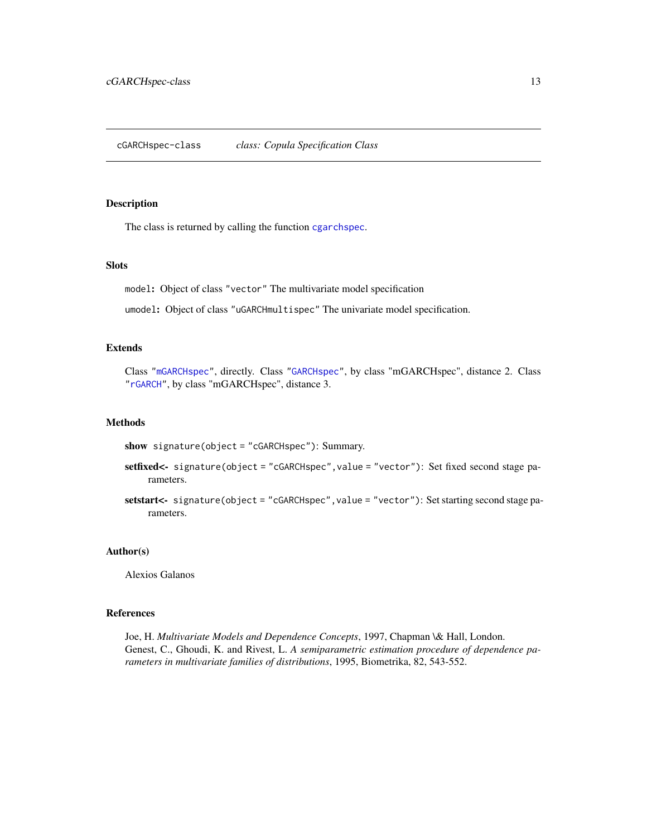# <span id="page-12-1"></span><span id="page-12-0"></span>Description

The class is returned by calling the function [cgarchspec](#page-13-1).

#### Slots

model: Object of class "vector" The multivariate model specification

umodel: Object of class "uGARCHmultispec" The univariate model specification.

# Extends

Class ["mGARCHspec"](#page-65-2), directly. Class ["GARCHspec"](#page-0-0), by class "mGARCHspec", distance 2. Class ["rGARCH"](#page-0-0), by class "mGARCHspec", distance 3.

#### Methods

show signature(object = "cGARCHspec"): Summary.

setfixed<- signature(object = "cGARCHspec",value = "vector"): Set fixed second stage parameters.

setstart<- signature(object = "cGARCHspec", value = "vector"): Set starting second stage parameters.

#### Author(s)

Alexios Galanos

#### References

Joe, H. *Multivariate Models and Dependence Concepts*, 1997, Chapman \& Hall, London. Genest, C., Ghoudi, K. and Rivest, L. *A semiparametric estimation procedure of dependence parameters in multivariate families of distributions*, 1995, Biometrika, 82, 543-552.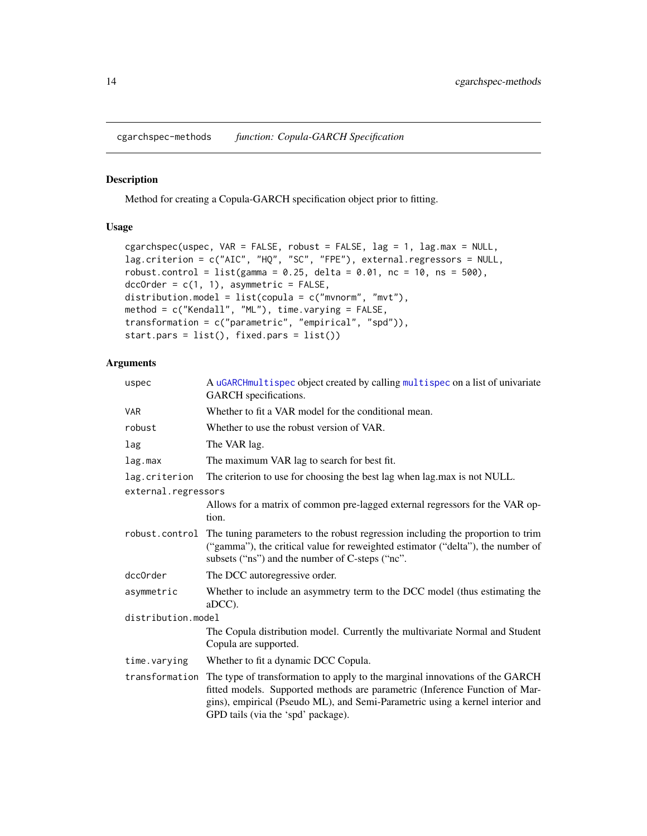<span id="page-13-0"></span>cgarchspec-methods *function: Copula-GARCH Specification*

# <span id="page-13-1"></span>Description

Method for creating a Copula-GARCH specification object prior to fitting.

# Usage

```
cgarchspec(uspec, VAR = FALSE, robust = FALSE, lag = 1, lag.max = NULL,
lag.criterion = c("AIC", "HQ", "SC", "FPE"), external.regressors = NULL,
robust.contrib = list(gamma = 0.25, delta = 0.01, nc = 10, ns = 500),dccOrder = c(1, 1), asymmetric = FALSE,
distribution.model = list(copula = c("mvnorm", "mvt"),method = c("Kendall", "ML"), time.varying = FALSE,
transformation = c("parametric", "empirical", "spd")),
start.pars = list(), fixed.pars = list())
```

| uspec               | A uGARCHmultispec object created by calling multispec on a list of univariate<br>GARCH specifications.                                                                                                                                                                             |
|---------------------|------------------------------------------------------------------------------------------------------------------------------------------------------------------------------------------------------------------------------------------------------------------------------------|
| <b>VAR</b>          | Whether to fit a VAR model for the conditional mean.                                                                                                                                                                                                                               |
| robust              | Whether to use the robust version of VAR.                                                                                                                                                                                                                                          |
| lag                 | The VAR lag.                                                                                                                                                                                                                                                                       |
| lag.max             | The maximum VAR lag to search for best fit.                                                                                                                                                                                                                                        |
| lag.criterion       | The criterion to use for choosing the best lag when lag.max is not NULL.                                                                                                                                                                                                           |
| external.regressors |                                                                                                                                                                                                                                                                                    |
|                     | Allows for a matrix of common pre-lagged external regressors for the VAR op-<br>tion.                                                                                                                                                                                              |
|                     | robust.control The tuning parameters to the robust regression including the proportion to trim<br>("gamma"), the critical value for reweighted estimator ("delta"), the number of<br>subsets ("ns") and the number of C-steps ("nc".                                               |
| dcc0rder            | The DCC autoregressive order.                                                                                                                                                                                                                                                      |
| asymmetric          | Whether to include an asymmetry term to the DCC model (thus estimating the<br>aDCC).                                                                                                                                                                                               |
| distribution.model  |                                                                                                                                                                                                                                                                                    |
|                     | The Copula distribution model. Currently the multivariate Normal and Student<br>Copula are supported.                                                                                                                                                                              |
| time.varying        | Whether to fit a dynamic DCC Copula.                                                                                                                                                                                                                                               |
| transformation      | The type of transformation to apply to the marginal innovations of the GARCH<br>fitted models. Supported methods are parametric (Inference Function of Mar-<br>gins), empirical (Pseudo ML), and Semi-Parametric using a kernel interior and<br>GPD tails (via the 'spd' package). |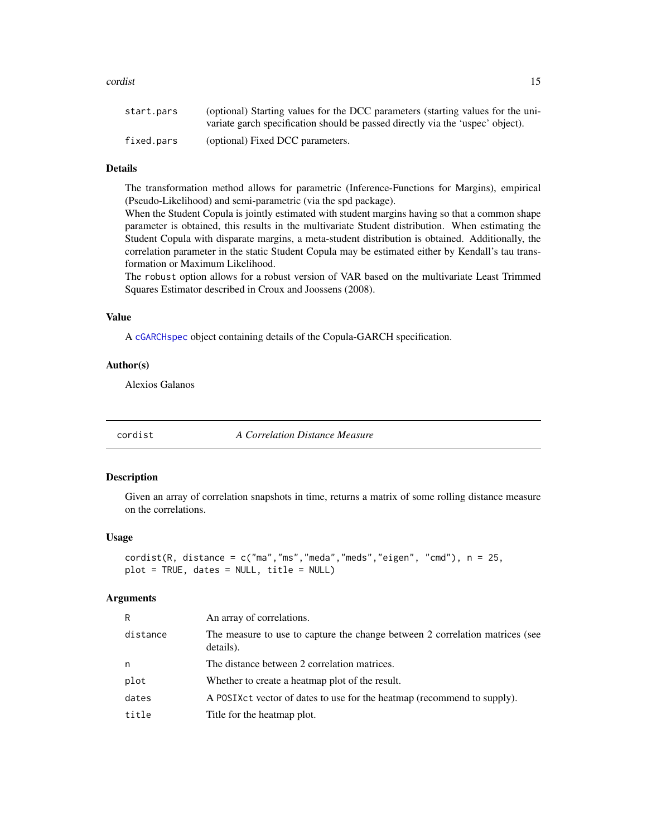#### <span id="page-14-0"></span>cordist the condition of the condition of the condition of the condition of the condition of the condition of the condition of the condition of the condition of the condition of the condition of the condition of the condit

| start.pars | (optional) Starting values for the DCC parameters (starting values for the uni- |
|------------|---------------------------------------------------------------------------------|
|            | variate garch specification should be passed directly via the 'uspec' object).  |
| fixed.pars | (optional) Fixed DCC parameters.                                                |

# Details

The transformation method allows for parametric (Inference-Functions for Margins), empirical (Pseudo-Likelihood) and semi-parametric (via the spd package).

When the Student Copula is jointly estimated with student margins having so that a common shape parameter is obtained, this results in the multivariate Student distribution. When estimating the Student Copula with disparate margins, a meta-student distribution is obtained. Additionally, the correlation parameter in the static Student Copula may be estimated either by Kendall's tau transformation or Maximum Likelihood.

The robust option allows for a robust version of VAR based on the multivariate Least Trimmed Squares Estimator described in Croux and Joossens (2008).

#### Value

A [cGARCHspec](#page-12-1) object containing details of the Copula-GARCH specification.

# Author(s)

Alexios Galanos

cordist *A Correlation Distance Measure*

# Description

Given an array of correlation snapshots in time, returns a matrix of some rolling distance measure on the correlations.

# Usage

```
cordist(R, distance = c("ma", "ms", "meda", "meds", "eigen", "cmd"), n = 25,plot = TRUE, dates = NULL, title = NULL)
```

| R        | An array of correlations.                                                                 |
|----------|-------------------------------------------------------------------------------------------|
| distance | The measure to use to capture the change between 2 correlation matrices (see<br>details). |
| n        | The distance between 2 correlation matrices.                                              |
| plot     | Whether to create a heatmap plot of the result.                                           |
| dates    | A POSIX ct vector of dates to use for the heatmap (recommend to supply).                  |
| title    | Title for the heatmap plot.                                                               |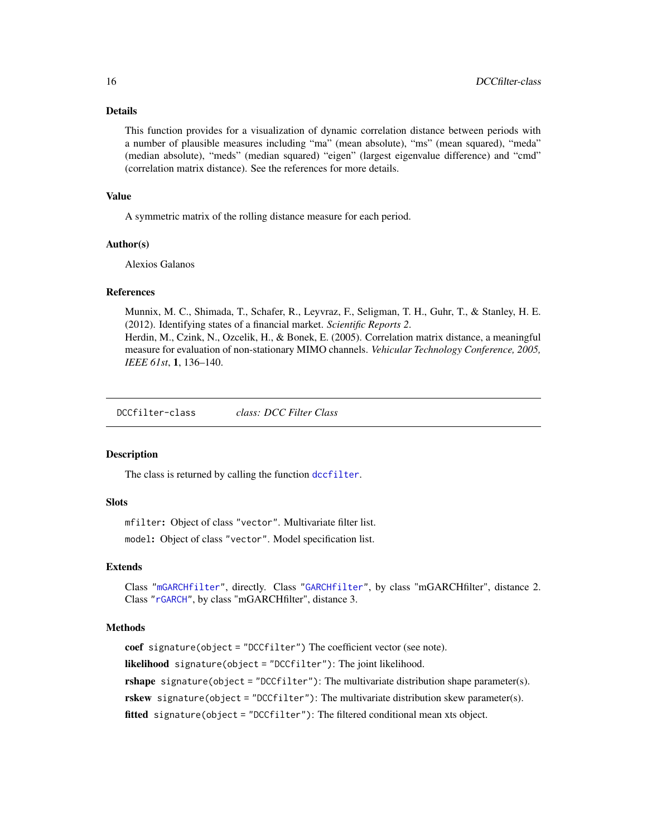#### Details

This function provides for a visualization of dynamic correlation distance between periods with a number of plausible measures including "ma" (mean absolute), "ms" (mean squared), "meda" (median absolute), "meds" (median squared) "eigen" (largest eigenvalue difference) and "cmd" (correlation matrix distance). See the references for more details.

#### Value

A symmetric matrix of the rolling distance measure for each period.

#### Author(s)

Alexios Galanos

#### References

Munnix, M. C., Shimada, T., Schafer, R., Leyvraz, F., Seligman, T. H., Guhr, T., & Stanley, H. E. (2012). Identifying states of a financial market. *Scientific Reports 2*.

Herdin, M., Czink, N., Ozcelik, H., & Bonek, E. (2005). Correlation matrix distance, a meaningful measure for evaluation of non-stationary MIMO channels. *Vehicular Technology Conference, 2005, IEEE 61st*, 1, 136–140.

<span id="page-15-1"></span>DCCfilter-class *class: DCC Filter Class*

#### Description

The class is returned by calling the function [dccfilter](#page-16-1).

# **Slots**

mfilter: Object of class "vector". Multivariate filter list. model: Object of class "vector". Model specification list.

#### Extends

Class ["mGARCHfilter"](#page-63-1), directly. Class ["GARCHfilter"](#page-0-0), by class "mGARCHfilter", distance 2. Class ["rGARCH"](#page-0-0), by class "mGARCHfilter", distance 3.

# Methods

coef signature(object = "DCCfilter") The coefficient vector (see note). likelihood signature(object = "DCCfilter"): The joint likelihood. rshape signature(object = "DCCfilter"): The multivariate distribution shape parameter(s). rskew signature(object = "DCCfilter"): The multivariate distribution skew parameter(s). fitted signature(object = "DCCfilter"): The filtered conditional mean xts object.

<span id="page-15-0"></span>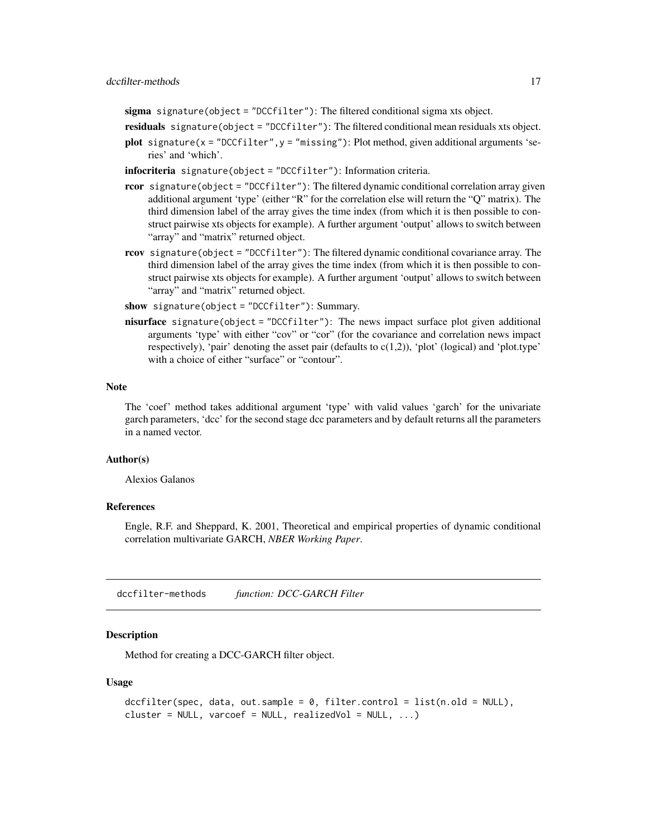<span id="page-16-0"></span>sigma signature(object = "DCCfilter"): The filtered conditional sigma xts object.

residuals signature(object = "DCCfilter"): The filtered conditional mean residuals xts object.

- plot signature( $x =$  "DCCfilter",  $y =$  "missing"): Plot method, given additional arguments 'series' and 'which'.
- infocriteria signature(object = "DCCfilter"): Information criteria.
- rcor signature(object = "DCCfilter"): The filtered dynamic conditional correlation array given additional argument 'type' (either "R" for the correlation else will return the "Q" matrix). The third dimension label of the array gives the time index (from which it is then possible to construct pairwise xts objects for example). A further argument 'output' allows to switch between "array" and "matrix" returned object.
- rcov signature(object = "DCCfilter"): The filtered dynamic conditional covariance array. The third dimension label of the array gives the time index (from which it is then possible to construct pairwise xts objects for example). A further argument 'output' allows to switch between "array" and "matrix" returned object.
- show signature(object = "DCCfilter"): Summary.
- nisurface signature(object = "DCCfilter"): The news impact surface plot given additional arguments 'type' with either "cov" or "cor" (for the covariance and correlation news impact respectively), 'pair' denoting the asset pair (defaults to c(1,2)), 'plot' (logical) and 'plot.type' with a choice of either "surface" or "contour".

#### Note

The 'coef' method takes additional argument 'type' with valid values 'garch' for the univariate garch parameters, 'dcc' for the second stage dcc parameters and by default returns all the parameters in a named vector.

# Author(s)

Alexios Galanos

#### References

Engle, R.F. and Sheppard, K. 2001, Theoretical and empirical properties of dynamic conditional correlation multivariate GARCH, *NBER Working Paper*.

dccfilter-methods *function: DCC-GARCH Filter*

# <span id="page-16-1"></span>Description

Method for creating a DCC-GARCH filter object.

#### Usage

```
dccfilter(spec, data, out.sample = 0, filter.control = list(n.old = NULL),
cluster = NULL, varcoef = NULL, realizedVol = NULL, \ldots)
```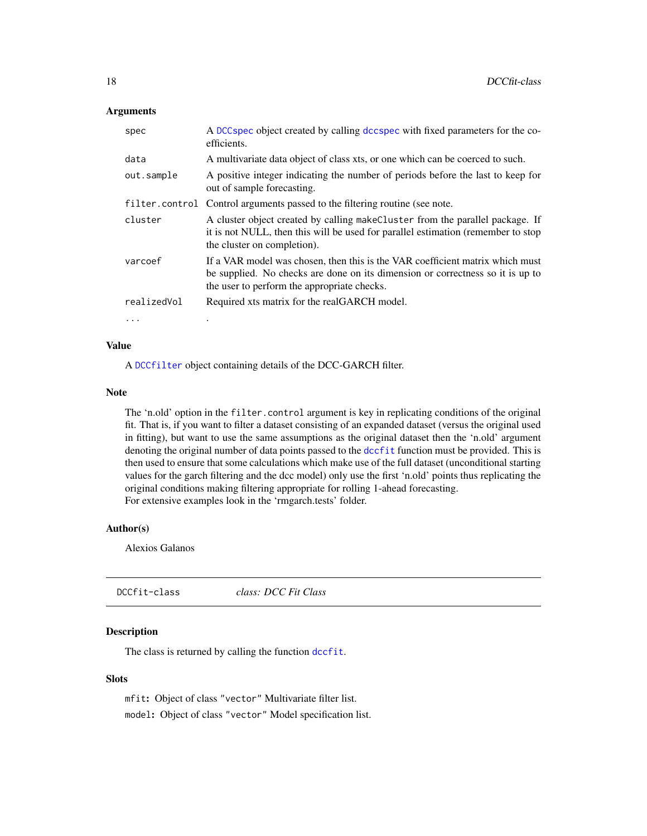# <span id="page-17-0"></span>**Arguments**

| spec        | A DCC spec object created by calling dcc spec with fixed parameters for the co-<br>efficients.                                                                                                                 |
|-------------|----------------------------------------------------------------------------------------------------------------------------------------------------------------------------------------------------------------|
| data        | A multivariate data object of class xts, or one which can be coerced to such.                                                                                                                                  |
| out.sample  | A positive integer indicating the number of periods before the last to keep for<br>out of sample forecasting.                                                                                                  |
|             | filter.control Control arguments passed to the filtering routine (see note.                                                                                                                                    |
| cluster     | A cluster object created by calling make Cluster from the parallel package. If<br>it is not NULL, then this will be used for parallel estimation (remember to stop)<br>the cluster on completion).             |
| varcoef     | If a VAR model was chosen, then this is the VAR coefficient matrix which must<br>be supplied. No checks are done on its dimension or correctness so it is up to<br>the user to perform the appropriate checks. |
| realizedVol | Required xts matrix for the realGARCH model.                                                                                                                                                                   |
| $\cdots$    |                                                                                                                                                                                                                |

#### Value

A [DCCfilter](#page-15-1) object containing details of the DCC-GARCH filter.

#### Note

The 'n.old' option in the filter.control argument is key in replicating conditions of the original fit. That is, if you want to filter a dataset consisting of an expanded dataset (versus the original used in fitting), but want to use the same assumptions as the original dataset then the 'n.old' argument denoting the original number of data points passed to the [dccfit](#page-19-1) function must be provided. This is then used to ensure that some calculations which make use of the full dataset (unconditional starting values for the garch filtering and the dcc model) only use the first 'n.old' points thus replicating the original conditions making filtering appropriate for rolling 1-ahead forecasting. For extensive examples look in the 'rmgarch.tests' folder.

#### Author(s)

Alexios Galanos

<span id="page-17-1"></span>

| DCCfit-class | class: DCC Fit Class |  |
|--------------|----------------------|--|
|              |                      |  |

# Description

The class is returned by calling the function [dccfit](#page-19-1).

# Slots

mfit: Object of class "vector" Multivariate filter list. model: Object of class "vector" Model specification list.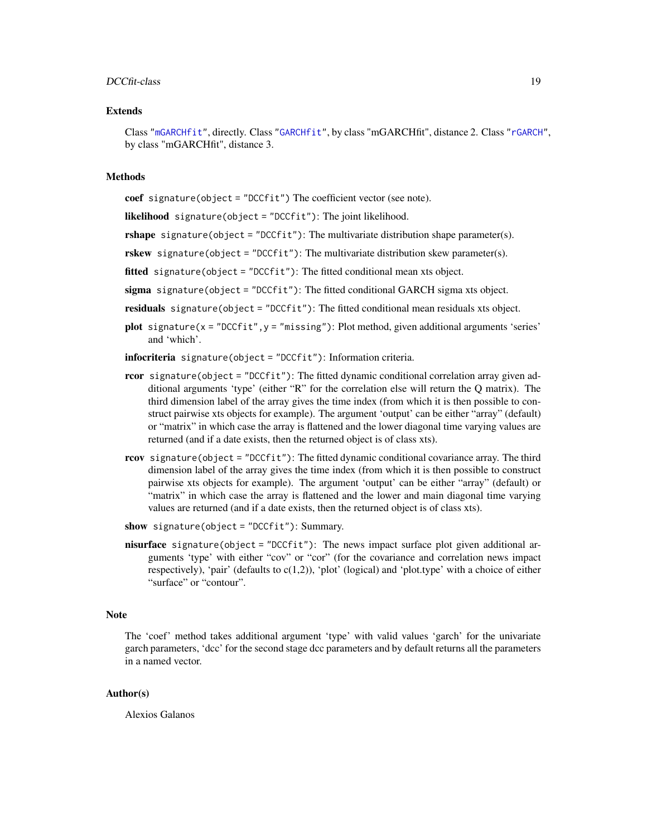#### DCCfit-class 19

#### Extends

Class ["mGARCHfit"](#page-63-2), directly. Class ["GARCHfit"](#page-0-0), by class "mGARCHfit", distance 2. Class ["rGARCH"](#page-0-0), by class "mGARCHfit", distance 3.

### **Methods**

coef signature(object = "DCCfit") The coefficient vector (see note).

likelihood signature(object = "DCCfit"): The joint likelihood.

**rshape** signature(object = "DCCfit"): The multivariate distribution shape parameter(s).

rskew signature(object = "DCCfit"): The multivariate distribution skew parameter(s).

fitted signature(object = "DCCfit"): The fitted conditional mean xts object.

sigma signature(object = "DCCfit"): The fitted conditional GARCH sigma xts object.

residuals signature(object = "DCCfit"): The fitted conditional mean residuals xts object.

**plot** signature( $x = "DCCfit", y = "missing"$ ): Plot method, given additional arguments 'series' and 'which'.

infocriteria signature(object = "DCCfit"): Information criteria.

- **rcor** signature(object = "DCCfit"): The fitted dynamic conditional correlation array given additional arguments 'type' (either "R" for the correlation else will return the Q matrix). The third dimension label of the array gives the time index (from which it is then possible to construct pairwise xts objects for example). The argument 'output' can be either "array" (default) or "matrix" in which case the array is flattened and the lower diagonal time varying values are returned (and if a date exists, then the returned object is of class xts).
- rcov signature(object = "DCCfit"): The fitted dynamic conditional covariance array. The third dimension label of the array gives the time index (from which it is then possible to construct pairwise xts objects for example). The argument 'output' can be either "array" (default) or "matrix" in which case the array is flattened and the lower and main diagonal time varying values are returned (and if a date exists, then the returned object is of class xts).
- show signature(object = "DCCfit"): Summary.
- **nisurface** signature(object = "DCCfit"): The news impact surface plot given additional arguments 'type' with either "cov" or "cor" (for the covariance and correlation news impact respectively), 'pair' (defaults to  $c(1,2)$ ), 'plot' (logical) and 'plot.type' with a choice of either "surface" or "contour".

#### Note

The 'coef' method takes additional argument 'type' with valid values 'garch' for the univariate garch parameters, 'dcc' for the second stage dcc parameters and by default returns all the parameters in a named vector.

#### Author(s)

Alexios Galanos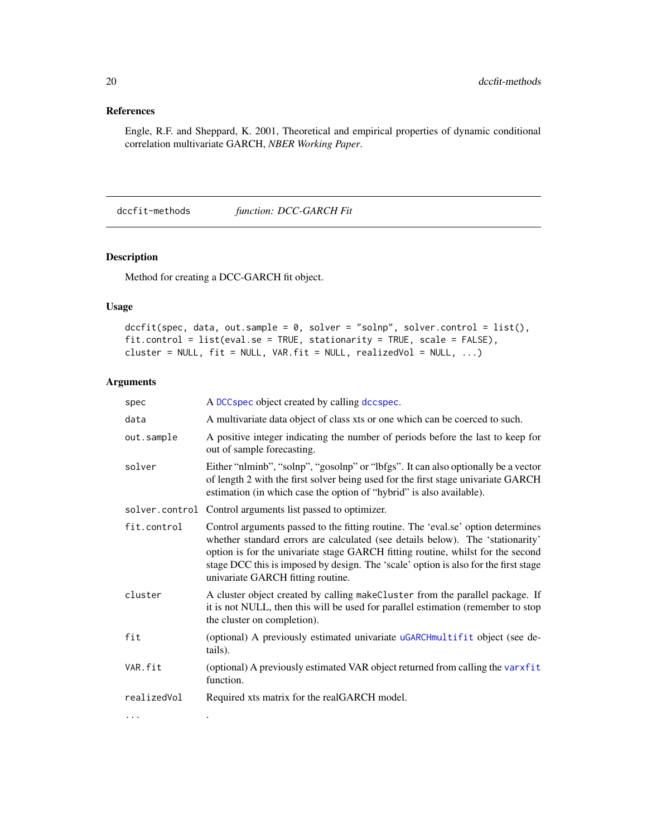# <span id="page-19-0"></span>References

Engle, R.F. and Sheppard, K. 2001, Theoretical and empirical properties of dynamic conditional correlation multivariate GARCH, *NBER Working Paper*.

dccfit-methods *function: DCC-GARCH Fit*

# <span id="page-19-1"></span>Description

Method for creating a DCC-GARCH fit object.

# Usage

```
dccfit(spec, data, out.sample = 0, solver = "solnp", solver.control = list(),
fit.control = list(eval.se = TRUE, stationarity = TRUE, scale = FALSE),
cluster = NULL, fit = NULL, VAR.fit = NULL, realizedVol = NULL, ...)
```

| spec        | A DCC spec object created by calling dcc spec.                                                                                                                                                                                                                                                                                                                                    |
|-------------|-----------------------------------------------------------------------------------------------------------------------------------------------------------------------------------------------------------------------------------------------------------------------------------------------------------------------------------------------------------------------------------|
| data        | A multivariate data object of class xts or one which can be coerced to such.                                                                                                                                                                                                                                                                                                      |
| out.sample  | A positive integer indicating the number of periods before the last to keep for<br>out of sample forecasting.                                                                                                                                                                                                                                                                     |
| solver      | Either "nlminb", "solnp", "gosolnp" or "lbfgs". It can also optionally be a vector<br>of length 2 with the first solver being used for the first stage univariate GARCH<br>estimation (in which case the option of "hybrid" is also available).                                                                                                                                   |
|             | solver.control Control arguments list passed to optimizer.                                                                                                                                                                                                                                                                                                                        |
| fit.control | Control arguments passed to the fitting routine. The 'eval.se' option determines<br>whether standard errors are calculated (see details below). The 'stationarity'<br>option is for the univariate stage GARCH fitting routine, whilst for the second<br>stage DCC this is imposed by design. The 'scale' option is also for the first stage<br>univariate GARCH fitting routine. |
| cluster     | A cluster object created by calling makeCluster from the parallel package. If<br>it is not NULL, then this will be used for parallel estimation (remember to stop<br>the cluster on completion).                                                                                                                                                                                  |
| fit         | (optional) A previously estimated univariate uGARCHmultifit object (see de-<br>tails).                                                                                                                                                                                                                                                                                            |
| VAR.fit     | (optional) A previously estimated VAR object returned from calling the varxfit<br>function.                                                                                                                                                                                                                                                                                       |
| realizedVol | Required xts matrix for the realGARCH model.                                                                                                                                                                                                                                                                                                                                      |
| .           |                                                                                                                                                                                                                                                                                                                                                                                   |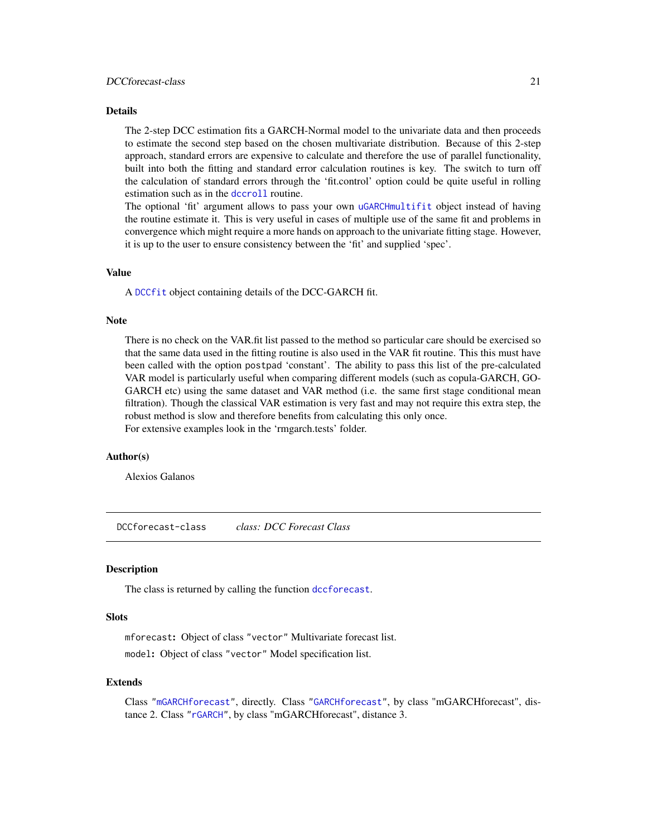# <span id="page-20-0"></span>Details

The 2-step DCC estimation fits a GARCH-Normal model to the univariate data and then proceeds to estimate the second step based on the chosen multivariate distribution. Because of this 2-step approach, standard errors are expensive to calculate and therefore the use of parallel functionality, built into both the fitting and standard error calculation routines is key. The switch to turn off the calculation of standard errors through the 'fit.control' option could be quite useful in rolling estimation such as in the [dccroll](#page-24-1) routine.

The optional 'fit' argument allows to pass your own [uGARCHmultifit](#page-0-0) object instead of having the routine estimate it. This is very useful in cases of multiple use of the same fit and problems in convergence which might require a more hands on approach to the univariate fitting stage. However, it is up to the user to ensure consistency between the 'fit' and supplied 'spec'.

# Value

A [DCCfit](#page-17-1) object containing details of the DCC-GARCH fit.

#### Note

There is no check on the VAR.fit list passed to the method so particular care should be exercised so that the same data used in the fitting routine is also used in the VAR fit routine. This this must have been called with the option postpad 'constant'. The ability to pass this list of the pre-calculated VAR model is particularly useful when comparing different models (such as copula-GARCH, GO-GARCH etc) using the same dataset and VAR method (i.e. the same first stage conditional mean filtration). Though the classical VAR estimation is very fast and may not require this extra step, the robust method is slow and therefore benefits from calculating this only once. For extensive examples look in the 'rmgarch.tests' folder.

#### Author(s)

Alexios Galanos

<span id="page-20-1"></span>DCCforecast-class *class: DCC Forecast Class*

#### Description

The class is returned by calling the function [dccforecast](#page-21-1).

#### **Slots**

mforecast: Object of class "vector" Multivariate forecast list. model: Object of class "vector" Model specification list.

#### Extends

Class ["mGARCHforecast"](#page-64-1), directly. Class ["GARCHforecast"](#page-0-0), by class "mGARCHforecast", distance 2. Class ["rGARCH"](#page-0-0), by class "mGARCHforecast", distance 3.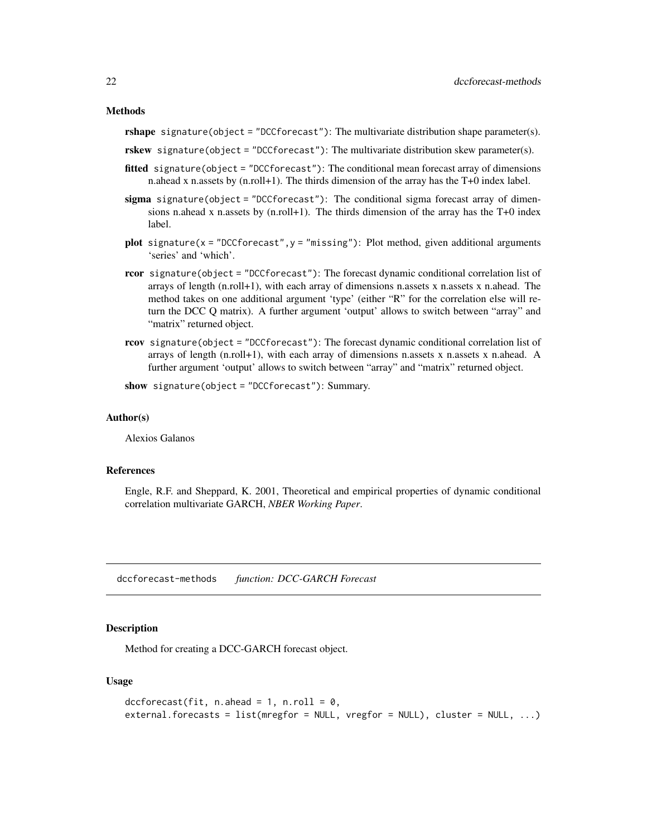<span id="page-21-0"></span>rshape signature(object = "DCCforecast"): The multivariate distribution shape parameter(s).

rskew signature(object = "DCCforecast"): The multivariate distribution skew parameter(s).

- fitted signature(object = "DCCforecast"): The conditional mean forecast array of dimensions n.ahead x n.assets by (n.roll+1). The thirds dimension of the array has the T+0 index label.
- $sigma$  sigma signature(object = "DCCforecast"): The conditional sigma forecast array of dimensions n.ahead x n.assets by  $(n.\text{roll}+1)$ . The thirds dimension of the array has the T+0 index label.
- plot signature( $x =$  "DCCforecast",  $y =$  "missing"): Plot method, given additional arguments 'series' and 'which'.
- rcor signature(object = "DCCforecast"): The forecast dynamic conditional correlation list of arrays of length (n.roll+1), with each array of dimensions n.assets x n.assets x n.ahead. The method takes on one additional argument 'type' (either "R" for the correlation else will return the DCC Q matrix). A further argument 'output' allows to switch between "array" and "matrix" returned object.
- rcov signature(object = "DCCforecast"): The forecast dynamic conditional correlation list of arrays of length (n.roll+1), with each array of dimensions n.assets x n.assets x n.ahead. A further argument 'output' allows to switch between "array" and "matrix" returned object.

show signature(object = "DCCforecast"): Summary.

#### Author(s)

Alexios Galanos

# References

Engle, R.F. and Sheppard, K. 2001, Theoretical and empirical properties of dynamic conditional correlation multivariate GARCH, *NBER Working Paper*.

dccforecast-methods *function: DCC-GARCH Forecast*

# <span id="page-21-1"></span>**Description**

Method for creating a DCC-GARCH forecast object.

#### Usage

```
dccforecast(fit, n. ahead = 1, n. roll = 0,external.forecasts = list(mregfor = NULL, vregfor = NULL), cluster = NULL, ...)
```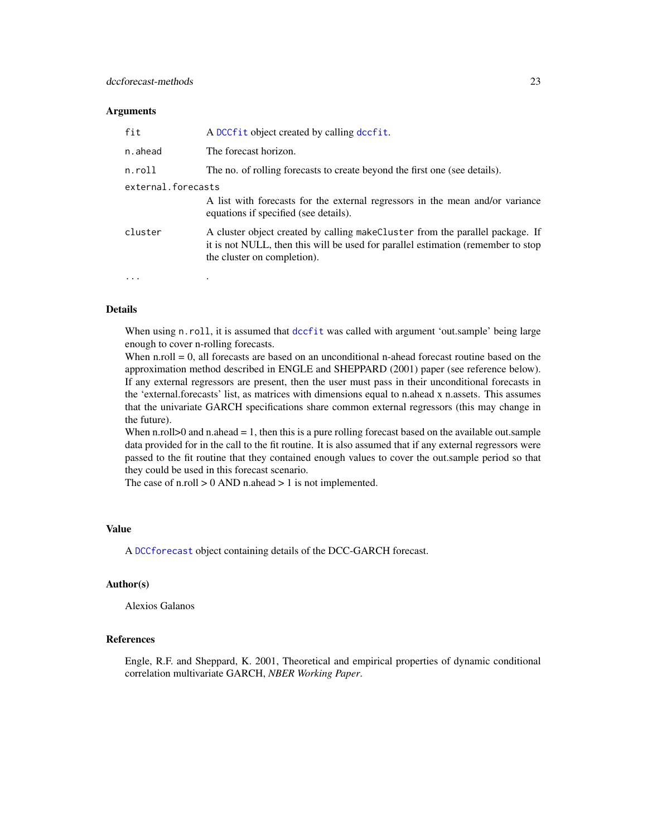#### **Arguments**

| fit                | A DCCfit object created by calling dccfit.                                                                                                                                                        |
|--------------------|---------------------------------------------------------------------------------------------------------------------------------------------------------------------------------------------------|
| n.ahead            | The forecast horizon.                                                                                                                                                                             |
| n.roll             | The no. of rolling forecasts to create beyond the first one (see details).                                                                                                                        |
| external.forecasts |                                                                                                                                                                                                   |
|                    | A list with forecasts for the external regressors in the mean and/or variance<br>equations if specified (see details).                                                                            |
| cluster            | A cluster object created by calling make Cluster from the parallel package. If<br>it is not NULL, then this will be used for parallel estimation (remember to stop<br>the cluster on completion). |
|                    |                                                                                                                                                                                                   |

# Details

When using n.roll, it is assumed that [dccfit](#page-19-1) was called with argument 'out.sample' being large enough to cover n-rolling forecasts.

When n.roll  $= 0$ , all forecasts are based on an unconditional n-ahead forecast routine based on the approximation method described in ENGLE and SHEPPARD (2001) paper (see reference below). If any external regressors are present, then the user must pass in their unconditional forecasts in the 'external.forecasts' list, as matrices with dimensions equal to n.ahead x n.assets. This assumes that the univariate GARCH specifications share common external regressors (this may change in the future).

When n.roll $>0$  and n.ahead  $= 1$ , then this is a pure rolling forecast based on the available out.sample data provided for in the call to the fit routine. It is also assumed that if any external regressors were passed to the fit routine that they contained enough values to cover the out.sample period so that they could be used in this forecast scenario.

The case of n.roll  $> 0$  AND n.ahead  $> 1$  is not implemented.

### Value

A [DCCforecast](#page-20-1) object containing details of the DCC-GARCH forecast.

#### Author(s)

Alexios Galanos

# References

Engle, R.F. and Sheppard, K. 2001, Theoretical and empirical properties of dynamic conditional correlation multivariate GARCH, *NBER Working Paper*.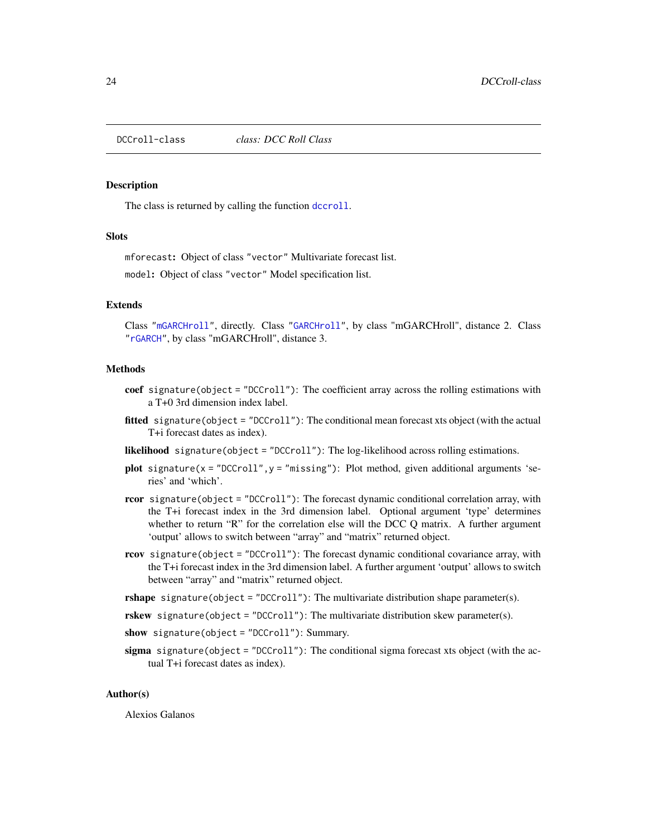<span id="page-23-1"></span><span id="page-23-0"></span>

# Description

The class is returned by calling the function [dccroll](#page-24-1).

#### **Slots**

mforecast: Object of class "vector" Multivariate forecast list.

model: Object of class "vector" Model specification list.

#### Extends

Class ["mGARCHroll"](#page-64-2), directly. Class ["GARCHroll"](#page-0-0), by class "mGARCHroll", distance 2. Class ["rGARCH"](#page-0-0), by class "mGARCHroll", distance 3.

#### Methods

- coef signature(object = "DCCroll"): The coefficient array across the rolling estimations with a T+0 3rd dimension index label.
- **fitted** signature(object = "DCCroll"): The conditional mean forecast xts object (with the actual T+i forecast dates as index).

likelihood signature(object = "DCCroll"): The log-likelihood across rolling estimations.

- plot signature( $x = "DCCrol1", y = "missing"$ ): Plot method, given additional arguments 'series' and 'which'.
- rcor signature(object = "DCCroll"): The forecast dynamic conditional correlation array, with the T+i forecast index in the 3rd dimension label. Optional argument 'type' determines whether to return " $R$ " for the correlation else will the DCC Q matrix. A further argument 'output' allows to switch between "array" and "matrix" returned object.
- rcov signature(object = "DCCroll"): The forecast dynamic conditional covariance array, with the T+i forecast index in the 3rd dimension label. A further argument 'output' allows to switch between "array" and "matrix" returned object.
- **signature(object = "DCCroll"): The multivariate distribution shape parameter(s).**
- rskew signature(object = "DCCroll"): The multivariate distribution skew parameter(s).
- show signature(object = "DCCroll"): Summary.
- sigma signature(object = "DCCroll"): The conditional sigma forecast xts object (with the actual T+i forecast dates as index).

#### Author(s)

Alexios Galanos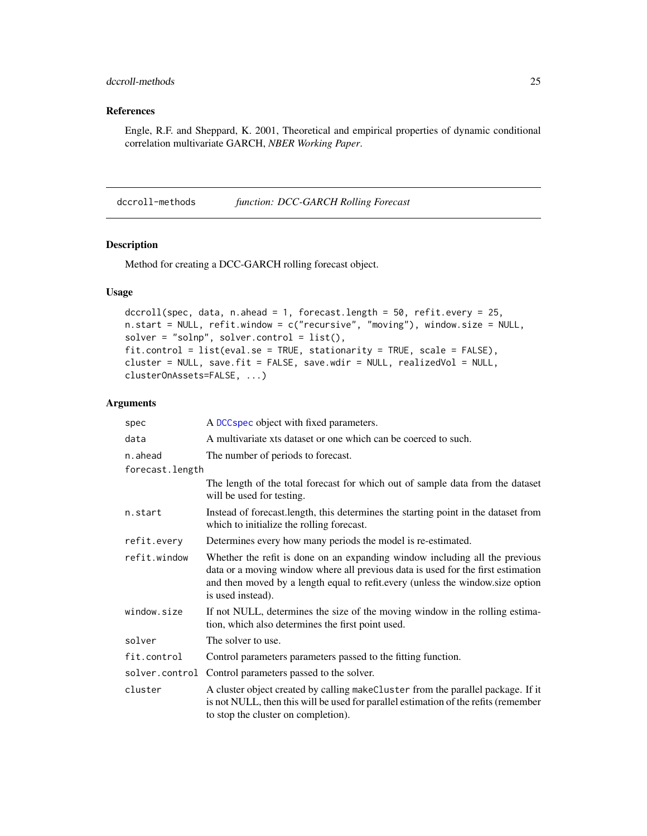# <span id="page-24-0"></span>dccroll-methods 25

# References

Engle, R.F. and Sheppard, K. 2001, Theoretical and empirical properties of dynamic conditional correlation multivariate GARCH, *NBER Working Paper*.

dccroll-methods *function: DCC-GARCH Rolling Forecast*

#### <span id="page-24-1"></span>Description

Method for creating a DCC-GARCH rolling forecast object.

# Usage

```
dccroll(spec, data, n.ahead = 1, forecast.length = 50, refit.every = 25,
n.start = NULL, refit.window = c("recursive", "moving"), window.size = NULL,
solver = "solnp", solver.contrib = list(),fit.control = list(eval.se = TRUE, stationarity = TRUE, scale = FALSE),
cluster = NULL, save.fit = FALSE, save.wdir = NULL, realizedVol = NULL,
clusterOnAssets=FALSE, ...)
```

| spec            | A DCC spec object with fixed parameters.                                                                                                                                                                                                                               |
|-----------------|------------------------------------------------------------------------------------------------------------------------------------------------------------------------------------------------------------------------------------------------------------------------|
| data            | A multivariate xts dataset or one which can be coerced to such.                                                                                                                                                                                                        |
| n.ahead         | The number of periods to forecast.                                                                                                                                                                                                                                     |
| forecast.length |                                                                                                                                                                                                                                                                        |
|                 | The length of the total forecast for which out of sample data from the dataset<br>will be used for testing.                                                                                                                                                            |
| n.start         | Instead of forecast. length, this determines the starting point in the dataset from<br>which to initialize the rolling forecast.                                                                                                                                       |
| refit.every     | Determines every how many periods the model is re-estimated.                                                                                                                                                                                                           |
| refit.window    | Whether the refit is done on an expanding window including all the previous<br>data or a moving window where all previous data is used for the first estimation<br>and then moved by a length equal to refit.every (unless the window.size option<br>is used instead). |
| window.size     | If not NULL, determines the size of the moving window in the rolling estima-<br>tion, which also determines the first point used.                                                                                                                                      |
| solver          | The solver to use.                                                                                                                                                                                                                                                     |
| fit.control     | Control parameters parameters passed to the fitting function.                                                                                                                                                                                                          |
|                 | solver.control Control parameters passed to the solver.                                                                                                                                                                                                                |
| cluster         | A cluster object created by calling makeCluster from the parallel package. If it<br>is not NULL, then this will be used for parallel estimation of the refits (remember<br>to stop the cluster on completion).                                                         |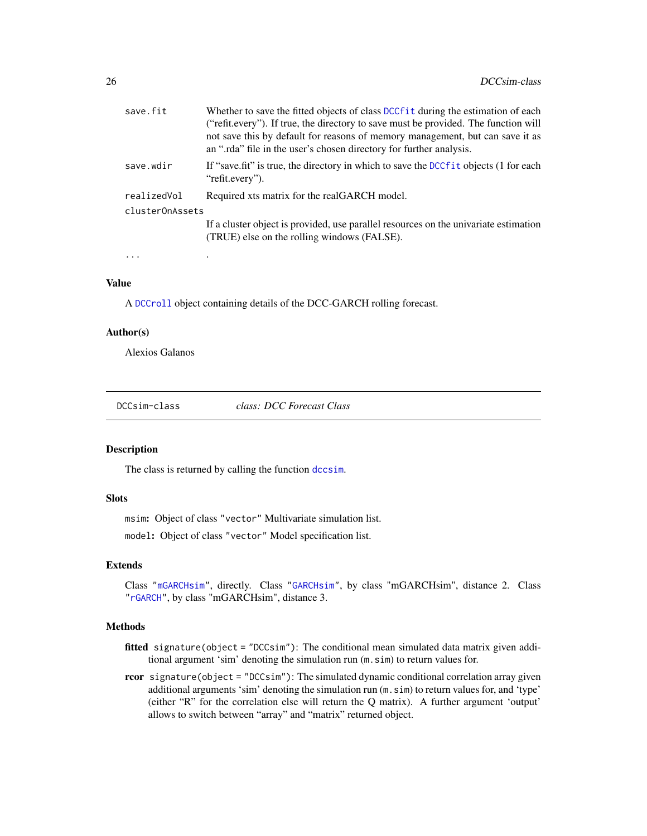<span id="page-25-0"></span>

| save.fit        | Whether to save the fitted objects of class DCCf it during the estimation of each<br>("refit.every"). If true, the directory to save must be provided. The function will |
|-----------------|--------------------------------------------------------------------------------------------------------------------------------------------------------------------------|
|                 | not save this by default for reasons of memory management, but can save it as<br>an ".rda" file in the user's chosen directory for further analysis.                     |
| save.wdir       | If "save fit" is true, the directory in which to save the DCC f i t objects (1 for each<br>"refit.every").                                                               |
| realizedVol     | Required xts matrix for the realGARCH model.                                                                                                                             |
| clusterOnAssets |                                                                                                                                                                          |
|                 | If a cluster object is provided, use parallel resources on the univariate estimation<br>(TRUE) else on the rolling windows (FALSE).                                      |
|                 |                                                                                                                                                                          |

#### Value

A [DCCroll](#page-23-1) object containing details of the DCC-GARCH rolling forecast.

# Author(s)

Alexios Galanos

<span id="page-25-1"></span>DCCsim-class *class: DCC Forecast Class*

#### Description

The class is returned by calling the function [dccsim](#page-26-1).

# Slots

msim: Object of class "vector" Multivariate simulation list.

model: Object of class "vector" Model specification list.

# Extends

Class ["mGARCHsim"](#page-65-1), directly. Class ["GARCHsim"](#page-0-0), by class "mGARCHsim", distance 2. Class ["rGARCH"](#page-0-0), by class "mGARCHsim", distance 3.

#### Methods

- fitted signature(object = "DCCsim"): The conditional mean simulated data matrix given additional argument 'sim' denoting the simulation run (m.sim) to return values for.
- rcor signature(object = "DCCsim"): The simulated dynamic conditional correlation array given additional arguments 'sim' denoting the simulation run (m.sim) to return values for, and 'type' (either "R" for the correlation else will return the Q matrix). A further argument 'output' allows to switch between "array" and "matrix" returned object.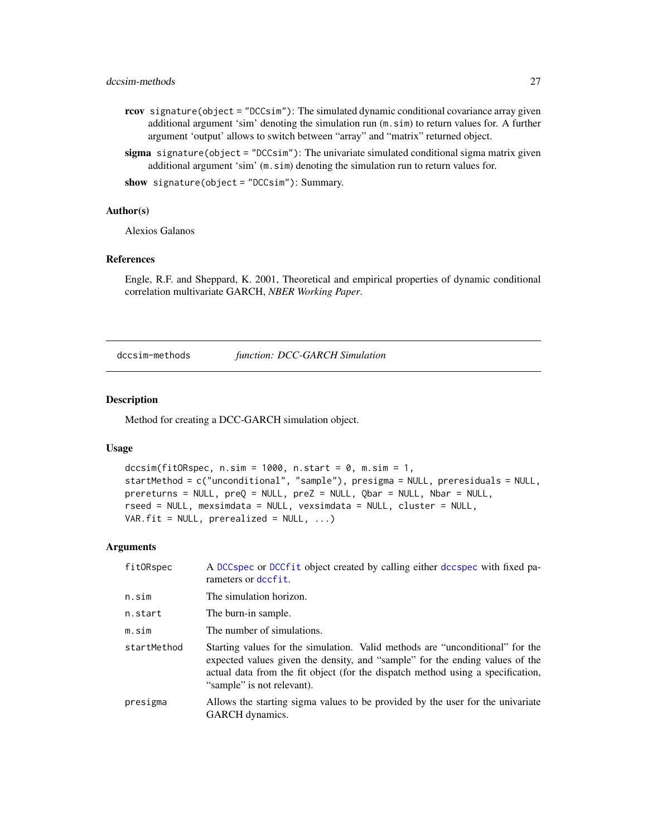# <span id="page-26-0"></span>dccsim-methods 27

- rcov signature(object = "DCCsim"): The simulated dynamic conditional covariance array given additional argument 'sim' denoting the simulation run (m.sim) to return values for. A further argument 'output' allows to switch between "array" and "matrix" returned object.
- sigma signature(object = " $DCCsim$ "): The univariate simulated conditional sigma matrix given additional argument 'sim' (m.sim) denoting the simulation run to return values for.

show signature(object = "DCCsim"): Summary.

#### Author(s)

Alexios Galanos

#### References

Engle, R.F. and Sheppard, K. 2001, Theoretical and empirical properties of dynamic conditional correlation multivariate GARCH, *NBER Working Paper*.

dccsim-methods *function: DCC-GARCH Simulation*

# <span id="page-26-1"></span>Description

Method for creating a DCC-GARCH simulation object.

#### Usage

```
dccsim(fitORspec, n.sim = 1000, n.start = 0, m.sim = 1,
startMethod = c("unconditional", "sample"), presigma = NULL, preresiduals = NULL,
prereturns = NULL, preQ = NULL, preZ = NULL, Qbar = NULL, Nbar = NULL,
rseed = NULL, mexsimdata = NULL, vexsimdata = NULL, cluster = NULL,
VAR.fit = NULL, preceding = NULL, ...
```

| fitORspec   | A DCCspec or DCCfit object created by calling either dccspec with fixed pa-<br>rameters or dccfit.                                                                                                                                                                             |
|-------------|--------------------------------------------------------------------------------------------------------------------------------------------------------------------------------------------------------------------------------------------------------------------------------|
| n.sim       | The simulation horizon.                                                                                                                                                                                                                                                        |
| n.start     | The burn-in sample.                                                                                                                                                                                                                                                            |
| m.sim       | The number of simulations.                                                                                                                                                                                                                                                     |
| startMethod | Starting values for the simulation. Valid methods are "unconditional" for the<br>expected values given the density, and "sample" for the ending values of the<br>actual data from the fit object (for the dispatch method using a specification,<br>"sample" is not relevant). |
| presigma    | Allows the starting sigma values to be provided by the user for the univariate<br>GARCH dynamics.                                                                                                                                                                              |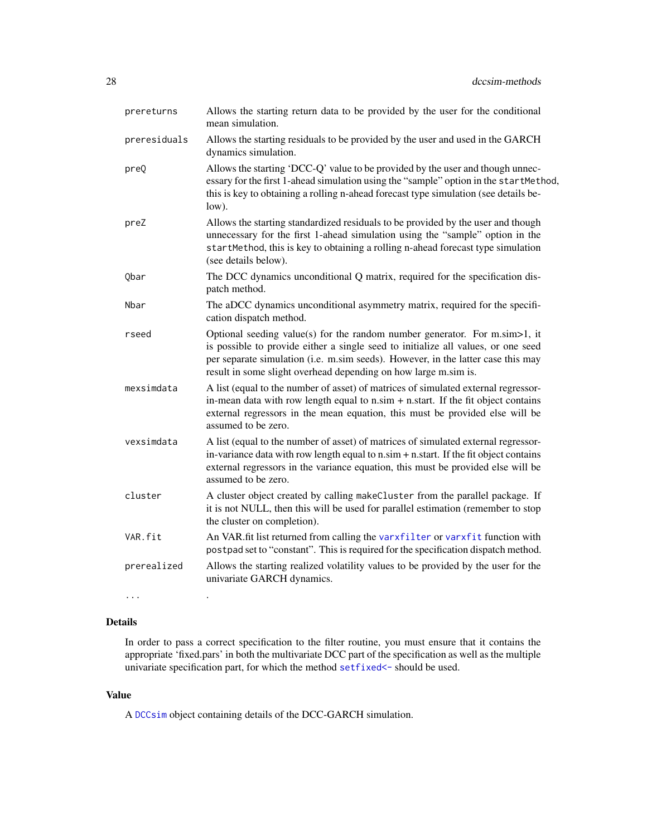| prereturns   | Allows the starting return data to be provided by the user for the conditional<br>mean simulation.                                                                                                                                                                                                                             |
|--------------|--------------------------------------------------------------------------------------------------------------------------------------------------------------------------------------------------------------------------------------------------------------------------------------------------------------------------------|
| preresiduals | Allows the starting residuals to be provided by the user and used in the GARCH<br>dynamics simulation.                                                                                                                                                                                                                         |
| preQ         | Allows the starting 'DCC-Q' value to be provided by the user and though unnec-<br>essary for the first 1-ahead simulation using the "sample" option in the startMethod,<br>this is key to obtaining a rolling n-ahead forecast type simulation (see details be-<br>low).                                                       |
| preZ         | Allows the starting standardized residuals to be provided by the user and though<br>unnecessary for the first 1-ahead simulation using the "sample" option in the<br>startMethod, this is key to obtaining a rolling n-ahead forecast type simulation<br>(see details below).                                                  |
| Qbar         | The DCC dynamics unconditional Q matrix, required for the specification dis-<br>patch method.                                                                                                                                                                                                                                  |
| Nbar         | The aDCC dynamics unconditional asymmetry matrix, required for the specifi-<br>cation dispatch method.                                                                                                                                                                                                                         |
| rseed        | Optional seeding value(s) for the random number generator. For $m \sin \ge 1$ , it<br>is possible to provide either a single seed to initialize all values, or one seed<br>per separate simulation (i.e. m.sim seeds). However, in the latter case this may<br>result in some slight overhead depending on how large m.sim is. |
| mexsimdata   | A list (equal to the number of asset) of matrices of simulated external regressor-<br>in-mean data with row length equal to $n \sin + n \cdot \text{start}$ . If the fit object contains<br>external regressors in the mean equation, this must be provided else will be<br>assumed to be zero.                                |
| vexsimdata   | A list (equal to the number of asset) of matrices of simulated external regressor-<br>in-variance data with row length equal to n.sim + n.start. If the fit object contains<br>external regressors in the variance equation, this must be provided else will be<br>assumed to be zero.                                         |
| cluster      | A cluster object created by calling makeCluster from the parallel package. If<br>it is not NULL, then this will be used for parallel estimation (remember to stop<br>the cluster on completion).                                                                                                                               |
| VAR.fit      | An VAR.fit list returned from calling the varxfilter or varxfit function with<br>postpad set to "constant". This is required for the specification dispatch method.                                                                                                                                                            |
| prerealized  | Allows the starting realized volatility values to be provided by the user for the<br>univariate GARCH dynamics.                                                                                                                                                                                                                |
| $\cdots$     |                                                                                                                                                                                                                                                                                                                                |

# Details

In order to pass a correct specification to the filter routine, you must ensure that it contains the appropriate 'fixed.pars' in both the multivariate DCC part of the specification as well as the multiple univariate specification part, for which the method [setfixed<-](#page-0-0) should be used.

# Value

A [DCCsim](#page-25-1) object containing details of the DCC-GARCH simulation.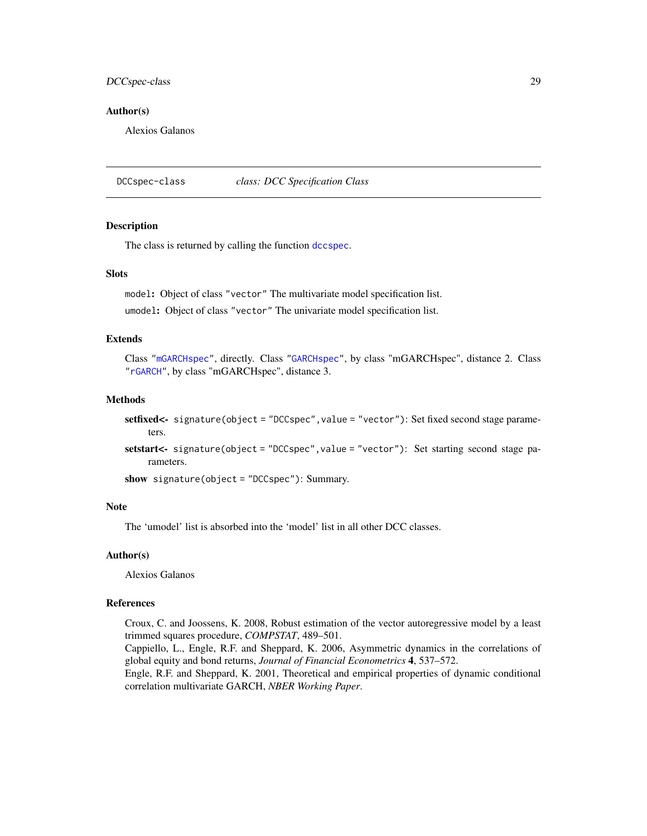# <span id="page-28-0"></span>DCCspec-class 29

#### Author(s)

Alexios Galanos

<span id="page-28-1"></span>DCCspec-class *class: DCC Specification Class*

# Description

The class is returned by calling the function [dccspec](#page-29-1).

# **Slots**

model: Object of class "vector" The multivariate model specification list.

umodel: Object of class "vector" The univariate model specification list.

#### Extends

Class ["mGARCHspec"](#page-65-2), directly. Class ["GARCHspec"](#page-0-0), by class "mGARCHspec", distance 2. Class ["rGARCH"](#page-0-0), by class "mGARCHspec", distance 3.

# Methods

```
setfixed<- signature(object = "DCCspec", value = "vector"): Set fixed second stage parame-
    ters.
```
setstart<- signature(object = "DCCspec", value = "vector"): Set starting second stage parameters.

show signature(object = "DCCspec"): Summary.

#### Note

The 'umodel' list is absorbed into the 'model' list in all other DCC classes.

#### Author(s)

Alexios Galanos

# References

Croux, C. and Joossens, K. 2008, Robust estimation of the vector autoregressive model by a least trimmed squares procedure, *COMPSTAT*, 489–501.

Cappiello, L., Engle, R.F. and Sheppard, K. 2006, Asymmetric dynamics in the correlations of global equity and bond returns, *Journal of Financial Econometrics* 4, 537–572.

Engle, R.F. and Sheppard, K. 2001, Theoretical and empirical properties of dynamic conditional correlation multivariate GARCH, *NBER Working Paper*.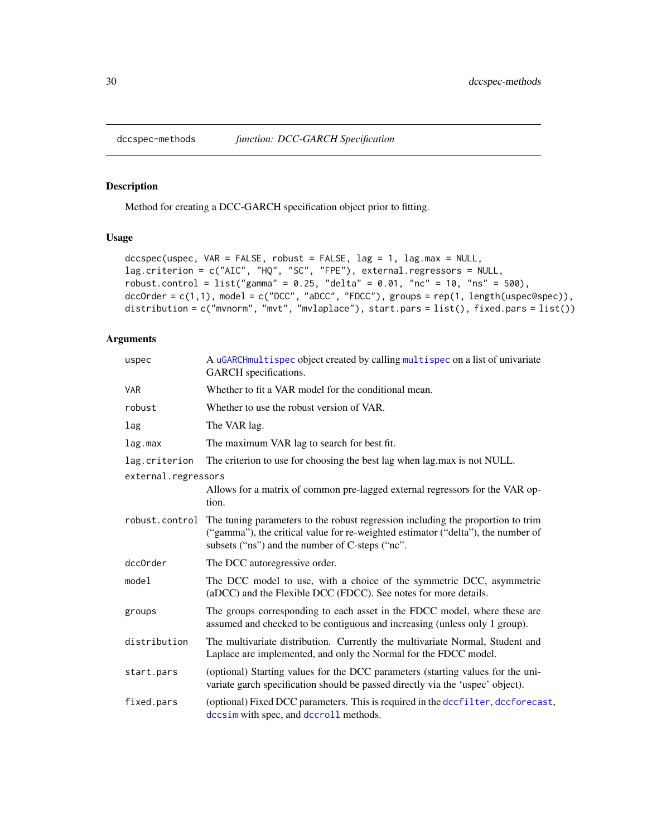<span id="page-29-0"></span>

# <span id="page-29-1"></span>Description

Method for creating a DCC-GARCH specification object prior to fitting.

# Usage

```
dccspec(uspec, VAR = FALSE, robust = FALSE, lag = 1, lag.max = NULL,lag.criterion = c("AIC", "HQ", "SC", "FPE"), external.regressors = NULL,
robust.control = list("gamma" = 0.25, "delta" = 0.01, "nc" = 10, "ns" = 500),
dccOrder = c(1,1), model = c("DCC", "aDCC", "FDCC"), groups = rep(1, length(uspec@spec)),
distribution = c("mvnorm", "mvt", "mvlaplace"), start.pars = list(), fixed.pars = list())
```

| uspec               | A uGARCHmultispec object created by calling multispec on a list of univariate<br>GARCH specifications.                                                                                                                                |
|---------------------|---------------------------------------------------------------------------------------------------------------------------------------------------------------------------------------------------------------------------------------|
| <b>VAR</b>          | Whether to fit a VAR model for the conditional mean.                                                                                                                                                                                  |
| robust              | Whether to use the robust version of VAR.                                                                                                                                                                                             |
| lag                 | The VAR lag.                                                                                                                                                                                                                          |
| lag.max             | The maximum VAR lag to search for best fit.                                                                                                                                                                                           |
| lag.criterion       | The criterion to use for choosing the best lag when lag max is not NULL.                                                                                                                                                              |
| external.regressors |                                                                                                                                                                                                                                       |
|                     | Allows for a matrix of common pre-lagged external regressors for the VAR op-<br>tion.                                                                                                                                                 |
|                     | robust.control The tuning parameters to the robust regression including the proportion to trim<br>("gamma"), the critical value for re-weighted estimator ("delta"), the number of<br>subsets ("ns") and the number of C-steps ("nc". |
| dcc0rder            | The DCC autoregressive order.                                                                                                                                                                                                         |
| model               | The DCC model to use, with a choice of the symmetric DCC, asymmetric<br>(aDCC) and the Flexible DCC (FDCC). See notes for more details.                                                                                               |
| groups              | The groups corresponding to each asset in the FDCC model, where these are<br>assumed and checked to be contiguous and increasing (unless only 1 group).                                                                               |
| distribution        | The multivariate distribution. Currently the multivariate Normal, Student and<br>Laplace are implemented, and only the Normal for the FDCC model.                                                                                     |
| start.pars          | (optional) Starting values for the DCC parameters (starting values for the uni-<br>variate garch specification should be passed directly via the 'uspec' object).                                                                     |
| fixed.pars          | (optional) Fixed DCC parameters. This is required in the dccfilter, dccforecast,<br>dccsim with spec, and dccroll methods.                                                                                                            |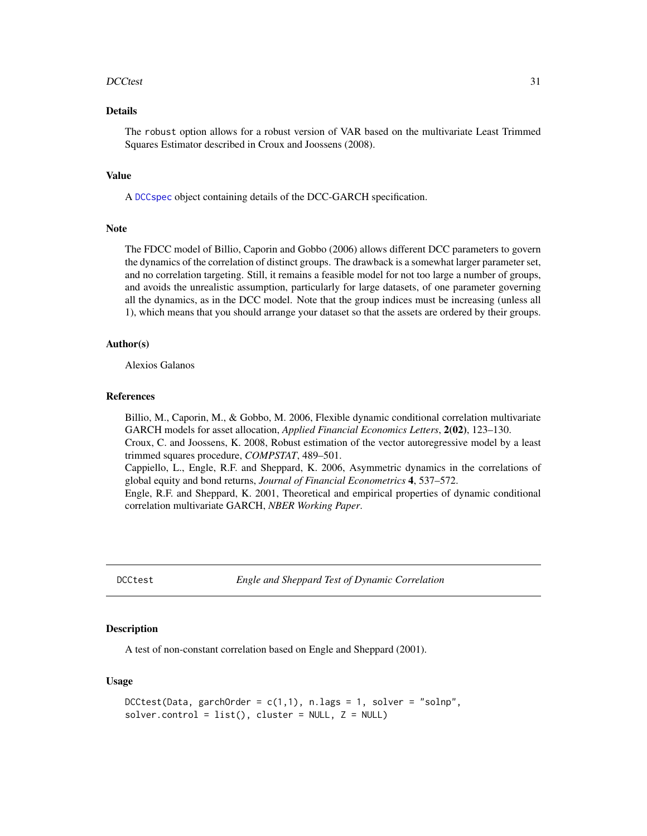#### <span id="page-30-0"></span>DCCtest 31

# Details

The robust option allows for a robust version of VAR based on the multivariate Least Trimmed Squares Estimator described in Croux and Joossens (2008).

#### Value

A [DCCspec](#page-28-1) object containing details of the DCC-GARCH specification.

#### Note

The FDCC model of Billio, Caporin and Gobbo (2006) allows different DCC parameters to govern the dynamics of the correlation of distinct groups. The drawback is a somewhat larger parameter set, and no correlation targeting. Still, it remains a feasible model for not too large a number of groups, and avoids the unrealistic assumption, particularly for large datasets, of one parameter governing all the dynamics, as in the DCC model. Note that the group indices must be increasing (unless all 1), which means that you should arrange your dataset so that the assets are ordered by their groups.

#### Author(s)

Alexios Galanos

#### References

Billio, M., Caporin, M., & Gobbo, M. 2006, Flexible dynamic conditional correlation multivariate GARCH models for asset allocation, *Applied Financial Economics Letters*, 2(02), 123–130.

Croux, C. and Joossens, K. 2008, Robust estimation of the vector autoregressive model by a least trimmed squares procedure, *COMPSTAT*, 489–501.

Cappiello, L., Engle, R.F. and Sheppard, K. 2006, Asymmetric dynamics in the correlations of global equity and bond returns, *Journal of Financial Econometrics* 4, 537–572.

Engle, R.F. and Sheppard, K. 2001, Theoretical and empirical properties of dynamic conditional correlation multivariate GARCH, *NBER Working Paper*.

DCCtest *Engle and Sheppard Test of Dynamic Correlation*

# Description

A test of non-constant correlation based on Engle and Sheppard (2001).

#### Usage

```
DCtest(Data, garchOrder = c(1,1), n-lags = 1, solver = "solnp",solver.control = list(), cluster = NULL, Z = NULL
```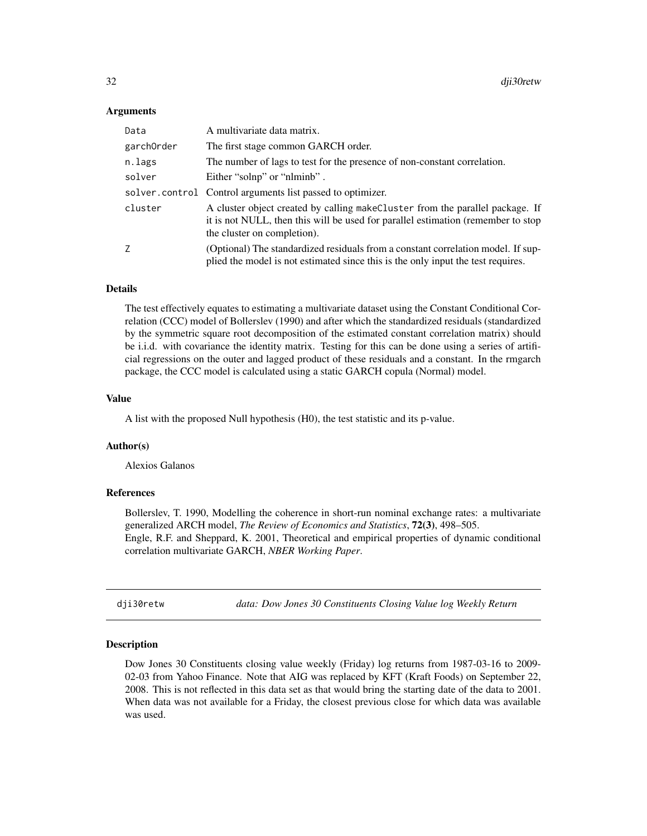# <span id="page-31-0"></span>Arguments

| Data       | A multivariate data matrix.                                                                                                                                                                       |
|------------|---------------------------------------------------------------------------------------------------------------------------------------------------------------------------------------------------|
| garch0rder | The first stage common GARCH order.                                                                                                                                                               |
| n.lags     | The number of lags to test for the presence of non-constant correlation.                                                                                                                          |
| solver     | Either "solnp" or "nlminb".                                                                                                                                                                       |
|            | solver.control Control arguments list passed to optimizer.                                                                                                                                        |
| cluster    | A cluster object created by calling make Cluster from the parallel package. If<br>it is not NULL, then this will be used for parallel estimation (remember to stop<br>the cluster on completion). |
| Ζ          | (Optional) The standardized residuals from a constant correlation model. If sup-<br>plied the model is not estimated since this is the only input the test requires.                              |

## Details

The test effectively equates to estimating a multivariate dataset using the Constant Conditional Correlation (CCC) model of Bollerslev (1990) and after which the standardized residuals (standardized by the symmetric square root decomposition of the estimated constant correlation matrix) should be i.i.d. with covariance the identity matrix. Testing for this can be done using a series of artificial regressions on the outer and lagged product of these residuals and a constant. In the rmgarch package, the CCC model is calculated using a static GARCH copula (Normal) model.

#### Value

A list with the proposed Null hypothesis (H0), the test statistic and its p-value.

# Author(s)

Alexios Galanos

#### References

Bollerslev, T. 1990, Modelling the coherence in short-run nominal exchange rates: a multivariate generalized ARCH model, *The Review of Economics and Statistics*, 72(3), 498–505. Engle, R.F. and Sheppard, K. 2001, Theoretical and empirical properties of dynamic conditional correlation multivariate GARCH, *NBER Working Paper*.

dji30retw *data: Dow Jones 30 Constituents Closing Value log Weekly Return*

#### Description

Dow Jones 30 Constituents closing value weekly (Friday) log returns from 1987-03-16 to 2009- 02-03 from Yahoo Finance. Note that AIG was replaced by KFT (Kraft Foods) on September 22, 2008. This is not reflected in this data set as that would bring the starting date of the data to 2001. When data was not available for a Friday, the closest previous close for which data was available was used.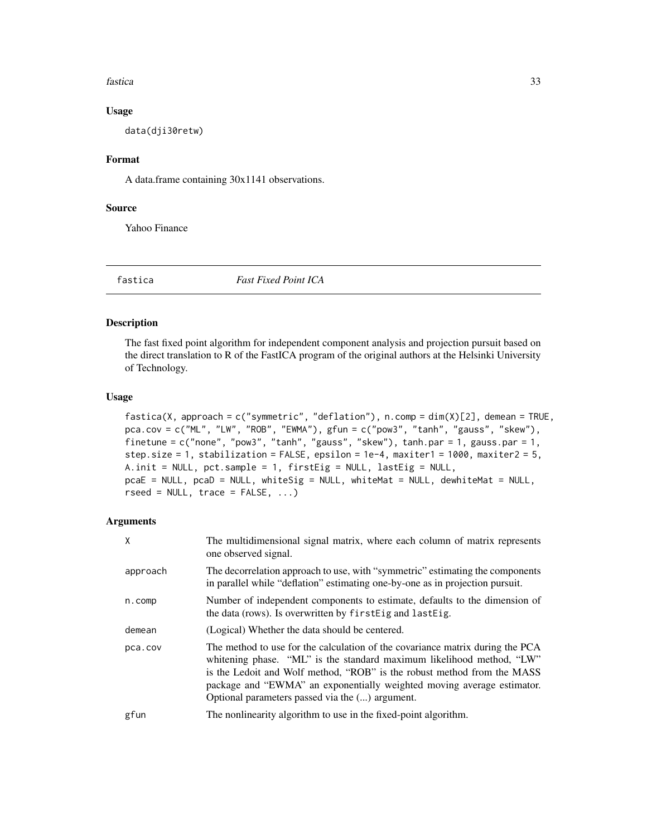#### <span id="page-32-0"></span>fastica and the set of the set of the set of the set of the set of the set of the set of the set of the set of the set of the set of the set of the set of the set of the set of the set of the set of the set of the set of t

#### Usage

data(dji30retw)

# Format

A data.frame containing 30x1141 observations.

# Source

Yahoo Finance

fastica *Fast Fixed Point ICA*

# Description

The fast fixed point algorithm for independent component analysis and projection pursuit based on the direct translation to R of the FastICA program of the original authors at the Helsinki University of Technology.

#### Usage

```
fastica(X, approach = c("symmetric", "deflation"), n.comp = dim(X)[2], demean = TRUE,
pca.cov = c("ML", "LW", "ROB", "EWMA"), gfun = c("pow3", "tanh", "gauss", "skew"),
finetune = c("none", "pow3", "tanh", "gauss", "skew"), tanh.par = 1, gauss.par = 1,step.size = 1, stabilization = FALSE, epsilon = 1e-4, maxiter1 = 1000, maxiter2 = 5,
A.init = NULL, pct.sample = 1, firstEig = NULL, lastEig = NULL,
pcaE = NULL, pcaD = NULL, whiteSig = NULL, whiteMat = NULL, dewhiteMat = NULL,
rseed = NULL, trace = FALSE, ...)
```

| X        | The multidimensional signal matrix, where each column of matrix represents<br>one observed signal.                                                                                                                                                                                                                                                             |
|----------|----------------------------------------------------------------------------------------------------------------------------------------------------------------------------------------------------------------------------------------------------------------------------------------------------------------------------------------------------------------|
| approach | The decorrelation approach to use, with "symmetric" estimating the components<br>in parallel while "deflation" estimating one-by-one as in projection pursuit.                                                                                                                                                                                                 |
| n.comp   | Number of independent components to estimate, defaults to the dimension of<br>the data (rows). Is overwritten by first Eig and last Eig.                                                                                                                                                                                                                       |
| demean   | (Logical) Whether the data should be centered.                                                                                                                                                                                                                                                                                                                 |
| pca.cov  | The method to use for the calculation of the covariance matrix during the PCA<br>whitening phase. "ML" is the standard maximum likelihood method, "LW"<br>is the Ledoit and Wolf method, "ROB" is the robust method from the MASS<br>package and "EWMA" an exponentially weighted moving average estimator.<br>Optional parameters passed via the () argument. |
| gfun     | The nonlinearity algorithm to use in the fixed-point algorithm.                                                                                                                                                                                                                                                                                                |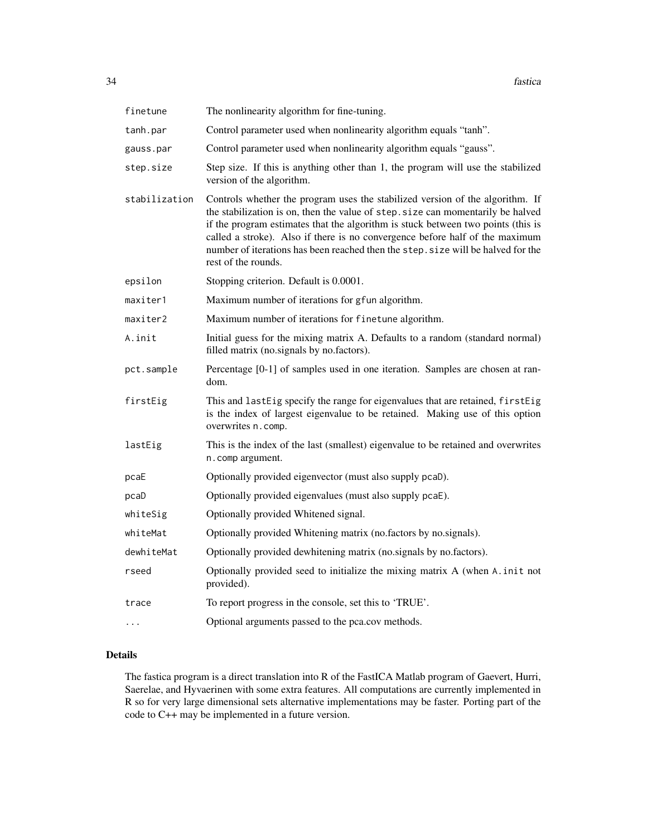| finetune      | The nonlinearity algorithm for fine-tuning.                                                                                                                                                                                                                                                                                                                                                                                                     |
|---------------|-------------------------------------------------------------------------------------------------------------------------------------------------------------------------------------------------------------------------------------------------------------------------------------------------------------------------------------------------------------------------------------------------------------------------------------------------|
| tanh.par      | Control parameter used when nonlinearity algorithm equals "tanh".                                                                                                                                                                                                                                                                                                                                                                               |
| gauss.par     | Control parameter used when nonlinearity algorithm equals "gauss".                                                                                                                                                                                                                                                                                                                                                                              |
| step.size     | Step size. If this is anything other than 1, the program will use the stabilized<br>version of the algorithm.                                                                                                                                                                                                                                                                                                                                   |
| stabilization | Controls whether the program uses the stabilized version of the algorithm. If<br>the stabilization is on, then the value of step. size can momentarily be halved<br>if the program estimates that the algorithm is stuck between two points (this is<br>called a stroke). Also if there is no convergence before half of the maximum<br>number of iterations has been reached then the step. size will be halved for the<br>rest of the rounds. |
| epsilon       | Stopping criterion. Default is 0.0001.                                                                                                                                                                                                                                                                                                                                                                                                          |
| maxiter1      | Maximum number of iterations for gfun algorithm.                                                                                                                                                                                                                                                                                                                                                                                                |
| maxiter2      | Maximum number of iterations for finetune algorithm.                                                                                                                                                                                                                                                                                                                                                                                            |
| A.init        | Initial guess for the mixing matrix A. Defaults to a random (standard normal)<br>filled matrix (no.signals by no.factors).                                                                                                                                                                                                                                                                                                                      |
| pct.sample    | Percentage [0-1] of samples used in one iteration. Samples are chosen at ran-<br>dom.                                                                                                                                                                                                                                                                                                                                                           |
| firstEig      | This and lastEig specify the range for eigenvalues that are retained, firstEig<br>is the index of largest eigenvalue to be retained. Making use of this option<br>overwrites n.comp.                                                                                                                                                                                                                                                            |
| lastEig       | This is the index of the last (smallest) eigenvalue to be retained and overwrites<br>n.comp argument.                                                                                                                                                                                                                                                                                                                                           |
| pcaE          | Optionally provided eigenvector (must also supply pcaD).                                                                                                                                                                                                                                                                                                                                                                                        |
| pcaD          | Optionally provided eigenvalues (must also supply pcaE).                                                                                                                                                                                                                                                                                                                                                                                        |
| whiteSig      | Optionally provided Whitened signal.                                                                                                                                                                                                                                                                                                                                                                                                            |
| whiteMat      | Optionally provided Whitening matrix (no.factors by no.signals).                                                                                                                                                                                                                                                                                                                                                                                |
| dewhiteMat    | Optionally provided dewhitening matrix (no.signals by no.factors).                                                                                                                                                                                                                                                                                                                                                                              |
| rseed         | Optionally provided seed to initialize the mixing matrix A (when A. init not<br>provided).                                                                                                                                                                                                                                                                                                                                                      |
| trace         | To report progress in the console, set this to 'TRUE'.                                                                                                                                                                                                                                                                                                                                                                                          |
| .             | Optional arguments passed to the pca.cov methods.                                                                                                                                                                                                                                                                                                                                                                                               |

### Details

The fastica program is a direct translation into R of the FastICA Matlab program of Gaevert, Hurri, Saerelae, and Hyvaerinen with some extra features. All computations are currently implemented in R so for very large dimensional sets alternative implementations may be faster. Porting part of the code to C++ may be implemented in a future version.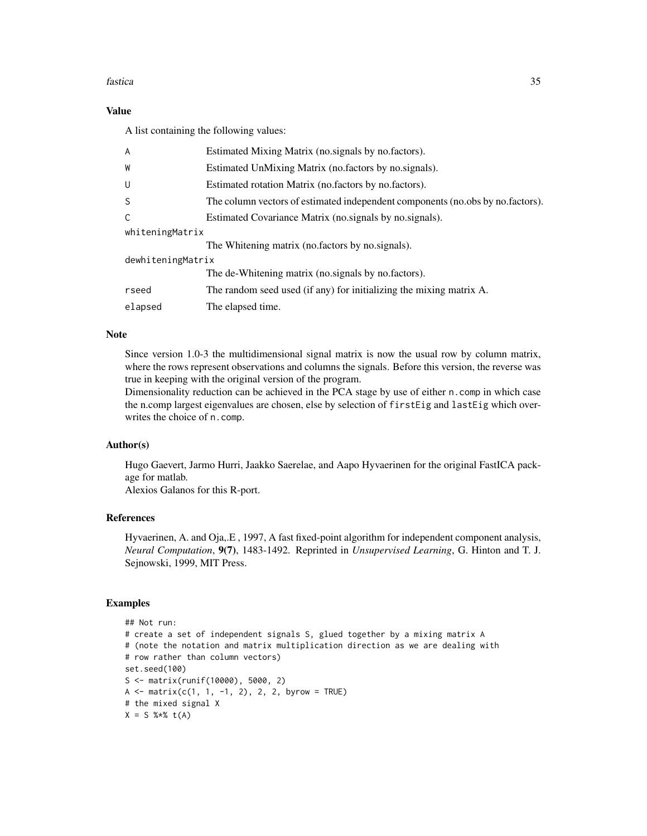#### fastica 35

# Value

A list containing the following values:

| A                 | Estimated Mixing Matrix (no.signals by no.factors).                            |  |
|-------------------|--------------------------------------------------------------------------------|--|
| W                 | Estimated UnMixing Matrix (no.factors by no.signals).                          |  |
| U                 | Estimated rotation Matrix (no.factors by no.factors).                          |  |
| S                 | The column vectors of estimated independent components (no.obs by no.factors). |  |
| C                 | Estimated Covariance Matrix (no. signals by no. signals).                      |  |
| whiteningMatrix   |                                                                                |  |
|                   | The Whitening matrix (no.factors by no.signals).                               |  |
| dewhiteningMatrix |                                                                                |  |
|                   | The de-Whitening matrix (no.signals by no.factors).                            |  |
| rseed             | The random seed used (if any) for initializing the mixing matrix A.            |  |
| elapsed           | The elapsed time.                                                              |  |

# Note

Since version 1.0-3 the multidimensional signal matrix is now the usual row by column matrix, where the rows represent observations and columns the signals. Before this version, the reverse was true in keeping with the original version of the program.

Dimensionality reduction can be achieved in the PCA stage by use of either n.comp in which case the n.comp largest eigenvalues are chosen, else by selection of firstEig and lastEig which overwrites the choice of n.comp.

# Author(s)

Hugo Gaevert, Jarmo Hurri, Jaakko Saerelae, and Aapo Hyvaerinen for the original FastICA package for matlab.

Alexios Galanos for this R-port.

# References

Hyvaerinen, A. and Oja,.E , 1997, A fast fixed-point algorithm for independent component analysis, *Neural Computation*, 9(7), 1483-1492. Reprinted in *Unsupervised Learning*, G. Hinton and T. J. Sejnowski, 1999, MIT Press.

# Examples

```
## Not run:
# create a set of independent signals S, glued together by a mixing matrix A
# (note the notation and matrix multiplication direction as we are dealing with
# row rather than column vectors)
set.seed(100)
S <- matrix(runif(10000), 5000, 2)
A \leq - matrix(c(1, 1, -1, 2), 2, 2, byrow = TRUE)
# the mixed signal X
X = S % * t(A)
```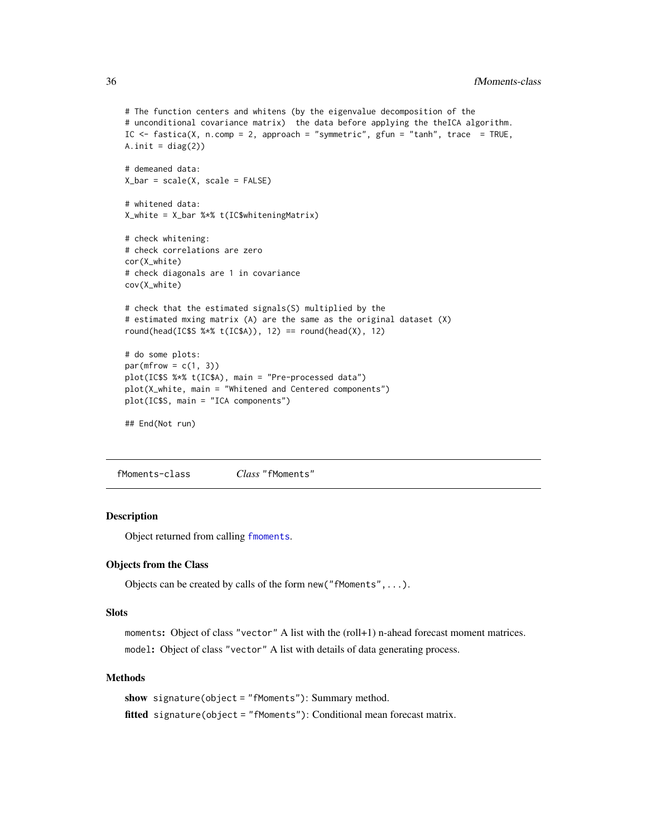```
# The function centers and whitens (by the eigenvalue decomposition of the
# unconditional covariance matrix) the data before applying the theICA algorithm.
IC \le fastica(X, n.comp = 2, approach = "symmetric", gfun = "tanh", trace = TRUE,
A.init = diag(2)# demeaned data:
X_bar = scale(X, scale = FALSE)
# whitened data:
X_white = X_bar %*% t(IC$whiteningMatrix)
# check whitening:
# check correlations are zero
cor(X_white)
# check diagonals are 1 in covariance
cov(X_white)
# check that the estimated signals(S) multiplied by the
# estimated mxing matrix (A) are the same as the original dataset (X)
round(head(IC$S %*% t(IC$A)), 12) == round(head(X), 12)
# do some plots:
par(mfrow = c(1, 3))plot(IC$S %*% t(IC$A), main = "Pre-processed data")
plot(X_white, main = "Whitened and Centered components")
plot(IC$S, main = "ICA components")
## End(Not run)
```
fMoments-class *Class* "fMoments"

### **Description**

Object returned from calling [fmoments](#page-36-1).

#### Objects from the Class

Objects can be created by calls of the form new("fMoments",...).

#### **Slots**

moments: Object of class "vector" A list with the (roll+1) n-ahead forecast moment matrices. model: Object of class "vector" A list with details of data generating process.

# Methods

```
show signature(object = "fMoments"): Summary method.
fitted signature(object = "fMoments"): Conditional mean forecast matrix.
```
<span id="page-35-0"></span>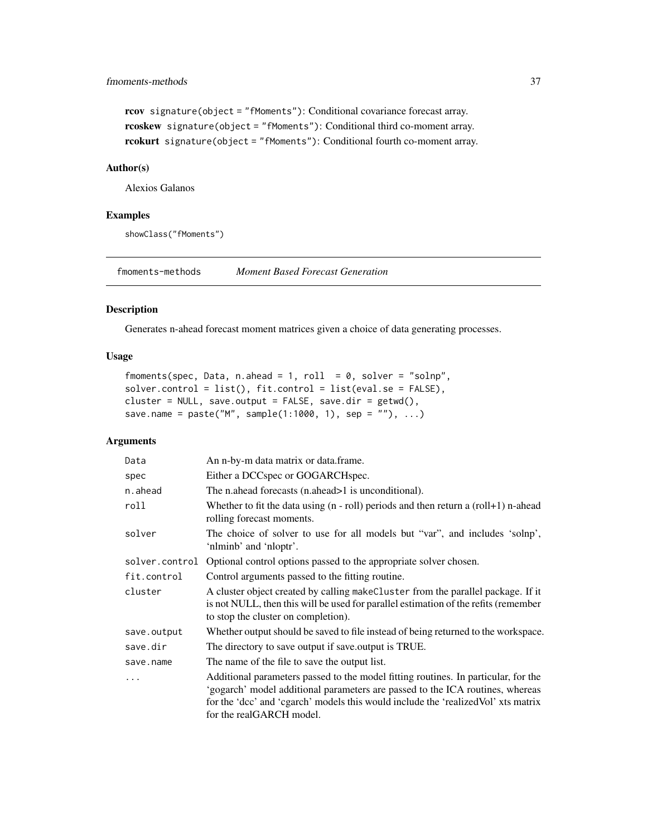# fmoments-methods 37

```
rcov signature(object = "fMoments"): Conditional covariance forecast array.
rcoskew signature(object = "fMoments"): Conditional third co-moment array.
rcokurt signature(object = "fMoments"): Conditional fourth co-moment array.
```
# Author(s)

Alexios Galanos

# Examples

showClass("fMoments")

fmoments-methods *Moment Based Forecast Generation*

### <span id="page-36-0"></span>Description

Generates n-ahead forecast moment matrices given a choice of data generating processes.

### Usage

```
fmoments(spec, Data, n.ahead = 1, roll = 0, solver = "solnp",
solver.control = list(), fit.control = list(eval.se = FALSE),
cluster = NULL, save.output = FALSE, save.dir = getwd(),
save.name = paste("M", sample(1:1000, 1), sep = ""), ...)
```
# Arguments

| Data           | An n-by-m data matrix or data.frame.                                                                                                                                                                                                                                                  |
|----------------|---------------------------------------------------------------------------------------------------------------------------------------------------------------------------------------------------------------------------------------------------------------------------------------|
| spec           | Either a DCCspec or GOGARCHspec.                                                                                                                                                                                                                                                      |
| n.ahead        | The n.ahead forecasts (n.ahead>1 is unconditional).                                                                                                                                                                                                                                   |
| roll           | Whether to fit the data using $(n - roll)$ periods and then return a $roll+1)$ n-ahead<br>rolling forecast moments.                                                                                                                                                                   |
| solver         | The choice of solver to use for all models but "var", and includes 'solnp',<br>'nlminb' and 'nloptr'.                                                                                                                                                                                 |
| solver.control | Optional control options passed to the appropriate solver chosen.                                                                                                                                                                                                                     |
| fit.control    | Control arguments passed to the fitting routine.                                                                                                                                                                                                                                      |
| cluster        | A cluster object created by calling make Cluster from the parallel package. If it<br>is not NULL, then this will be used for parallel estimation of the refits (remember<br>to stop the cluster on completion).                                                                       |
| save.output    | Whether output should be saved to file instead of being returned to the workspace.                                                                                                                                                                                                    |
| save.dir       | The directory to save output if save output is TRUE.                                                                                                                                                                                                                                  |
| save.name      | The name of the file to save the output list.                                                                                                                                                                                                                                         |
| $\ddots$       | Additional parameters passed to the model fitting routines. In particular, for the<br>'gogarch' model additional parameters are passed to the ICA routines, whereas<br>for the 'dcc' and 'cgarch' models this would include the 'realized Vol' xts matrix<br>for the realGARCH model. |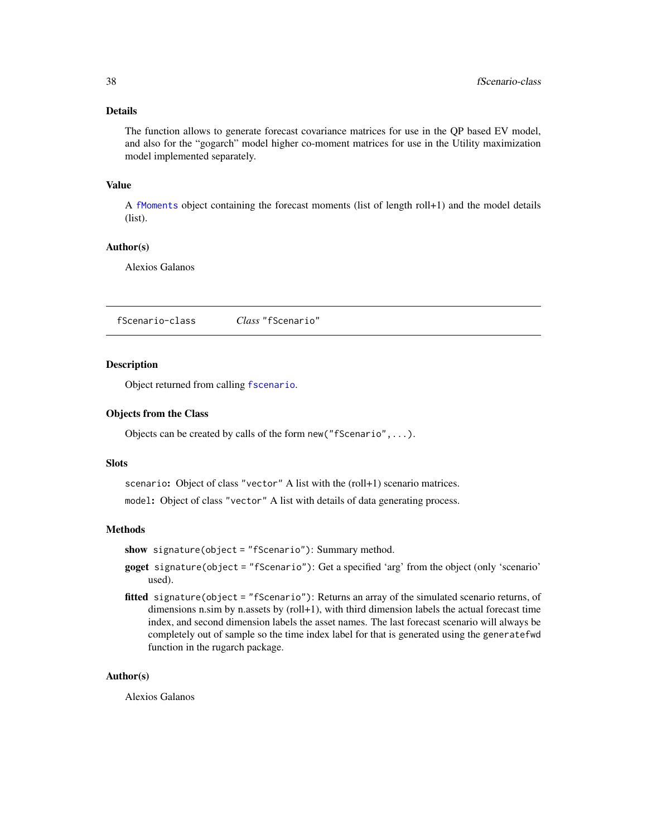# Details

The function allows to generate forecast covariance matrices for use in the QP based EV model, and also for the "gogarch" model higher co-moment matrices for use in the Utility maximization model implemented separately.

# Value

A [fMoments](#page-35-0) object containing the forecast moments (list of length roll+1) and the model details (list).

#### Author(s)

Alexios Galanos

<span id="page-37-0"></span>fScenario-class *Class* "fScenario"

#### Description

Object returned from calling [fscenario](#page-38-0).

# Objects from the Class

Objects can be created by calls of the form new ("fScenario", ... ).

#### **Slots**

scenario: Object of class "vector" A list with the (roll+1) scenario matrices.

model: Object of class "vector" A list with details of data generating process.

#### Methods

show signature(object = "fScenario"): Summary method.

- goget signature(object = "fScenario"): Get a specified 'arg' from the object (only 'scenario' used).
- fitted signature(object = "fScenario"): Returns an array of the simulated scenario returns, of dimensions n.sim by n.assets by (roll+1), with third dimension labels the actual forecast time index, and second dimension labels the asset names. The last forecast scenario will always be completely out of sample so the time index label for that is generated using the generatefwd function in the rugarch package.

### Author(s)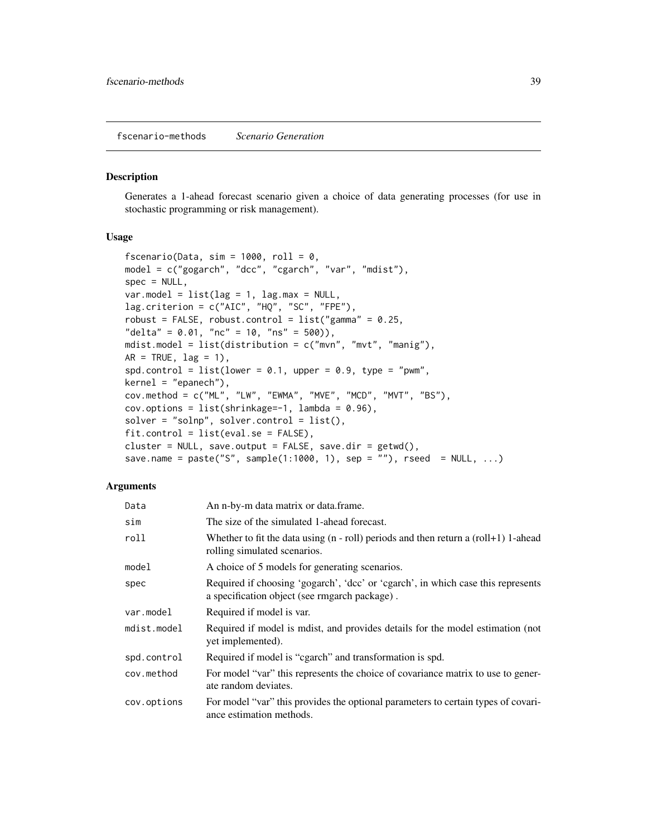fscenario-methods *Scenario Generation*

#### <span id="page-38-0"></span>Description

Generates a 1-ahead forecast scenario given a choice of data generating processes (for use in stochastic programming or risk management).

### Usage

```
fscenario(Data, sim = 1000, roll = 0,
model = c("gogarch", "dcc", "cgarch", "var", "mdist"),
spec = NULL,var.model = list(lag = 1, lag.max = NULL,lag.criterion = c("AIC", "HQ", "SC", "FPE"),
robust = FALSE, robust.control = list("gamma" = 0.25,"delta" = 0.01, "nc" = 10, "ns" = 500)),
mdist.model = list(distribution = c("mvn", "mvt", "manig"),
AR = TRUE, lag = 1),
spd.control = list(lower = 0.1, upper = 0.9, type = "pwm",
kernel = "epanech"),
cov.method = c("ML", "LW", "EWMA", "MVE", "MCD", "MVT", "BS"),
cov. options = list(shrinkage=-1, lambda = 0.96),
solver = "solnp", solver.contrib = list(),fit-control = list(eval.se = FALSE),cluster = NULL, save.output = FALSE, save.dir = getwd(),
save.name = paste("S", sample(1:1000, 1), sep = ""), rseed = NULL, ...)
```
## Arguments

| Data        | An n-by-m data matrix or data.frame.                                                                                              |
|-------------|-----------------------------------------------------------------------------------------------------------------------------------|
| sim         | The size of the simulated 1-ahead forecast.                                                                                       |
| roll        | Whether to fit the data using $(n - roll)$ periods and then return a $(roll+1)$ 1-ahead<br>rolling simulated scenarios.           |
| model       | A choice of 5 models for generating scenarios.                                                                                    |
| spec        | Required if choosing 'gogarch', 'dcc' or 'cgarch', in which case this represents<br>a specification object (see rmgarch package). |
| var.model   | Required if model is var.                                                                                                         |
| mdist.model | Required if model is model, and provides details for the model estimation (not<br>yet implemented).                               |
| spd.control | Required if model is "cgarch" and transformation is spd.                                                                          |
| cov.method  | For model "var" this represents the choice of covariance matrix to use to gener-<br>ate random deviates.                          |
| cov.options | For model "var" this provides the optional parameters to certain types of covari-<br>ance estimation methods.                     |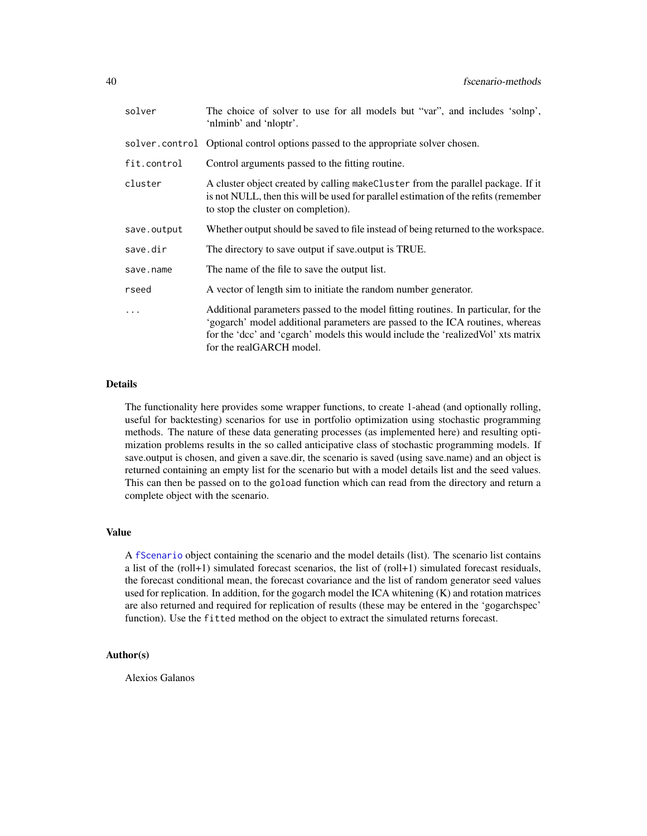| solver      | The choice of solver to use for all models but "var", and includes 'solnp',<br>'nlminb' and 'nloptr'.                                                                                                                                                                                 |
|-------------|---------------------------------------------------------------------------------------------------------------------------------------------------------------------------------------------------------------------------------------------------------------------------------------|
|             | solver.control Optional control options passed to the appropriate solver chosen.                                                                                                                                                                                                      |
| fit.control | Control arguments passed to the fitting routine.                                                                                                                                                                                                                                      |
| cluster     | A cluster object created by calling make Cluster from the parallel package. If it<br>is not NULL, then this will be used for parallel estimation of the refits (remember<br>to stop the cluster on completion).                                                                       |
| save.output | Whether output should be saved to file instead of being returned to the workspace.                                                                                                                                                                                                    |
| save.dir    | The directory to save output if save output is TRUE.                                                                                                                                                                                                                                  |
| save.name   | The name of the file to save the output list.                                                                                                                                                                                                                                         |
| rseed       | A vector of length sim to initiate the random number generator.                                                                                                                                                                                                                       |
| .           | Additional parameters passed to the model fitting routines. In particular, for the<br>'gogarch' model additional parameters are passed to the ICA routines, whereas<br>for the 'dcc' and 'cgarch' models this would include the 'realized Vol' xts matrix<br>for the realGARCH model. |

## Details

The functionality here provides some wrapper functions, to create 1-ahead (and optionally rolling, useful for backtesting) scenarios for use in portfolio optimization using stochastic programming methods. The nature of these data generating processes (as implemented here) and resulting optimization problems results in the so called anticipative class of stochastic programming models. If save.output is chosen, and given a save.dir, the scenario is saved (using save.name) and an object is returned containing an empty list for the scenario but with a model details list and the seed values. This can then be passed on to the goload function which can read from the directory and return a complete object with the scenario.

#### Value

A [fScenario](#page-37-0) object containing the scenario and the model details (list). The scenario list contains a list of the (roll+1) simulated forecast scenarios, the list of (roll+1) simulated forecast residuals, the forecast conditional mean, the forecast covariance and the list of random generator seed values used for replication. In addition, for the gogarch model the ICA whitening (K) and rotation matrices are also returned and required for replication of results (these may be entered in the 'gogarchspec' function). Use the fitted method on the object to extract the simulated returns forecast.

# Author(s)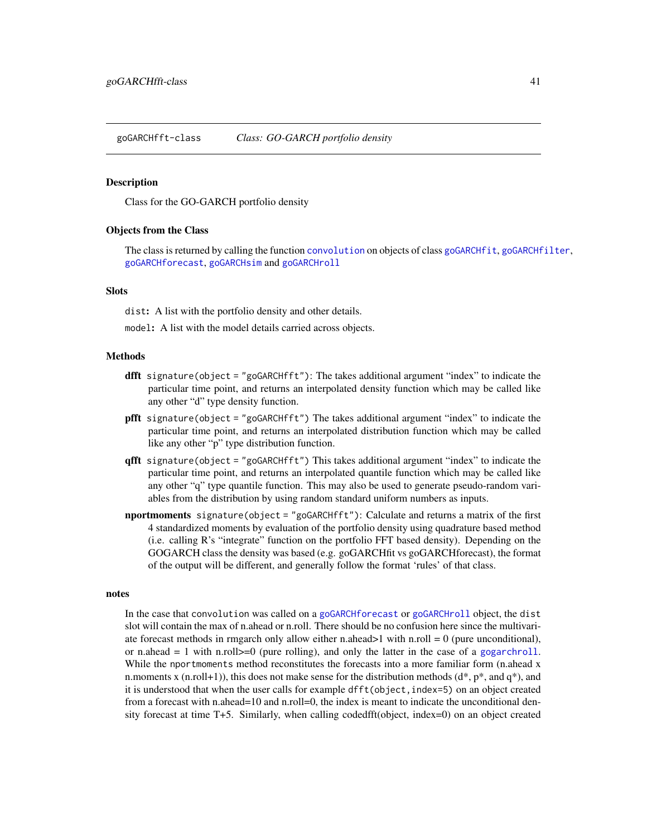goGARCHfft-class *Class: GO-GARCH portfolio density*

### Description

Class for the GO-GARCH portfolio density

#### Objects from the Class

The class is returned by calling the function [convolution](#page-45-0) on objects of class [goGARCHfit](#page-45-1), [goGARCHfilter](#page-41-0), [goGARCHforecast](#page-49-0), [goGARCHsim](#page-56-0) and [goGARCHroll](#page-53-0)

## **Slots**

dist: A list with the portfolio density and other details.

model: A list with the model details carried across objects.

#### Methods

- **dfft** signature(object = "goGARCHfft"): The takes additional argument "index" to indicate the particular time point, and returns an interpolated density function which may be called like any other "d" type density function.
- pfft signature(object = "goGARCHfft") The takes additional argument "index" to indicate the particular time point, and returns an interpolated distribution function which may be called like any other "p" type distribution function.
- qfft signature(object = "goGARCHfft") This takes additional argument "index" to indicate the particular time point, and returns an interpolated quantile function which may be called like any other "q" type quantile function. This may also be used to generate pseudo-random variables from the distribution by using random standard uniform numbers as inputs.
- nportmoments signature(object = "goGARCHfft"): Calculate and returns a matrix of the first 4 standardized moments by evaluation of the portfolio density using quadrature based method (i.e. calling R's "integrate" function on the portfolio FFT based density). Depending on the GOGARCH class the density was based (e.g. goGARCHfit vs goGARCHforecast), the format of the output will be different, and generally follow the format 'rules' of that class.

#### notes

In the case that convolution was called on a [goGARCHforecast](#page-49-0) or [goGARCHroll](#page-53-0) object, the dist slot will contain the max of n.ahead or n.roll. There should be no confusion here since the multivariate forecast methods in rmgarch only allow either n.ahead  $>1$  with n.roll = 0 (pure unconditional), or n.ahead  $= 1$  with n.roll $\geq 0$  (pure rolling), and only the latter in the case of a [gogarchroll](#page-55-0). While the nportmoments method reconstitutes the forecasts into a more familiar form (n.ahead x n.moments x (n.roll+1)), this does not make sense for the distribution methods ( $d^*, p^*$ , and  $q^*$ ), and it is understood that when the user calls for example dfft(object,index=5) on an object created from a forecast with n.ahead=10 and n.roll=0, the index is meant to indicate the unconditional density forecast at time T+5. Similarly, when calling codedfft(object, index=0) on an object created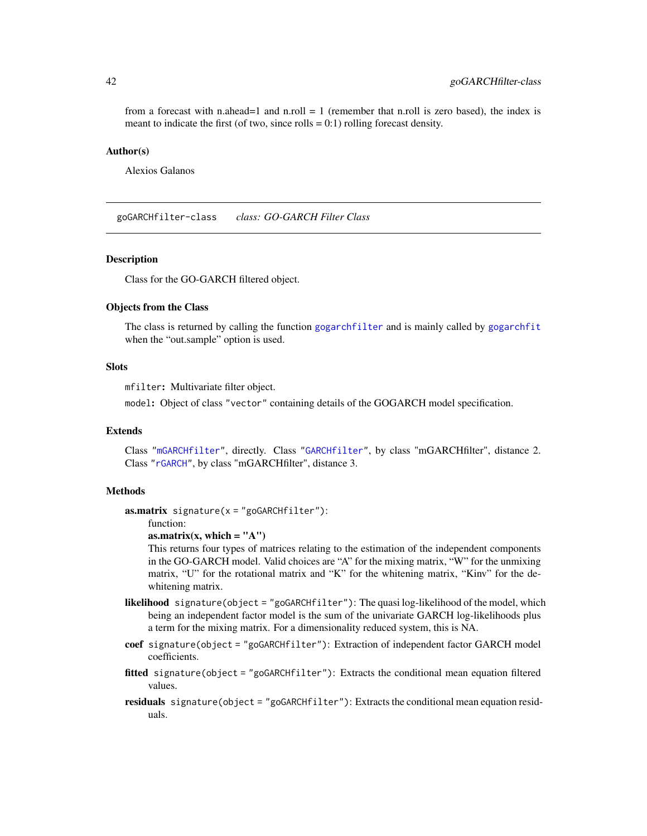from a forecast with n.ahead=1 and n.roll = 1 (remember that n.roll is zero based), the index is meant to indicate the first (of two, since rolls  $= 0.1$ ) rolling forecast density.

#### Author(s)

Alexios Galanos

<span id="page-41-0"></span>goGARCHfilter-class *class: GO-GARCH Filter Class*

### **Description**

Class for the GO-GARCH filtered object.

# Objects from the Class

The class is returned by calling the function [gogarchfilter](#page-44-0) and is mainly called by [gogarchfit](#page-48-0) when the "out.sample" option is used.

# **Slots**

mfilter: Multivariate filter object.

model: Object of class "vector" containing details of the GOGARCH model specification.

# Extends

Class ["mGARCHfilter"](#page-63-0), directly. Class ["GARCHfilter"](#page-0-0), by class "mGARCHfilter", distance 2. Class ["rGARCH"](#page-0-0), by class "mGARCHfilter", distance 3.

### Methods

**:** 

function:

as.matrix(x, which  $=$  "A")

This returns four types of matrices relating to the estimation of the independent components in the GO-GARCH model. Valid choices are "A" for the mixing matrix, "W" for the unmixing matrix, "U" for the rotational matrix and "K" for the whitening matrix, "Kinv" for the dewhitening matrix.

- likelihood signature(object = "goGARCHfilter"): The quasi log-likelihood of the model, which being an independent factor model is the sum of the univariate GARCH log-likelihoods plus a term for the mixing matrix. For a dimensionality reduced system, this is NA.
- coef signature(object = "goGARCHfilter"): Extraction of independent factor GARCH model coefficients.
- fitted signature(object = "goGARCHfilter"): Extracts the conditional mean equation filtered values.
- residuals signature(object = "goGARCHfilter"): Extracts the conditional mean equation residuals.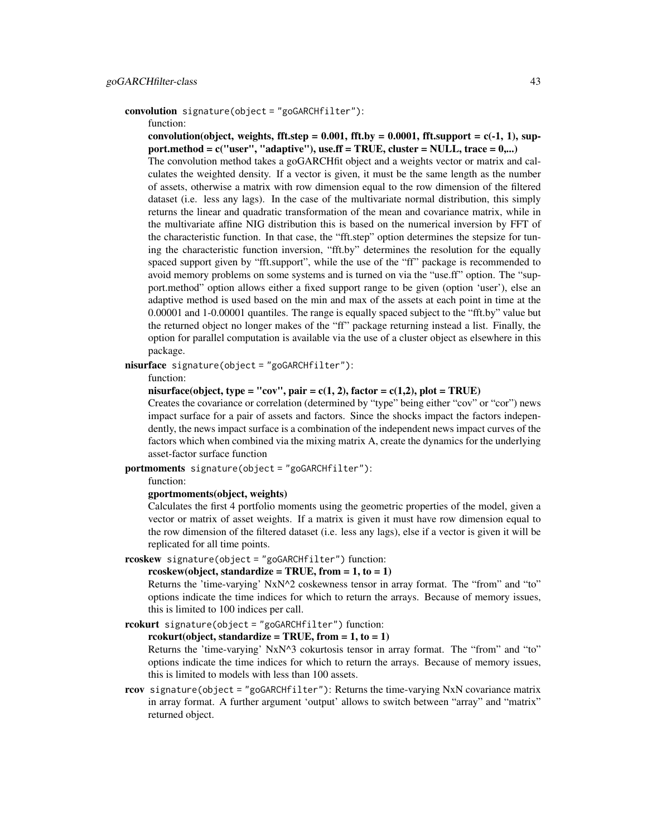```
convolution signature(object = "goGARCHfilter"):
```
function:

convolution(object, weights, fft.step =  $0.001$ , fft.by =  $0.0001$ , fft.support =  $c(-1, 1)$ , support.method =  $c("user", "adaptive"), use.$  F = TRUE, cluster = NULL, trace =  $0,...)$ The convolution method takes a goGARCHfit object and a weights vector or matrix and calculates the weighted density. If a vector is given, it must be the same length as the number of assets, otherwise a matrix with row dimension equal to the row dimension of the filtered dataset (i.e. less any lags). In the case of the multivariate normal distribution, this simply

returns the linear and quadratic transformation of the mean and covariance matrix, while in the multivariate affine NIG distribution this is based on the numerical inversion by FFT of the characteristic function. In that case, the "fft.step" option determines the stepsize for tuning the characteristic function inversion, "fft.by" determines the resolution for the equally spaced support given by "fft.support", while the use of the "ff" package is recommended to avoid memory problems on some systems and is turned on via the "use.ff" option. The "support.method" option allows either a fixed support range to be given (option 'user'), else an adaptive method is used based on the min and max of the assets at each point in time at the 0.00001 and 1-0.00001 quantiles. The range is equally spaced subject to the "fft.by" value but the returned object no longer makes of the "ff" package returning instead a list. Finally, the option for parallel computation is available via the use of a cluster object as elsewhere in this package.

nisurface signature(object = "goGARCHfilter"):

function:

nisurface(object, type = "cov", pair = c(1, 2), factor = c(1,2), plot = TRUE)

Creates the covariance or correlation (determined by "type" being either "cov" or "cor") news impact surface for a pair of assets and factors. Since the shocks impact the factors independently, the news impact surface is a combination of the independent news impact curves of the factors which when combined via the mixing matrix A, create the dynamics for the underlying asset-factor surface function

portmoments signature(object = "goGARCHfilter"):

function:

gportmoments(object, weights)

Calculates the first 4 portfolio moments using the geometric properties of the model, given a vector or matrix of asset weights. If a matrix is given it must have row dimension equal to the row dimension of the filtered dataset (i.e. less any lags), else if a vector is given it will be replicated for all time points.

rcoskew signature(object = "goGARCHfilter") function:

### rcoskew(object, standardize = TRUE, from =  $1, to = 1$ )

Returns the 'time-varying' NxN^2 coskewness tensor in array format. The "from" and "to" options indicate the time indices for which to return the arrays. Because of memory issues, this is limited to 100 indices per call.

rcokurt signature(object = "goGARCHfilter") function:

rcokurt(object, standardize = TRUE, from =  $1, to = 1$ )

Returns the 'time-varying' NxN^3 cokurtosis tensor in array format. The "from" and "to" options indicate the time indices for which to return the arrays. Because of memory issues, this is limited to models with less than 100 assets.

rcov signature(object = "goGARCHfilter"): Returns the time-varying NxN covariance matrix in array format. A further argument 'output' allows to switch between "array" and "matrix" returned object.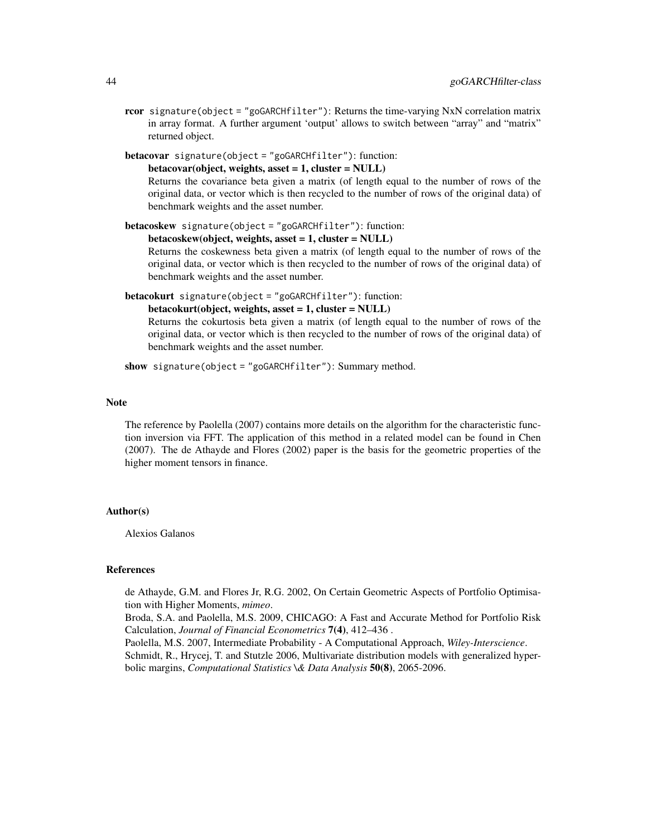rcor signature(object = "goGARCHfilter"): Returns the time-varying NxN correlation matrix in array format. A further argument 'output' allows to switch between "array" and "matrix" returned object.

betacovar signature(object = "goGARCHfilter"): function:

```
betacovar(object, weights, asset = 1, cluster = NULL)
```
Returns the covariance beta given a matrix (of length equal to the number of rows of the original data, or vector which is then recycled to the number of rows of the original data) of benchmark weights and the asset number.

betacoskew signature(object = "goGARCHfilter"): function:

```
betacoskew(object, weights, asset = 1, cluster = NULL)
```
Returns the coskewness beta given a matrix (of length equal to the number of rows of the original data, or vector which is then recycled to the number of rows of the original data) of benchmark weights and the asset number.

```
betacokurt signature(object = "goGARCHfilter"): function:
```
betacokurt(object, weights, asset = 1, cluster = NULL)

Returns the cokurtosis beta given a matrix (of length equal to the number of rows of the original data, or vector which is then recycled to the number of rows of the original data) of benchmark weights and the asset number.

show signature(object = "goGARCHfilter"): Summary method.

### Note

The reference by Paolella (2007) contains more details on the algorithm for the characteristic function inversion via FFT. The application of this method in a related model can be found in Chen (2007). The de Athayde and Flores (2002) paper is the basis for the geometric properties of the higher moment tensors in finance.

### Author(s)

Alexios Galanos

### References

de Athayde, G.M. and Flores Jr, R.G. 2002, On Certain Geometric Aspects of Portfolio Optimisation with Higher Moments, *mimeo*.

Broda, S.A. and Paolella, M.S. 2009, CHICAGO: A Fast and Accurate Method for Portfolio Risk Calculation, *Journal of Financial Econometrics* 7(4), 412–436 .

Paolella, M.S. 2007, Intermediate Probability - A Computational Approach, *Wiley-Interscience*. Schmidt, R., Hrycej, T. and Stutzle 2006, Multivariate distribution models with generalized hyperbolic margins, *Computational Statistics \& Data Analysis* 50(8), 2065-2096.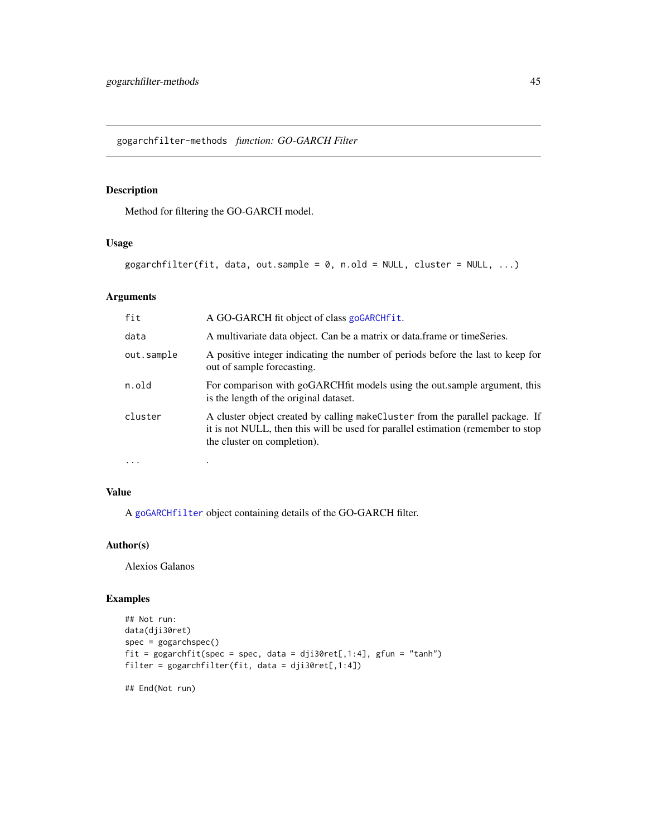gogarchfilter-methods *function: GO-GARCH Filter*

# <span id="page-44-0"></span>Description

Method for filtering the GO-GARCH model.

# Usage

```
gogarchfilter(fit, data, out.sample = 0, nrold = NULL, cluster = NULL, ...)
```
# Arguments

| fit        | A GO-GARCH fit object of class goGARCHfit.                                                                                                                                                         |
|------------|----------------------------------------------------------------------------------------------------------------------------------------------------------------------------------------------------|
| data       | A multivariate data object. Can be a matrix or data frame or timeSeries.                                                                                                                           |
| out.sample | A positive integer indicating the number of periods before the last to keep for<br>out of sample forecasting.                                                                                      |
| n.old      | For comparison with goGARCHfit models using the out.sample argument, this<br>is the length of the original dataset.                                                                                |
| cluster    | A cluster object created by calling make Cluster from the parallel package. If<br>it is not NULL, then this will be used for parallel estimation (remember to stop)<br>the cluster on completion). |
| $\cdots$   |                                                                                                                                                                                                    |

# Value

A [goGARCHfilter](#page-41-0) object containing details of the GO-GARCH filter.

# Author(s)

Alexios Galanos

# Examples

```
## Not run:
data(dji30ret)
spec = gogarchspec()
fit = gogarchfit(spec = spec, data = dji30ret[,1:4], gfun = "tanh")
filter = gogarchfilter(fit, data = dji30ret[,1:4])
```
## End(Not run)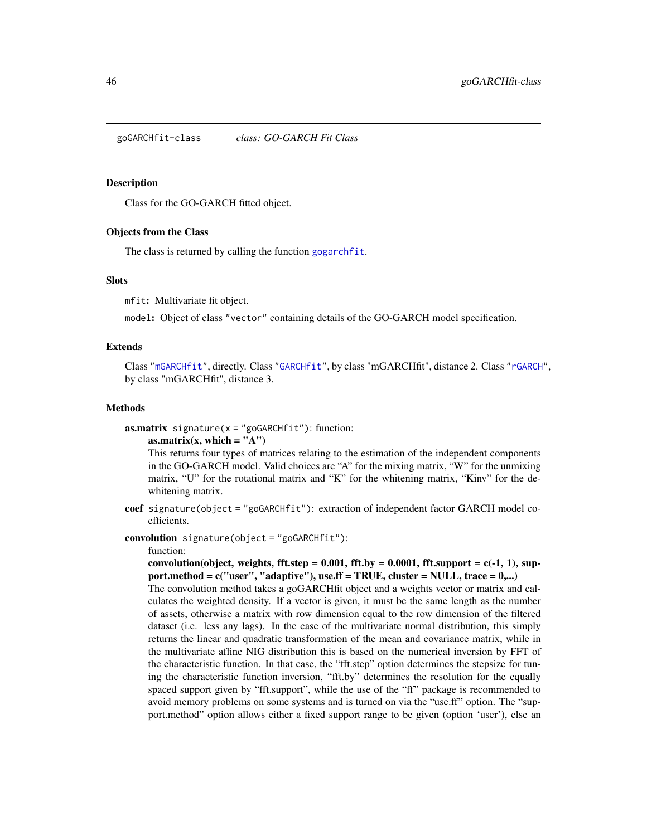<span id="page-45-1"></span>goGARCHfit-class *class: GO-GARCH Fit Class*

#### <span id="page-45-0"></span>Description

Class for the GO-GARCH fitted object.

### Objects from the Class

The class is returned by calling the function [gogarchfit](#page-48-0).

### **Slots**

mfit: Multivariate fit object.

model: Object of class "vector" containing details of the GO-GARCH model specification.

### Extends

Class ["mGARCHfit"](#page-63-1), directly. Class ["GARCHfit"](#page-0-0), by class "mGARCHfit", distance 2. Class ["rGARCH"](#page-0-0), by class "mGARCHfit", distance 3.

# Methods

 $$ 

### as.matrix(x, which  $=$  "A")

This returns four types of matrices relating to the estimation of the independent components in the GO-GARCH model. Valid choices are "A" for the mixing matrix, "W" for the unmixing matrix, "U" for the rotational matrix and "K" for the whitening matrix, "Kinv" for the dewhitening matrix.

coef signature(object = "goGARCHfit"): extraction of independent factor GARCH model coefficients.

convolution signature(object = "goGARCHfit"):

#### function:

convolution(object, weights, fft.step =  $0.001$ , fft.by =  $0.0001$ , fft.support =  $c(-1, 1)$ , support.method =  $c("user", "adaptive"),$  use.ff = TRUE, cluster = NULL, trace =  $0,...)$ The convolution method takes a goGARCHfit object and a weights vector or matrix and calculates the weighted density. If a vector is given, it must be the same length as the number of assets, otherwise a matrix with row dimension equal to the row dimension of the filtered dataset (i.e. less any lags). In the case of the multivariate normal distribution, this simply returns the linear and quadratic transformation of the mean and covariance matrix, while in the multivariate affine NIG distribution this is based on the numerical inversion by FFT of the characteristic function. In that case, the "fft.step" option determines the stepsize for tuning the characteristic function inversion, "fft.by" determines the resolution for the equally spaced support given by "fft.support", while the use of the "ff" package is recommended to avoid memory problems on some systems and is turned on via the "use.ff" option. The "support.method" option allows either a fixed support range to be given (option 'user'), else an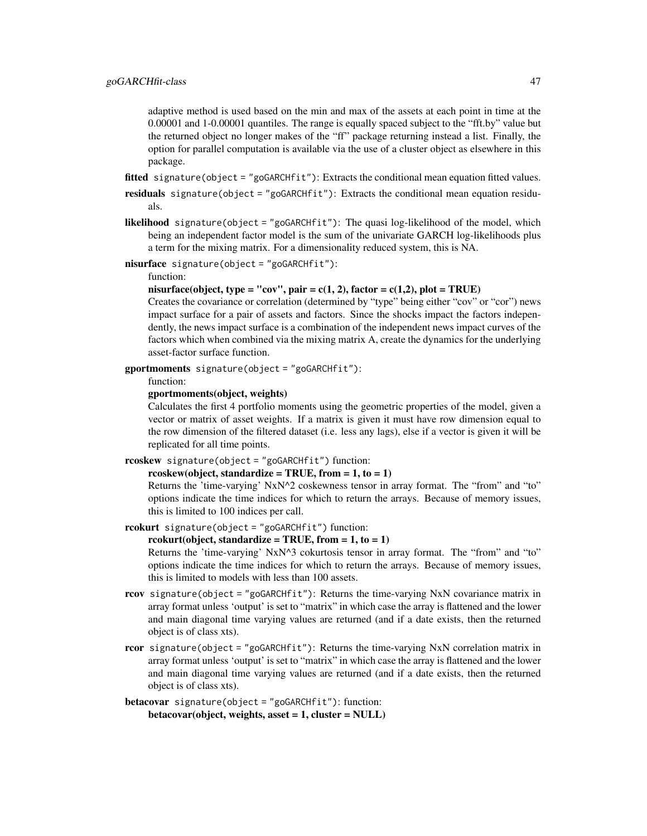adaptive method is used based on the min and max of the assets at each point in time at the 0.00001 and 1-0.00001 quantiles. The range is equally spaced subject to the "fft.by" value but the returned object no longer makes of the "ff" package returning instead a list. Finally, the option for parallel computation is available via the use of a cluster object as elsewhere in this package.

fitted signature(object = "goGARCHfit"): Extracts the conditional mean equation fitted values.

- residuals signature(object = "goGARCHfit"): Extracts the conditional mean equation residuals.
- likelihood signature(object = "goGARCHfit"): The quasi log-likelihood of the model, which being an independent factor model is the sum of the univariate GARCH log-likelihoods plus a term for the mixing matrix. For a dimensionality reduced system, this is NA.
- nisurface signature(object = "goGARCHfit"):

## function:

nisurface(object, type = "cov", pair = c(1, 2), factor = c(1,2), plot = TRUE)

Creates the covariance or correlation (determined by "type" being either "cov" or "cor") news impact surface for a pair of assets and factors. Since the shocks impact the factors independently, the news impact surface is a combination of the independent news impact curves of the factors which when combined via the mixing matrix A, create the dynamics for the underlying asset-factor surface function.

gportmoments signature(object = "goGARCHfit"):

function:

gportmoments(object, weights)

Calculates the first 4 portfolio moments using the geometric properties of the model, given a vector or matrix of asset weights. If a matrix is given it must have row dimension equal to the row dimension of the filtered dataset (i.e. less any lags), else if a vector is given it will be replicated for all time points.

```
rcoskew signature(object = "goGARCHfit") function:
```

```
rcoskew(object, standardize = TRUE, from = 1, to = 1)
```
Returns the 'time-varying' NxN^2 coskewness tensor in array format. The "from" and "to" options indicate the time indices for which to return the arrays. Because of memory issues, this is limited to 100 indices per call.

```
rcokurt signature(object = "goGARCHfit") function:
```
#### rcokurt(object, standardize = TRUE, from =  $1, to = 1$ )

Returns the 'time-varying' NxN^3 cokurtosis tensor in array format. The "from" and "to" options indicate the time indices for which to return the arrays. Because of memory issues, this is limited to models with less than 100 assets.

- rcov signature(object = "goGARCHfit"): Returns the time-varying NxN covariance matrix in array format unless 'output' is set to "matrix" in which case the array is flattened and the lower and main diagonal time varying values are returned (and if a date exists, then the returned object is of class xts).
- rcor signature(object = "goGARCHfit"): Returns the time-varying NxN correlation matrix in array format unless 'output' is set to "matrix" in which case the array is flattened and the lower and main diagonal time varying values are returned (and if a date exists, then the returned object is of class xts).

```
betacovar signature(object = "goGARCHfit"): function:
    betacovar(object, weights, asset = 1, cluster = NULL)
```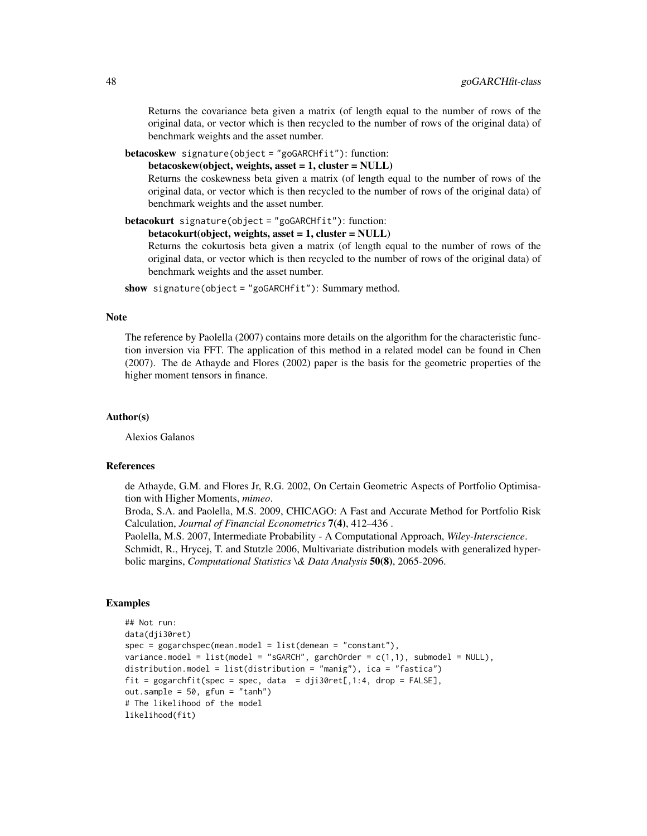Returns the covariance beta given a matrix (of length equal to the number of rows of the original data, or vector which is then recycled to the number of rows of the original data) of benchmark weights and the asset number.

```
betacoskew signature(object = "goGARCHfit"): function:
```
betacoskew(object, weights, asset = 1, cluster = NULL)

Returns the coskewness beta given a matrix (of length equal to the number of rows of the original data, or vector which is then recycled to the number of rows of the original data) of benchmark weights and the asset number.

betacokurt signature(object = "goGARCHfit"): function:

```
betacokurt(object, weights, asset = 1, cluster = NULL)
```
Returns the cokurtosis beta given a matrix (of length equal to the number of rows of the original data, or vector which is then recycled to the number of rows of the original data) of benchmark weights and the asset number.

show signature(object = "goGARCHfit"): Summary method.

#### Note

The reference by Paolella (2007) contains more details on the algorithm for the characteristic function inversion via FFT. The application of this method in a related model can be found in Chen (2007). The de Athayde and Flores (2002) paper is the basis for the geometric properties of the higher moment tensors in finance.

### Author(s)

Alexios Galanos

### References

de Athayde, G.M. and Flores Jr, R.G. 2002, On Certain Geometric Aspects of Portfolio Optimisation with Higher Moments, *mimeo*.

Broda, S.A. and Paolella, M.S. 2009, CHICAGO: A Fast and Accurate Method for Portfolio Risk Calculation, *Journal of Financial Econometrics* 7(4), 412–436 .

Paolella, M.S. 2007, Intermediate Probability - A Computational Approach, *Wiley-Interscience*. Schmidt, R., Hrycej, T. and Stutzle 2006, Multivariate distribution models with generalized hyperbolic margins, *Computational Statistics \& Data Analysis* 50(8), 2065-2096.

#### Examples

```
## Not run:
data(dji30ret)
spec = gogarchspec(mean.model = list(demean = "constant"),variance.model = list(model = "sGARCH", garchOrder = c(1,1), submodel = NULL),
distribution.model = list(distribution = "manig"), ica = "fastica")
fit = gogarchfit(spec = spec, data = dji30ret[, 1:4, drop = FALSE],out.sample = 50, gfun = "tanh")
# The likelihood of the model
likelihood(fit)
```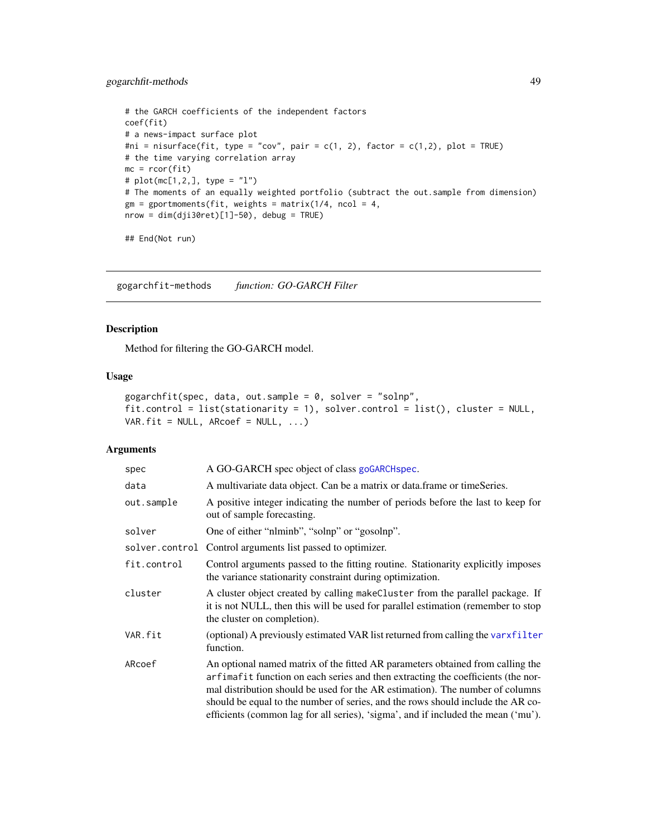```
# the GARCH coefficients of the independent factors
coef(fit)
# a news-impact surface plot
#ni = nisurface(fit, type = "cov", pair = c(1, 2), factor = c(1,2), plot = TRUE)
# the time varying correlation array
mc = rcor(fit)# plot(mc[1,2,], type = "l")
# The moments of an equally weighted portfolio (subtract the out.sample from dimension)
gm = gportmoments(fit, weights = matrix(1/4, ncol = 4,nrow = dim(dji30ret)[1]-50, debug = TRUE)
```

```
## End(Not run)
```
gogarchfit-methods *function: GO-GARCH Filter*

### <span id="page-48-0"></span>Description

Method for filtering the GO-GARCH model.

# Usage

```
gogarchfit(spec, data, out.sample = 0, solver = "solnp",
fit.control = list(stationarity = 1), solver.control = list(), cluster = NULL,
VAR.fit = NULL, ARCoef = NULL, ...)
```
#### Arguments

| spec           | A GO-GARCH spec object of class goGARCH spec.                                                                                                                                                                                                                                                                                                                                                                               |
|----------------|-----------------------------------------------------------------------------------------------------------------------------------------------------------------------------------------------------------------------------------------------------------------------------------------------------------------------------------------------------------------------------------------------------------------------------|
| data           | A multivariate data object. Can be a matrix or data frame or timeSeries.                                                                                                                                                                                                                                                                                                                                                    |
| out.sample     | A positive integer indicating the number of periods before the last to keep for<br>out of sample forecasting.                                                                                                                                                                                                                                                                                                               |
| solver         | One of either "nlminb", "solnp" or "gosolnp".                                                                                                                                                                                                                                                                                                                                                                               |
| solver.control | Control arguments list passed to optimizer.                                                                                                                                                                                                                                                                                                                                                                                 |
| fit.control    | Control arguments passed to the fitting routine. Stationarity explicitly imposes<br>the variance stationarity constraint during optimization.                                                                                                                                                                                                                                                                               |
| cluster        | A cluster object created by calling makeCluster from the parallel package. If<br>it is not NULL, then this will be used for parallel estimation (remember to stop<br>the cluster on completion).                                                                                                                                                                                                                            |
| VAR.fit        | (optional) A previously estimated VAR list returned from calling the varxfilter<br>function.                                                                                                                                                                                                                                                                                                                                |
| ARcoef         | An optional named matrix of the fitted AR parameters obtained from calling the<br>arfimafit function on each series and then extracting the coefficients (the nor-<br>mal distribution should be used for the AR estimation). The number of columns<br>should be equal to the number of series, and the rows should include the AR co-<br>efficients (common lag for all series), 'sigma', and if included the mean ('mu'). |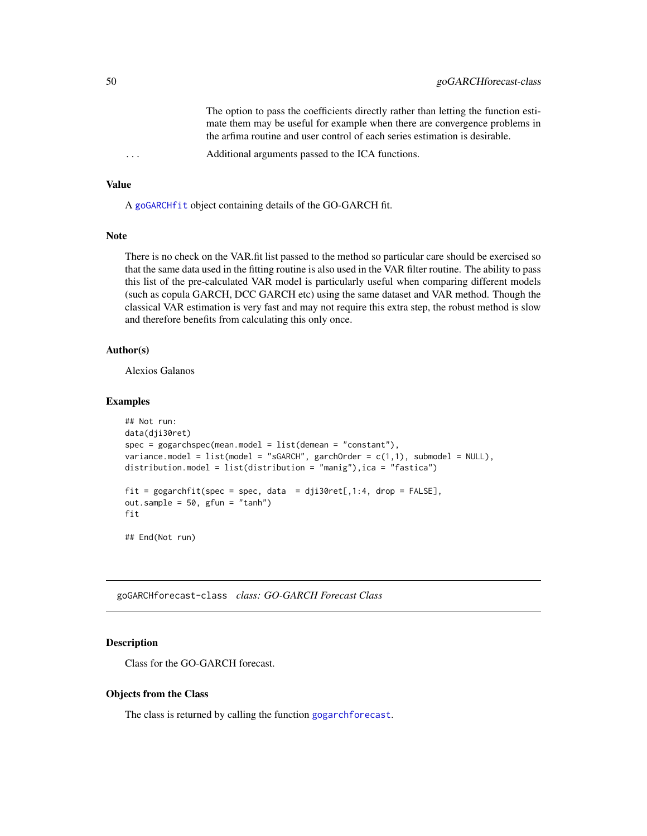The option to pass the coefficients directly rather than letting the function estimate them may be useful for example when there are convergence problems in the arfima routine and user control of each series estimation is desirable.

Additional arguments passed to the ICA functions.

# Value

A [goGARCHfit](#page-45-1) object containing details of the GO-GARCH fit.

#### Note

There is no check on the VAR.fit list passed to the method so particular care should be exercised so that the same data used in the fitting routine is also used in the VAR filter routine. The ability to pass this list of the pre-calculated VAR model is particularly useful when comparing different models (such as copula GARCH, DCC GARCH etc) using the same dataset and VAR method. Though the classical VAR estimation is very fast and may not require this extra step, the robust method is slow and therefore benefits from calculating this only once.

#### Author(s)

Alexios Galanos

# Examples

```
## Not run:
data(dji30ret)
spec = gogarchspec(mean.model = list(demean = "constant"),
variance.model = list(model = "sGARCH", garchOrder = c(1,1), submodel = NULL),distribution.model = list(distribution = "manig"), ica = "fastica")
fit = gogarchfit(spec = spec, data = dji30ret[, 1:4, drop = FALSE],out.sample = 50, gfun = "tanh")
fit
## End(Not run)
```
<span id="page-49-0"></span>goGARCHforecast-class *class: GO-GARCH Forecast Class*

#### Description

Class for the GO-GARCH forecast.

### Objects from the Class

The class is returned by calling the function [gogarchforecast](#page-52-0).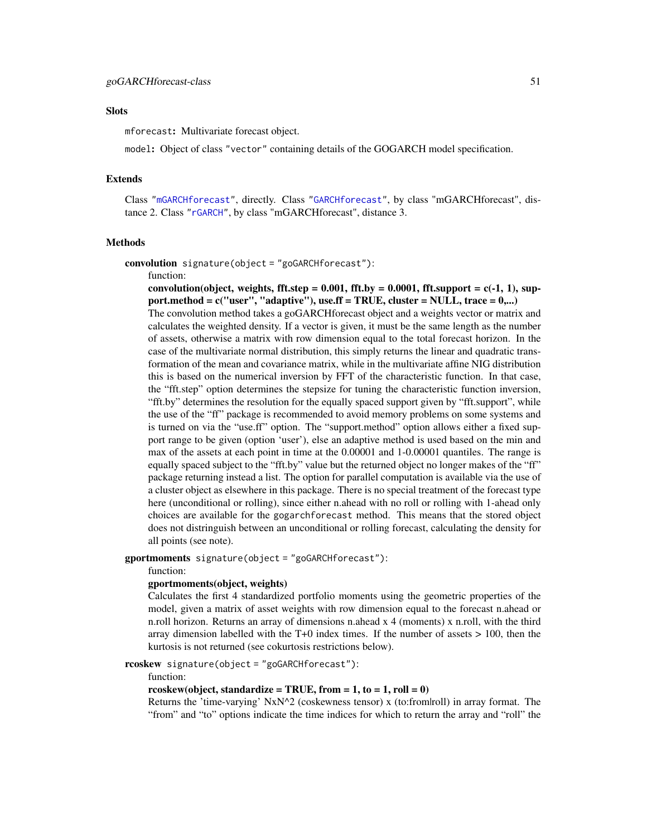#### **Slots**

mforecast: Multivariate forecast object.

model: Object of class "vector" containing details of the GOGARCH model specification.

# Extends

Class ["mGARCHforecast"](#page-64-0), directly. Class ["GARCHforecast"](#page-0-0), by class "mGARCHforecast", distance 2. Class ["rGARCH"](#page-0-0), by class "mGARCHforecast", distance 3.

# Methods

convolution signature(object = "goGARCHforecast"):

```
function:
```
convolution(object, weights, fft.step =  $0.001$ , fft.by =  $0.0001$ , fft.support =  $c(-1, 1)$ , support.method =  $c("user", "adaptive"), use.$  F = TRUE, cluster = NULL, trace =  $0,...)$ The convolution method takes a goGARCHforecast object and a weights vector or matrix and calculates the weighted density. If a vector is given, it must be the same length as the number of assets, otherwise a matrix with row dimension equal to the total forecast horizon. In the case of the multivariate normal distribution, this simply returns the linear and quadratic transformation of the mean and covariance matrix, while in the multivariate affine NIG distribution this is based on the numerical inversion by FFT of the characteristic function. In that case, the "fft.step" option determines the stepsize for tuning the characteristic function inversion, "fft.by" determines the resolution for the equally spaced support given by "fft.support", while the use of the "ff" package is recommended to avoid memory problems on some systems and is turned on via the "use.ff" option. The "support.method" option allows either a fixed support range to be given (option 'user'), else an adaptive method is used based on the min and max of the assets at each point in time at the 0.00001 and 1-0.00001 quantiles. The range is equally spaced subject to the "fft.by" value but the returned object no longer makes of the "ff" package returning instead a list. The option for parallel computation is available via the use of a cluster object as elsewhere in this package. There is no special treatment of the forecast type here (unconditional or rolling), since either n.ahead with no roll or rolling with 1-ahead only choices are available for the gogarchforecast method. This means that the stored object does not distringuish between an unconditional or rolling forecast, calculating the density for all points (see note).

gportmoments signature(object = "goGARCHforecast"):

#### function:

#### gportmoments(object, weights)

Calculates the first 4 standardized portfolio moments using the geometric properties of the model, given a matrix of asset weights with row dimension equal to the forecast n.ahead or n.roll horizon. Returns an array of dimensions n.ahead x 4 (moments) x n.roll, with the third array dimension labelled with the  $T+0$  index times. If the number of assets  $> 100$ , then the kurtosis is not returned (see cokurtosis restrictions below).

rcoskew signature(object = "goGARCHforecast"):

function:

#### rcoskew(object, standardize = TRUE, from =  $1$ , to =  $1$ , roll = 0)

Returns the 'time-varying'  $NxN^2$  (coskewness tensor) x (to:from|roll) in array format. The "from" and "to" options indicate the time indices for which to return the array and "roll" the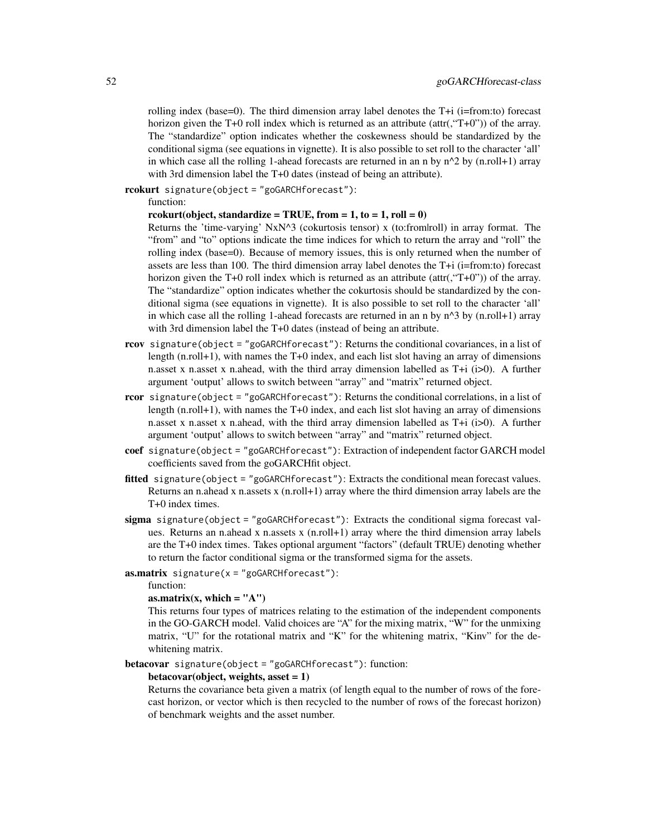rolling index (base=0). The third dimension array label denotes the  $T+i$  (i=from:to) forecast horizon given the T+0 roll index which is returned as an attribute (attr(,"T+0")) of the array. The "standardize" option indicates whether the coskewness should be standardized by the conditional sigma (see equations in vignette). It is also possible to set roll to the character 'all' in which case all the rolling 1-ahead forecasts are returned in an n by  $n^2$  by (n.roll+1) array with 3rd dimension label the T+0 dates (instead of being an attribute).

rcokurt signature(object = "goGARCHforecast"):

function:

### rcokurt(object, standardize = TRUE, from =  $1$ , to =  $1$ , roll = 0)

Returns the 'time-varying'  $NxN^3$  (cokurtosis tensor) x (to:from|roll) in array format. The "from" and "to" options indicate the time indices for which to return the array and "roll" the rolling index (base=0). Because of memory issues, this is only returned when the number of assets are less than 100. The third dimension array label denotes the T+i (i=from:to) forecast horizon given the T+0 roll index which is returned as an attribute (attr(,"T+0")) of the array. The "standardize" option indicates whether the cokurtosis should be standardized by the conditional sigma (see equations in vignette). It is also possible to set roll to the character 'all' in which case all the rolling 1-ahead forecasts are returned in an n by  $n^2$  by (n.roll+1) array with 3rd dimension label the T+0 dates (instead of being an attribute.

- rcov signature(object = "goGARCHforecast"): Returns the conditional covariances, in a list of length (n.roll+1), with names the T+0 index, and each list slot having an array of dimensions n.asset x n.asset x n.ahead, with the third array dimension labelled as  $T+i$  (i>0). A further argument 'output' allows to switch between "array" and "matrix" returned object.
- rcor signature(object = "goGARCHforecast"): Returns the conditional correlations, in a list of length (n.roll+1), with names the T+0 index, and each list slot having an array of dimensions n.asset x n.asset x n.ahead, with the third array dimension labelled as  $T+i$  (i>0). A further argument 'output' allows to switch between "array" and "matrix" returned object.
- coef signature(object = "goGARCHforecast"): Extraction of independent factor GARCH model coefficients saved from the goGARCHfit object.
- fitted signature(object = "goGARCHforecast"): Extracts the conditional mean forecast values. Returns an n.ahead x n.assets x  $(n.roll+1)$  array where the third dimension array labels are the T+0 index times.
- sigma signature(object = "goGARCHforecast"): Extracts the conditional sigma forecast values. Returns an n.ahead x n.assets x (n.roll+1) array where the third dimension array labels are the T+0 index times. Takes optional argument "factors" (default TRUE) denoting whether to return the factor conditional sigma or the transformed sigma for the assets.

**:** 

function:

### as.matrix(x, which  $=$  "A")

This returns four types of matrices relating to the estimation of the independent components in the GO-GARCH model. Valid choices are "A" for the mixing matrix, "W" for the unmixing matrix, "U" for the rotational matrix and "K" for the whitening matrix, "Kinv" for the dewhitening matrix.

betacovar signature(object = "goGARCHforecast"): function:

#### betacovar(object, weights, asset  $= 1$ )

Returns the covariance beta given a matrix (of length equal to the number of rows of the forecast horizon, or vector which is then recycled to the number of rows of the forecast horizon) of benchmark weights and the asset number.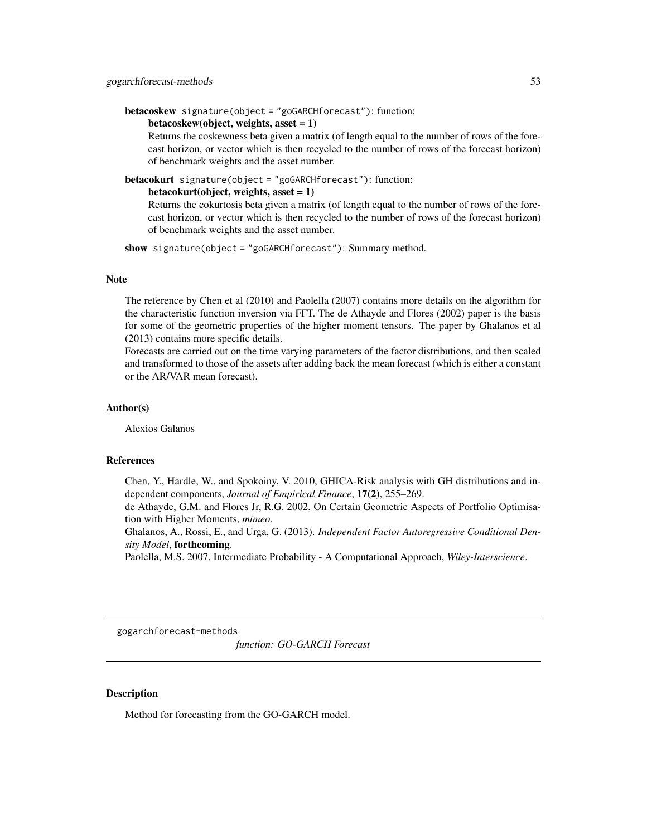```
betacoskew signature(object = "goGARCHforecast"): function:
```
#### betacoskew(object, weights, asset  $= 1$ )

Returns the coskewness beta given a matrix (of length equal to the number of rows of the forecast horizon, or vector which is then recycled to the number of rows of the forecast horizon) of benchmark weights and the asset number.

betacokurt signature(object = "goGARCHforecast"): function:

#### $betacost, weights, asset = 1)$

Returns the cokurtosis beta given a matrix (of length equal to the number of rows of the forecast horizon, or vector which is then recycled to the number of rows of the forecast horizon) of benchmark weights and the asset number.

show signature(object = "goGARCHforecast"): Summary method.

### Note

The reference by Chen et al (2010) and Paolella (2007) contains more details on the algorithm for the characteristic function inversion via FFT. The de Athayde and Flores (2002) paper is the basis for some of the geometric properties of the higher moment tensors. The paper by Ghalanos et al (2013) contains more specific details.

Forecasts are carried out on the time varying parameters of the factor distributions, and then scaled and transformed to those of the assets after adding back the mean forecast (which is either a constant or the AR/VAR mean forecast).

### Author(s)

Alexios Galanos

#### References

Chen, Y., Hardle, W., and Spokoiny, V. 2010, GHICA-Risk analysis with GH distributions and independent components, *Journal of Empirical Finance*, 17(2), 255–269.

de Athayde, G.M. and Flores Jr, R.G. 2002, On Certain Geometric Aspects of Portfolio Optimisation with Higher Moments, *mimeo*.

Ghalanos, A., Rossi, E., and Urga, G. (2013). *Independent Factor Autoregressive Conditional Density Model*, forthcoming.

Paolella, M.S. 2007, Intermediate Probability - A Computational Approach, *Wiley-Interscience*.

gogarchforecast-methods

*function: GO-GARCH Forecast*

## <span id="page-52-0"></span>Description

Method for forecasting from the GO-GARCH model.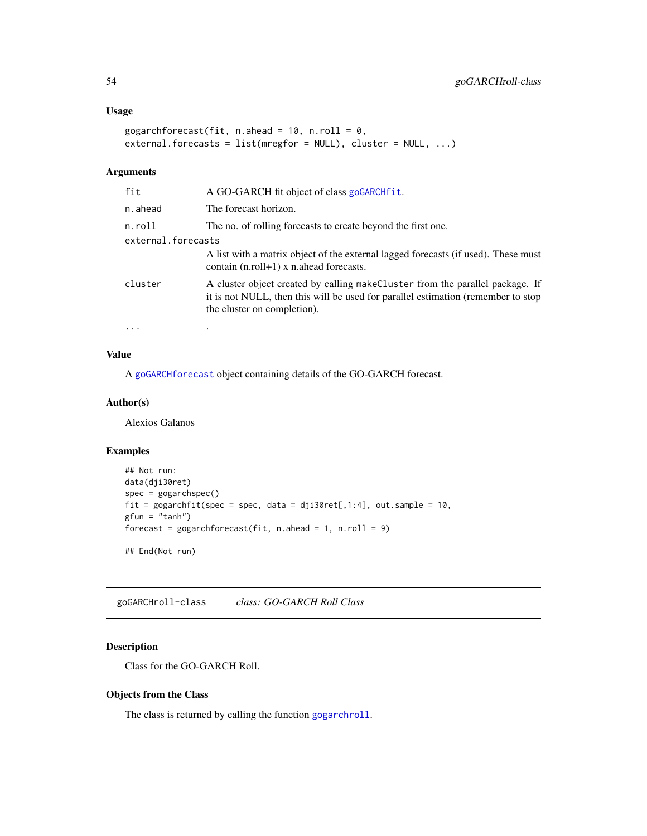# Usage

```
gogarchforecast(fit, n.ahead = 10, n.roll = 0,
external.forecasts = list(mregfor = NULL), cluster = NULL, ...)
```
# Arguments

| fit                | A GO-GARCH fit object of class goGARCHfit.                                                                                                                                                        |
|--------------------|---------------------------------------------------------------------------------------------------------------------------------------------------------------------------------------------------|
| n.ahead            | The forecast horizon.                                                                                                                                                                             |
| n.roll             | The no. of rolling forecasts to create beyond the first one.                                                                                                                                      |
| external.forecasts |                                                                                                                                                                                                   |
|                    | A list with a matrix object of the external lagged forecasts (if used). These must<br>contain $(n.roll+1)$ x n.ahead forecasts.                                                                   |
| cluster            | A cluster object created by calling make Cluster from the parallel package. If<br>it is not NULL, then this will be used for parallel estimation (remember to stop<br>the cluster on completion). |
| $\cdots$           | ٠                                                                                                                                                                                                 |

# Value

A [goGARCHforecast](#page-49-0) object containing details of the GO-GARCH forecast.

## Author(s)

Alexios Galanos

### Examples

```
## Not run:
data(dji30ret)
spec = gogarchspec()
fit = gogarchfit(spec = spec, data = dji30ret[,1:4], out.sample = 10,
gfun = "tanh")forecast = gogarchforecast(fit, n. ahead = 1, n.roll = 9)## End(Not run)
```
<span id="page-53-0"></span>goGARCHroll-class *class: GO-GARCH Roll Class*

# Description

Class for the GO-GARCH Roll.

# Objects from the Class

The class is returned by calling the function [gogarchroll](#page-55-0).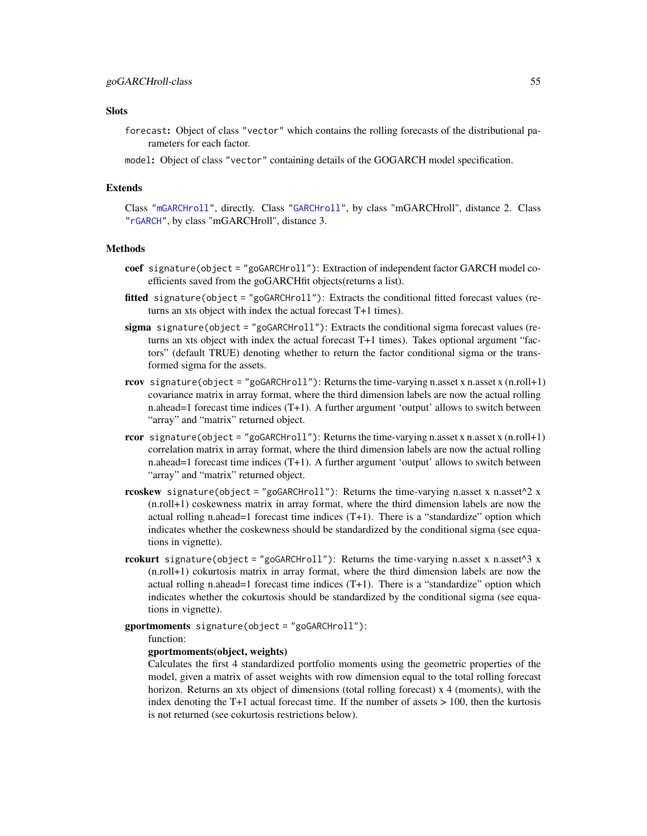# **Slots**

- forecast: Object of class "vector" which contains the rolling forecasts of the distributional parameters for each factor.
- model: Object of class "vector" containing details of the GOGARCH model specification.

### Extends

Class ["mGARCHroll"](#page-64-1), directly. Class ["GARCHroll"](#page-0-0), by class "mGARCHroll", distance 2. Class ["rGARCH"](#page-0-0), by class "mGARCHroll", distance 3.

# Methods

- coef signature(object = "goGARCHroll"): Extraction of independent factor GARCH model coefficients saved from the goGARCHfit objects(returns a list).
- fitted signature(object = "goGARCHroll"): Extracts the conditional fitted forecast values (returns an xts object with index the actual forecast T+1 times).
- sigma signature(object = "goGARCHroll"): Extracts the conditional sigma forecast values (returns an xts object with index the actual forecast T+1 times). Takes optional argument "factors" (default TRUE) denoting whether to return the factor conditional sigma or the transformed sigma for the assets.
- rcov signature(object = "goGARCHroll"): Returns the time-varying n.asset x n.asset x  $(n.roll+1)$ covariance matrix in array format, where the third dimension labels are now the actual rolling n.ahead=1 forecast time indices (T+1). A further argument 'output' allows to switch between "array" and "matrix" returned object.
- **rcor** signature(object = "goGARCHroll"): Returns the time-varying n.asset x n.asset x (n.roll+1) correlation matrix in array format, where the third dimension labels are now the actual rolling n.ahead=1 forecast time indices (T+1). A further argument 'output' allows to switch between "array" and "matrix" returned object.
- rcoskew signature(object = "goGARCHroll"): Returns the time-varying n.asset x n.asset $\triangle$ 2 x (n.roll+1) coskewness matrix in array format, where the third dimension labels are now the actual rolling n.ahead=1 forecast time indices  $(T+1)$ . There is a "standardize" option which indicates whether the coskewness should be standardized by the conditional sigma (see equations in vignette).
- rcokurt signature(object = "goGARCHroll"): Returns the time-varying n.asset x n.asset $\wedge$ 3 x (n.roll+1) cokurtosis matrix in array format, where the third dimension labels are now the actual rolling n.ahead=1 forecast time indices  $(T+1)$ . There is a "standardize" option which indicates whether the cokurtosis should be standardized by the conditional sigma (see equations in vignette).
- gportmoments signature(object = "goGARCHroll"):

### function:

#### gportmoments(object, weights)

Calculates the first 4 standardized portfolio moments using the geometric properties of the model, given a matrix of asset weights with row dimension equal to the total rolling forecast horizon. Returns an xts object of dimensions (total rolling forecast) x 4 (moments), with the index denoting the T+1 actual forecast time. If the number of assets  $> 100$ , then the kurtosis is not returned (see cokurtosis restrictions below).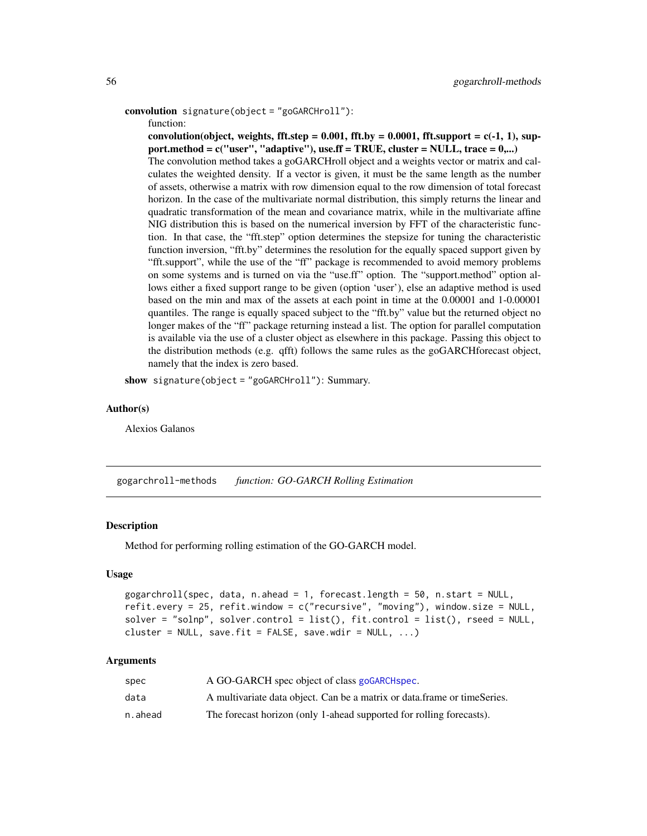```
convolution signature(object = "goGARCHroll"):
```
function:

convolution(object, weights, fft.step =  $0.001$ , fft.by =  $0.0001$ , fft.support =  $c(-1, 1)$ , support.method =  $c("user", "adaptive"), use.$  F = TRUE, cluster = NULL, trace =  $0,...)$ The convolution method takes a goGARCHroll object and a weights vector or matrix and calculates the weighted density. If a vector is given, it must be the same length as the number of assets, otherwise a matrix with row dimension equal to the row dimension of total forecast horizon. In the case of the multivariate normal distribution, this simply returns the linear and quadratic transformation of the mean and covariance matrix, while in the multivariate affine NIG distribution this is based on the numerical inversion by FFT of the characteristic function. In that case, the "fft.step" option determines the stepsize for tuning the characteristic function inversion, "fft.by" determines the resolution for the equally spaced support given by "fft.support", while the use of the "ff" package is recommended to avoid memory problems on some systems and is turned on via the "use.ff" option. The "support.method" option allows either a fixed support range to be given (option 'user'), else an adaptive method is used based on the min and max of the assets at each point in time at the 0.00001 and 1-0.00001 quantiles. The range is equally spaced subject to the "fft.by" value but the returned object no longer makes of the "ff" package returning instead a list. The option for parallel computation is available via the use of a cluster object as elsewhere in this package. Passing this object to the distribution methods (e.g. qfft) follows the same rules as the goGARCHforecast object, namely that the index is zero based.

show signature(object = "goGARCHroll"): Summary.

#### Author(s)

Alexios Galanos

gogarchroll-methods *function: GO-GARCH Rolling Estimation*

#### <span id="page-55-0"></span>**Description**

Method for performing rolling estimation of the GO-GARCH model.

### Usage

```
gogarchroll(spec, data, n.ahead = 1, forecast.length = 50, n.start = NULL,
refit.every = 25, refit.window = c("recursive", "moving"), window.size = NULL,
solver = "solnp", solver.control = list(), fit.control = list(), rseed = NULL,
cluster = NULL, save.fit = FALSE, save.wdir = NULL, \ldots)
```
#### Arguments

| spec    | A GO-GARCH spec object of class goGARCH spec.                            |
|---------|--------------------------------------------------------------------------|
| data    | A multivariate data object. Can be a matrix or data frame or timeSeries. |
| n.ahead | The forecast horizon (only 1-ahead supported for rolling forecasts).     |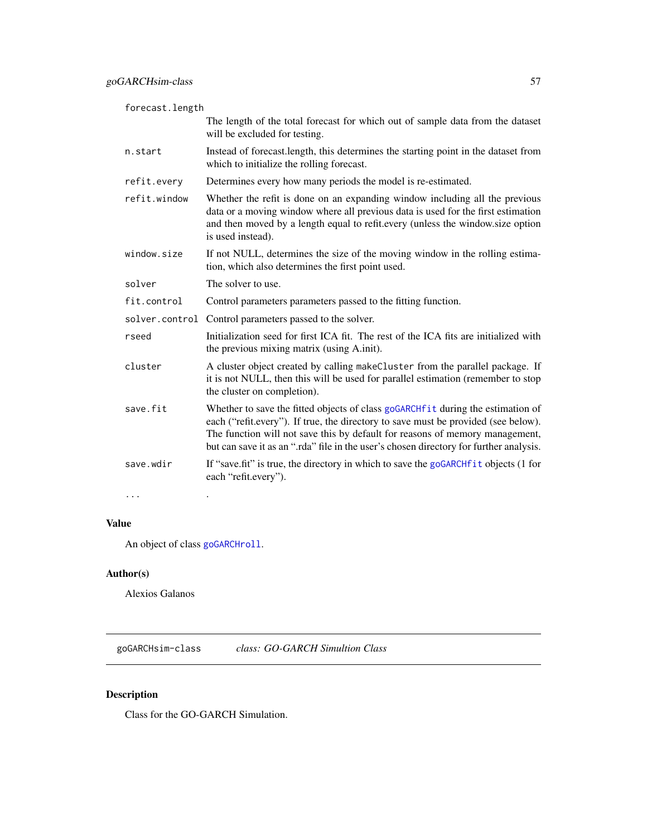| forecast.length |                                                                                                                                                                                                                                                                                                                                                  |
|-----------------|--------------------------------------------------------------------------------------------------------------------------------------------------------------------------------------------------------------------------------------------------------------------------------------------------------------------------------------------------|
|                 | The length of the total forecast for which out of sample data from the dataset<br>will be excluded for testing.                                                                                                                                                                                                                                  |
| n.start         | Instead of forecast.length, this determines the starting point in the dataset from<br>which to initialize the rolling forecast.                                                                                                                                                                                                                  |
| refit.every     | Determines every how many periods the model is re-estimated.                                                                                                                                                                                                                                                                                     |
| refit.window    | Whether the refit is done on an expanding window including all the previous<br>data or a moving window where all previous data is used for the first estimation<br>and then moved by a length equal to refit.every (unless the window.size option<br>is used instead).                                                                           |
| window.size     | If not NULL, determines the size of the moving window in the rolling estima-<br>tion, which also determines the first point used.                                                                                                                                                                                                                |
| solver          | The solver to use.                                                                                                                                                                                                                                                                                                                               |
| fit.control     | Control parameters parameters passed to the fitting function.                                                                                                                                                                                                                                                                                    |
|                 | solver.control Control parameters passed to the solver.                                                                                                                                                                                                                                                                                          |
| rseed           | Initialization seed for first ICA fit. The rest of the ICA fits are initialized with<br>the previous mixing matrix (using A.init).                                                                                                                                                                                                               |
| cluster         | A cluster object created by calling makeCluster from the parallel package. If<br>it is not NULL, then this will be used for parallel estimation (remember to stop<br>the cluster on completion).                                                                                                                                                 |
| save.fit        | Whether to save the fitted objects of class goGARCHf it during the estimation of<br>each ("refit.every"). If true, the directory to save must be provided (see below).<br>The function will not save this by default for reasons of memory management,<br>but can save it as an ".rda" file in the user's chosen directory for further analysis. |
| save.wdir       | If "save.fit" is true, the directory in which to save the goGARCHfit objects (1 for<br>each "refit.every").                                                                                                                                                                                                                                      |
| $\cdots$        |                                                                                                                                                                                                                                                                                                                                                  |

# Value

An object of class [goGARCHroll](#page-53-0).

# Author(s)

Alexios Galanos

<span id="page-56-0"></span>goGARCHsim-class *class: GO-GARCH Simultion Class*

# Description

Class for the GO-GARCH Simulation.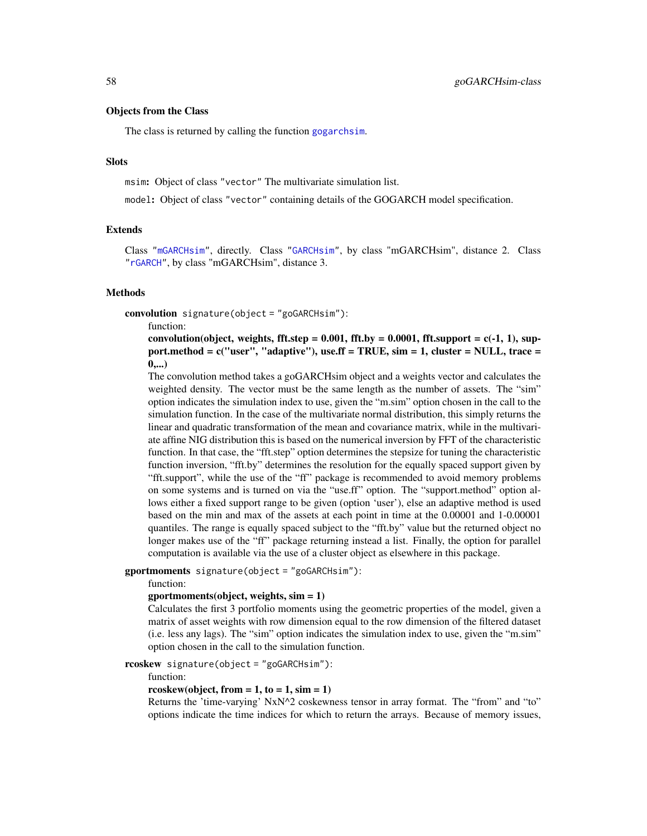### Objects from the Class

The class is returned by calling the function [gogarchsim](#page-58-0).

### **Slots**

msim: Object of class "vector" The multivariate simulation list.

model: Object of class "vector" containing details of the GOGARCH model specification.

### Extends

Class ["mGARCHsim"](#page-65-0), directly. Class ["GARCHsim"](#page-0-0), by class "mGARCHsim", distance 2. Class ["rGARCH"](#page-0-0), by class "mGARCHsim", distance 3.

#### Methods

convolution signature(object = "goGARCHsim"):

function:

convolution(object, weights, fft.step =  $0.001$ , fft.by =  $0.0001$ , fft.support =  $c(-1, 1)$ , support.method =  $c("user", "adaptive"),$  use.ff = TRUE,  $sim = 1$ , cluster = NULL, trace =  $0,...)$ 

The convolution method takes a goGARCHsim object and a weights vector and calculates the weighted density. The vector must be the same length as the number of assets. The "sim" option indicates the simulation index to use, given the "m.sim" option chosen in the call to the simulation function. In the case of the multivariate normal distribution, this simply returns the linear and quadratic transformation of the mean and covariance matrix, while in the multivariate affine NIG distribution this is based on the numerical inversion by FFT of the characteristic function. In that case, the "fft.step" option determines the stepsize for tuning the characteristic function inversion, "fft.by" determines the resolution for the equally spaced support given by "fft.support", while the use of the "ff" package is recommended to avoid memory problems on some systems and is turned on via the "use.ff" option. The "support.method" option allows either a fixed support range to be given (option 'user'), else an adaptive method is used based on the min and max of the assets at each point in time at the 0.00001 and 1-0.00001 quantiles. The range is equally spaced subject to the "fft.by" value but the returned object no longer makes use of the "ff" package returning instead a list. Finally, the option for parallel computation is available via the use of a cluster object as elsewhere in this package.

gportmoments signature(object = "goGARCHsim"):

function:

#### gportmoments(object, weights, sim = 1)

Calculates the first 3 portfolio moments using the geometric properties of the model, given a matrix of asset weights with row dimension equal to the row dimension of the filtered dataset (i.e. less any lags). The "sim" option indicates the simulation index to use, given the "m.sim" option chosen in the call to the simulation function.

rcoskew signature(object = "goGARCHsim"):

function:

#### rcoskew(object, from  $= 1$ , to  $= 1$ , sim  $= 1$ )

Returns the 'time-varying' NxN^2 coskewness tensor in array format. The "from" and "to" options indicate the time indices for which to return the arrays. Because of memory issues,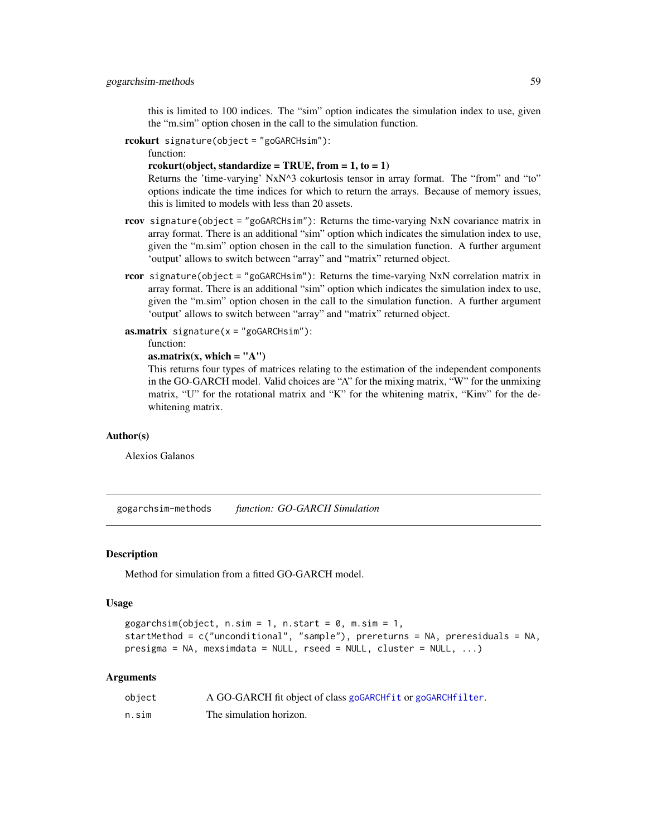this is limited to 100 indices. The "sim" option indicates the simulation index to use, given the "m.sim" option chosen in the call to the simulation function.

rcokurt signature(object = "goGARCHsim"):

function:

rcokurt(object, standardize = TRUE, from =  $1, to = 1$ )

Returns the 'time-varying' NxN^3 cokurtosis tensor in array format. The "from" and "to" options indicate the time indices for which to return the arrays. Because of memory issues, this is limited to models with less than 20 assets.

- rcov signature(object = "goGARCHsim"): Returns the time-varying NxN covariance matrix in array format. There is an additional "sim" option which indicates the simulation index to use, given the "m.sim" option chosen in the call to the simulation function. A further argument 'output' allows to switch between "array" and "matrix" returned object.
- rcor signature(object = "goGARCHsim"): Returns the time-varying NxN correlation matrix in array format. There is an additional "sim" option which indicates the simulation index to use, given the "m.sim" option chosen in the call to the simulation function. A further argument 'output' allows to switch between "array" and "matrix" returned object.

**:** 

```
function:
```

```
as.matrix(x, which = "A")
```
This returns four types of matrices relating to the estimation of the independent components in the GO-GARCH model. Valid choices are "A" for the mixing matrix, "W" for the unmixing matrix, "U" for the rotational matrix and "K" for the whitening matrix, "Kinv" for the dewhitening matrix.

#### Author(s)

Alexios Galanos

gogarchsim-methods *function: GO-GARCH Simulation*

### <span id="page-58-0"></span>**Description**

Method for simulation from a fitted GO-GARCH model.

# Usage

```
gogarchsim(object, n.sim = 1, n.start = 0, m.sim = 1,startMethod = c("unconditional", "sample"), prereturns = NA, preresiduals = NA,
presigma = NA, mexsimdata = NULL, rseed = NULL, cluster = NULL, ...)
```
### Arguments

| object | A GO-GARCH fit object of class goGARCHfit or goGARCHfilter. |
|--------|-------------------------------------------------------------|
| n.sim  | The simulation horizon.                                     |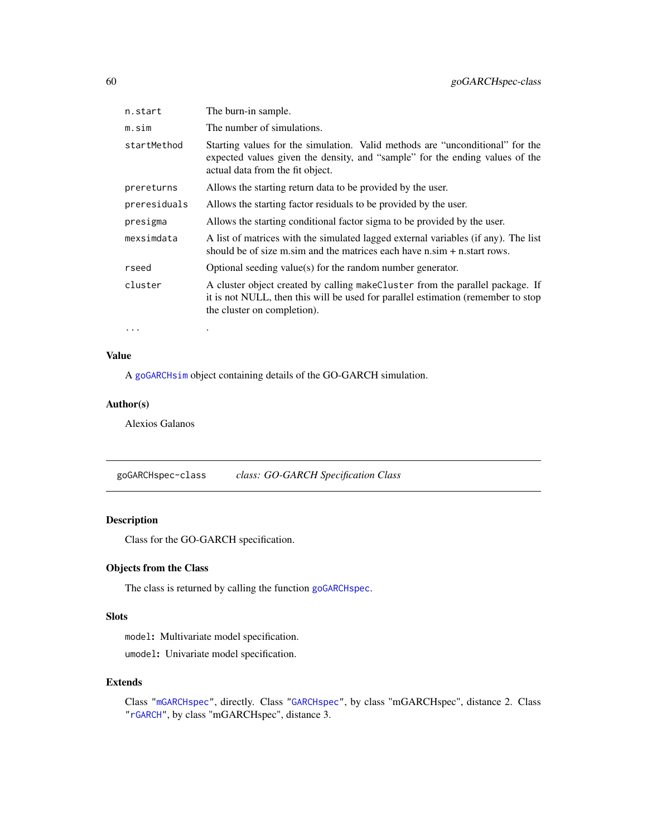| n.start      | The burn-in sample.                                                                                                                                                                               |
|--------------|---------------------------------------------------------------------------------------------------------------------------------------------------------------------------------------------------|
| m.sim        | The number of simulations.                                                                                                                                                                        |
| startMethod  | Starting values for the simulation. Valid methods are "unconditional" for the<br>expected values given the density, and "sample" for the ending values of the<br>actual data from the fit object. |
| prereturns   | Allows the starting return data to be provided by the user.                                                                                                                                       |
| preresiduals | Allows the starting factor residuals to be provided by the user.                                                                                                                                  |
| presigma     | Allows the starting conditional factor sigma to be provided by the user.                                                                                                                          |
| mexsimdata   | A list of matrices with the simulated lagged external variables (if any). The list<br>should be of size m sim and the matrices each have $n \sin + n \cdot \text{start}$ rows.                    |
| rseed        | Optional seeding value(s) for the random number generator.                                                                                                                                        |
| cluster      | A cluster object created by calling makeCluster from the parallel package. If<br>it is not NULL, then this will be used for parallel estimation (remember to stop)<br>the cluster on completion). |
|              |                                                                                                                                                                                                   |

... .

# Value

A [goGARCHsim](#page-56-0) object containing details of the GO-GARCH simulation.

### Author(s)

Alexios Galanos

<span id="page-59-0"></span>goGARCHspec-class *class: GO-GARCH Specification Class*

# Description

Class for the GO-GARCH specification.

# Objects from the Class

The class is returned by calling the function [goGARCHspec](#page-59-0).

## Slots

model: Multivariate model specification. umodel: Univariate model specification.

#### Extends

Class ["mGARCHspec"](#page-65-1), directly. Class ["GARCHspec"](#page-0-0), by class "mGARCHspec", distance 2. Class ["rGARCH"](#page-0-0), by class "mGARCHspec", distance 3.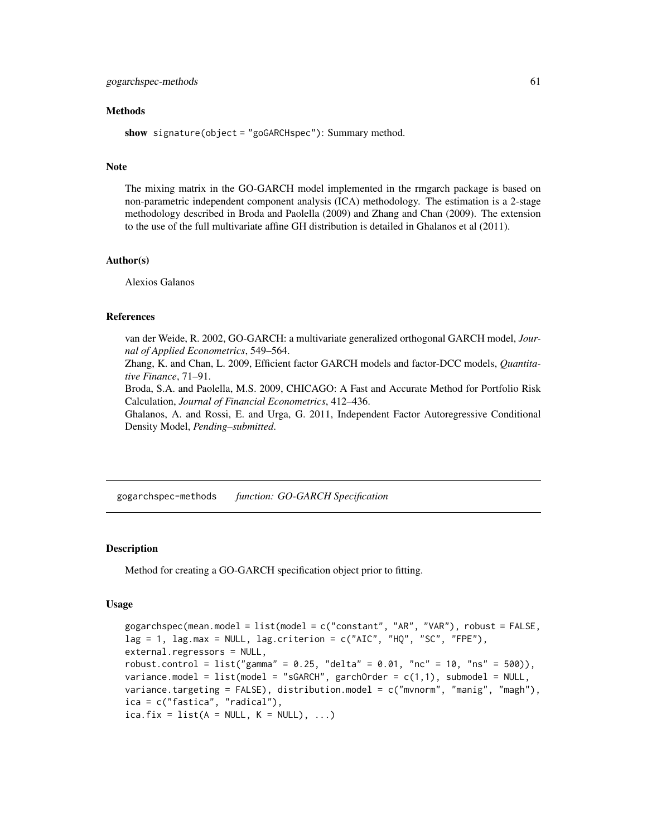### Methods

show signature(object = "goGARCHspec"): Summary method.

#### Note

The mixing matrix in the GO-GARCH model implemented in the rmgarch package is based on non-parametric independent component analysis (ICA) methodology. The estimation is a 2-stage methodology described in Broda and Paolella (2009) and Zhang and Chan (2009). The extension to the use of the full multivariate affine GH distribution is detailed in Ghalanos et al (2011).

### Author(s)

Alexios Galanos

### References

van der Weide, R. 2002, GO-GARCH: a multivariate generalized orthogonal GARCH model, *Journal of Applied Econometrics*, 549–564.

Zhang, K. and Chan, L. 2009, Efficient factor GARCH models and factor-DCC models, *Quantitative Finance*, 71–91.

Broda, S.A. and Paolella, M.S. 2009, CHICAGO: A Fast and Accurate Method for Portfolio Risk Calculation, *Journal of Financial Econometrics*, 412–436.

Ghalanos, A. and Rossi, E. and Urga, G. 2011, Independent Factor Autoregressive Conditional Density Model, *Pending–submitted*.

gogarchspec-methods *function: GO-GARCH Specification*

#### **Description**

Method for creating a GO-GARCH specification object prior to fitting.

#### Usage

```
gogarchspec(mean.model = list(model = c("constant", "AR", "VAR"), robust = FALSE,
lag = 1, lag.max = NULL, lag.criterion = c("AIC", "HQ", "SC", "FPE"),external.regressors = NULL,
robust.control = list("gamma" = 0.25, "delta" = 0.01, "nc" = 10, "ns" = 500),
variance.model = list(model = "sGARCH", garchOrder = c(1,1), submodel = NULL,
variance.targeting = FALSE), distribution.model = c("mvnorm", "manig", "magh"),
ica = c("fastica", "radical"),
ica.fix = list(A = NULL, K = NULL), ...
```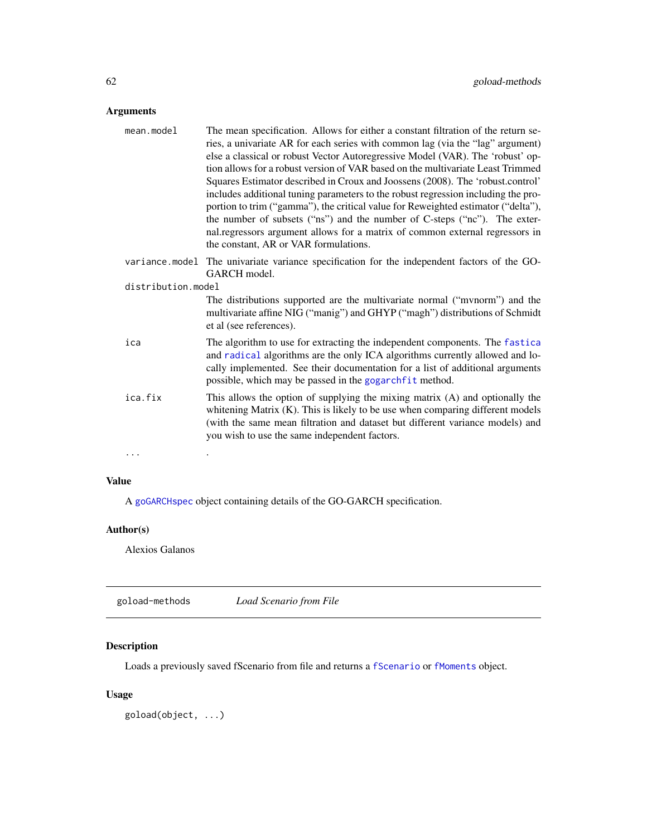# Arguments

| mean.model         | The mean specification. Allows for either a constant filtration of the return se-<br>ries, a univariate AR for each series with common lag (via the "lag" argument)<br>else a classical or robust Vector Autoregressive Model (VAR). The 'robust' op-<br>tion allows for a robust version of VAR based on the multivariate Least Trimmed<br>Squares Estimator described in Croux and Joossens (2008). The 'robust.control'<br>includes additional tuning parameters to the robust regression including the pro-<br>portion to trim ("gamma"), the critical value for Reweighted estimator ("delta"),<br>the number of subsets ("ns") and the number of C-steps ("nc"). The exter-<br>nal.regressors argument allows for a matrix of common external regressors in<br>the constant, AR or VAR formulations. |
|--------------------|------------------------------------------------------------------------------------------------------------------------------------------------------------------------------------------------------------------------------------------------------------------------------------------------------------------------------------------------------------------------------------------------------------------------------------------------------------------------------------------------------------------------------------------------------------------------------------------------------------------------------------------------------------------------------------------------------------------------------------------------------------------------------------------------------------|
| variance.model     | The univariate variance specification for the independent factors of the GO-<br>GARCH model.                                                                                                                                                                                                                                                                                                                                                                                                                                                                                                                                                                                                                                                                                                               |
| distribution.model |                                                                                                                                                                                                                                                                                                                                                                                                                                                                                                                                                                                                                                                                                                                                                                                                            |
|                    | The distributions supported are the multivariate normal ("mynorm") and the<br>multivariate affine NIG ("manig") and GHYP ("magh") distributions of Schmidt<br>et al (see references).                                                                                                                                                                                                                                                                                                                                                                                                                                                                                                                                                                                                                      |
| ica                | The algorithm to use for extracting the independent components. The fastica<br>and radical algorithms are the only ICA algorithms currently allowed and lo-<br>cally implemented. See their documentation for a list of additional arguments<br>possible, which may be passed in the gogarchfit method.                                                                                                                                                                                                                                                                                                                                                                                                                                                                                                    |
| ica.fix            | This allows the option of supplying the mixing matrix (A) and optionally the<br>whitening Matrix (K). This is likely to be use when comparing different models<br>(with the same mean filtration and dataset but different variance models) and<br>you wish to use the same independent factors.                                                                                                                                                                                                                                                                                                                                                                                                                                                                                                           |
| .                  |                                                                                                                                                                                                                                                                                                                                                                                                                                                                                                                                                                                                                                                                                                                                                                                                            |

# Value

A [goGARCHspec](#page-59-0) object containing details of the GO-GARCH specification.

# Author(s)

Alexios Galanos

goload-methods *Load Scenario from File*

# Description

Loads a previously saved fScenario from file and returns a [fScenario](#page-37-0) or [fMoments](#page-35-0) object.

# Usage

goload(object, ...)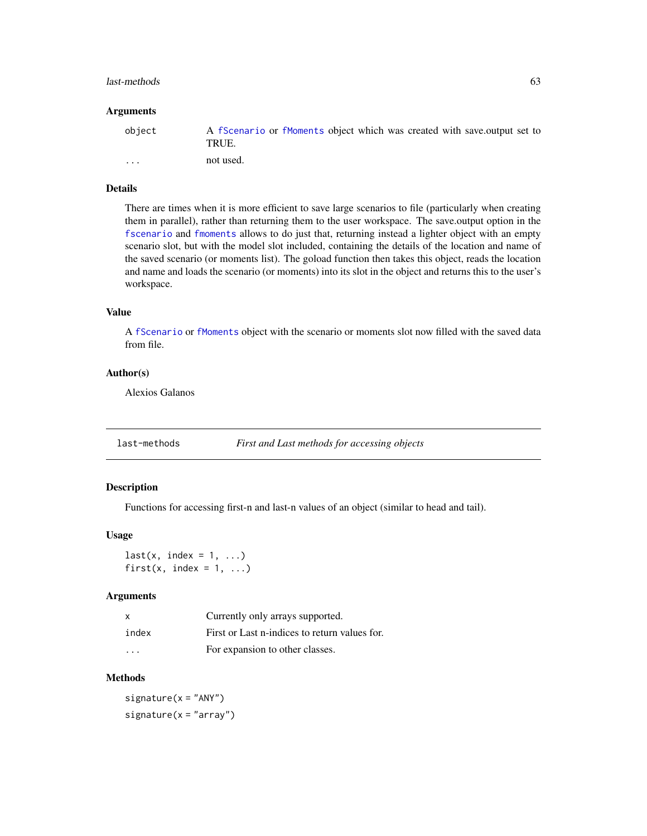#### last-methods 63

#### Arguments

| object  | A fScenario or fMoments object which was created with save output set to<br>TRUE. |
|---------|-----------------------------------------------------------------------------------|
| $\cdot$ | not used.                                                                         |

# Details

There are times when it is more efficient to save large scenarios to file (particularly when creating them in parallel), rather than returning them to the user workspace. The save.output option in the [fscenario](#page-38-0) and [fmoments](#page-36-0) allows to do just that, returning instead a lighter object with an empty scenario slot, but with the model slot included, containing the details of the location and name of the saved scenario (or moments list). The goload function then takes this object, reads the location and name and loads the scenario (or moments) into its slot in the object and returns this to the user's workspace.

### Value

A [fScenario](#page-37-0) or [fMoments](#page-35-0) object with the scenario or moments slot now filled with the saved data from file.

### Author(s)

Alexios Galanos

last-methods *First and Last methods for accessing objects*

# Description

Functions for accessing first-n and last-n values of an object (similar to head and tail).

### Usage

 $last(x, index = 1, ...)$ first(x, index =  $1, ...$ )

#### Arguments

| $\times$                | Currently only arrays supported.              |
|-------------------------|-----------------------------------------------|
| index                   | First or Last n-indices to return values for. |
| $\cdot$ $\cdot$ $\cdot$ | For expansion to other classes.               |

# Methods

 $signature(x = "ANY")$  $signature(x = "array")$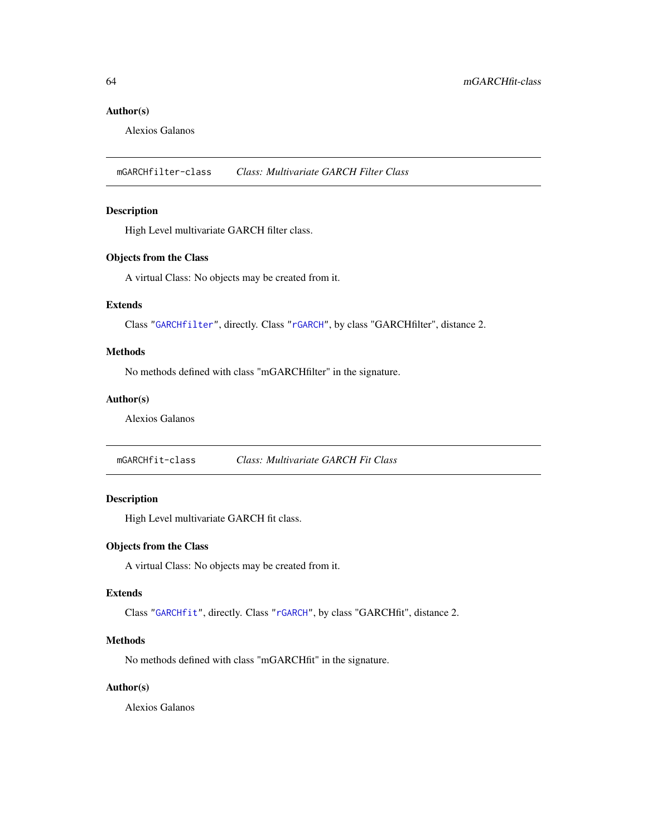# Author(s)

Alexios Galanos

<span id="page-63-0"></span>mGARCHfilter-class *Class: Multivariate GARCH Filter Class*

# Description

High Level multivariate GARCH filter class.

## Objects from the Class

A virtual Class: No objects may be created from it.

### Extends

Class ["GARCHfilter"](#page-0-0), directly. Class ["rGARCH"](#page-0-0), by class "GARCHfilter", distance 2.

# Methods

No methods defined with class "mGARCHfilter" in the signature.

# Author(s)

Alexios Galanos

<span id="page-63-1"></span>mGARCHfit-class *Class: Multivariate GARCH Fit Class*

# Description

High Level multivariate GARCH fit class.

# Objects from the Class

A virtual Class: No objects may be created from it.

#### Extends

Class ["GARCHfit"](#page-0-0), directly. Class ["rGARCH"](#page-0-0), by class "GARCHfit", distance 2.

#### Methods

No methods defined with class "mGARCHfit" in the signature.

#### Author(s)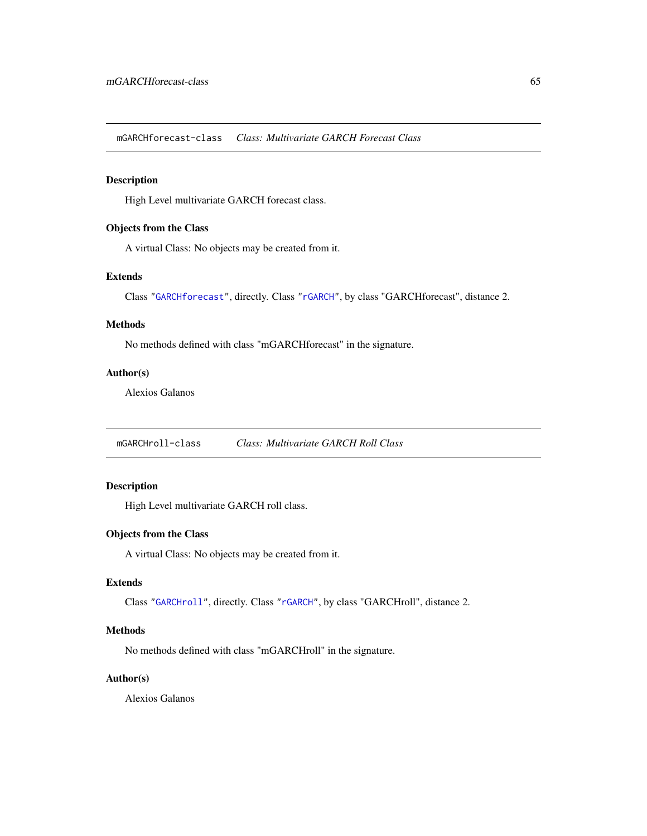<span id="page-64-0"></span>mGARCHforecast-class *Class: Multivariate GARCH Forecast Class*

# Description

High Level multivariate GARCH forecast class.

# Objects from the Class

A virtual Class: No objects may be created from it.

# Extends

Class ["GARCHforecast"](#page-0-0), directly. Class ["rGARCH"](#page-0-0), by class "GARCHforecast", distance 2.

# Methods

No methods defined with class "mGARCHforecast" in the signature.

### Author(s)

Alexios Galanos

<span id="page-64-1"></span>mGARCHroll-class *Class: Multivariate GARCH Roll Class*

## Description

High Level multivariate GARCH roll class.

# Objects from the Class

A virtual Class: No objects may be created from it.

### Extends

Class ["GARCHroll"](#page-0-0), directly. Class ["rGARCH"](#page-0-0), by class "GARCHroll", distance 2.

# Methods

No methods defined with class "mGARCHroll" in the signature.

# Author(s)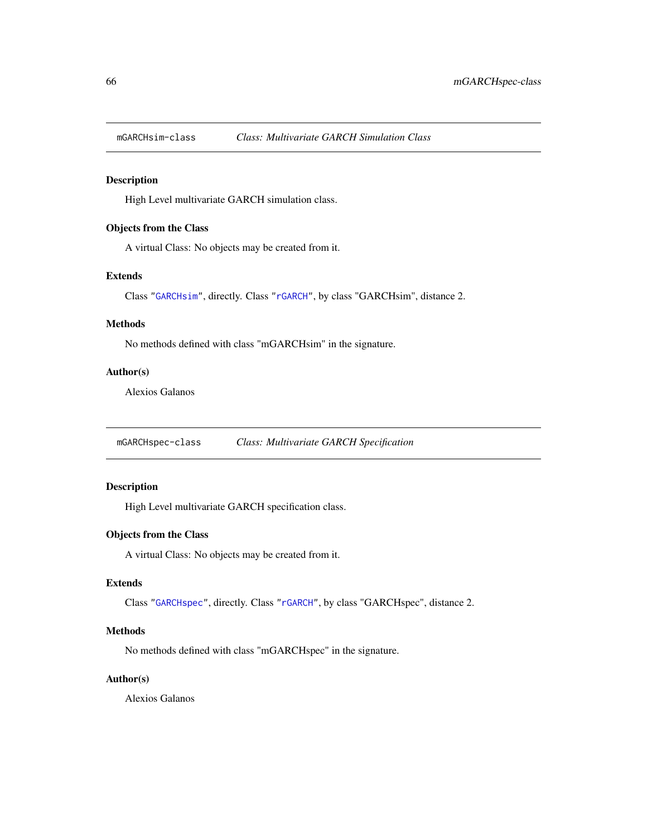<span id="page-65-0"></span>

# Description

High Level multivariate GARCH simulation class.

## Objects from the Class

A virtual Class: No objects may be created from it.

### Extends

Class ["GARCHsim"](#page-0-0), directly. Class ["rGARCH"](#page-0-0), by class "GARCHsim", distance 2.

## Methods

No methods defined with class "mGARCHsim" in the signature.

# Author(s)

Alexios Galanos

<span id="page-65-1"></span>mGARCHspec-class *Class: Multivariate GARCH Specification*

# Description

High Level multivariate GARCH specification class.

# Objects from the Class

A virtual Class: No objects may be created from it.

# Extends

Class ["GARCHspec"](#page-0-0), directly. Class ["rGARCH"](#page-0-0), by class "GARCHspec", distance 2.

# Methods

No methods defined with class "mGARCHspec" in the signature.

# Author(s)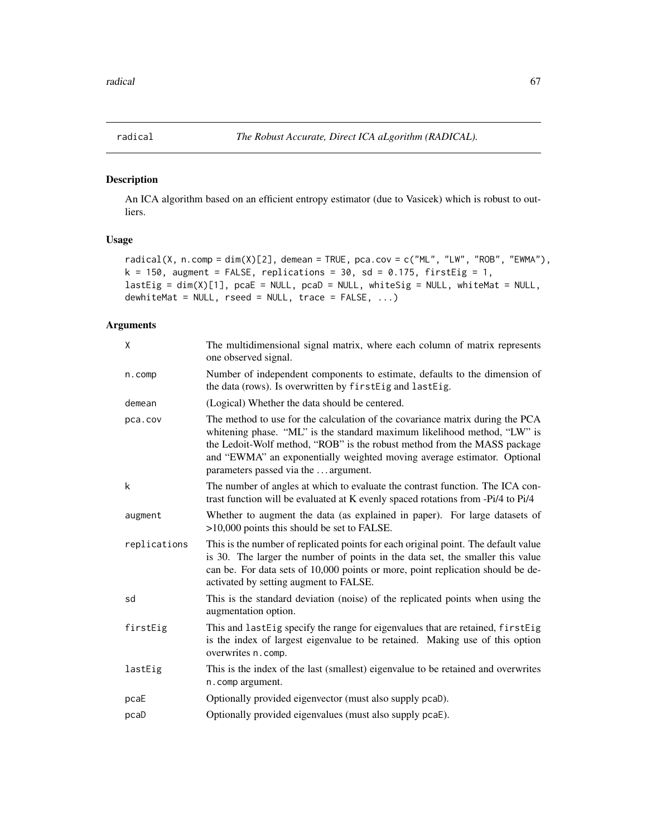<span id="page-66-0"></span>

# Description

An ICA algorithm based on an efficient entropy estimator (due to Vasicek) which is robust to outliers.

### Usage

```
radical(X, n.comp = dim(X)[2], demean = TRUE, pca.cov = c("ML", "LW", "ROB", "EWMA"),
k = 150, augment = FALSE, replications = 30, sd = 0.175, firstEig = 1,
lastEig = dim(X)[1], pcaE = NULL, pcaD = NULL, whiteSig = NULL, whiteMat = NULL,dewhiteMat = NULL, rseed = NULL, trace = FALSE, ...)
```
# Arguments

| X            | The multidimensional signal matrix, where each column of matrix represents<br>one observed signal.                                                                                                                                                                                                                                                       |
|--------------|----------------------------------------------------------------------------------------------------------------------------------------------------------------------------------------------------------------------------------------------------------------------------------------------------------------------------------------------------------|
| $n.$ comp    | Number of independent components to estimate, defaults to the dimension of<br>the data (rows). Is overwritten by firstEig and lastEig.                                                                                                                                                                                                                   |
| demean       | (Logical) Whether the data should be centered.                                                                                                                                                                                                                                                                                                           |
| pca.cov      | The method to use for the calculation of the covariance matrix during the PCA<br>whitening phase. "ML" is the standard maximum likelihood method, "LW" is<br>the Ledoit-Wolf method, "ROB" is the robust method from the MASS package<br>and "EWMA" an exponentially weighted moving average estimator. Optional<br>parameters passed via the  argument. |
| k            | The number of angles at which to evaluate the contrast function. The ICA con-<br>trast function will be evaluated at K evenly spaced rotations from -Pi/4 to Pi/4                                                                                                                                                                                        |
| augment      | Whether to augment the data (as explained in paper). For large datasets of<br>$>10,000$ points this should be set to FALSE.                                                                                                                                                                                                                              |
| replications | This is the number of replicated points for each original point. The default value<br>is 30. The larger the number of points in the data set, the smaller this value<br>can be. For data sets of 10,000 points or more, point replication should be de-<br>activated by setting augment to FALSE.                                                        |
| sd           | This is the standard deviation (noise) of the replicated points when using the<br>augmentation option.                                                                                                                                                                                                                                                   |
| firstEig     | This and lastEig specify the range for eigenvalues that are retained, firstEig<br>is the index of largest eigenvalue to be retained. Making use of this option<br>overwrites n. comp.                                                                                                                                                                    |
| lastEig      | This is the index of the last (smallest) eigenvalue to be retained and overwrites<br>n.comp argument.                                                                                                                                                                                                                                                    |
| pcaE         | Optionally provided eigenvector (must also supply pcaD).                                                                                                                                                                                                                                                                                                 |
| pcaD         | Optionally provided eigenvalues (must also supply pcaE).                                                                                                                                                                                                                                                                                                 |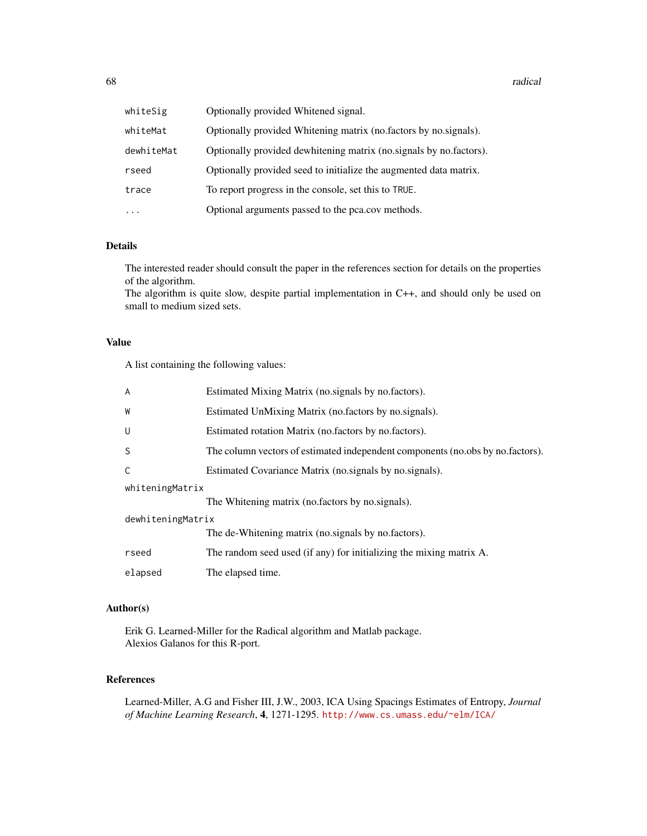#### 68 radical set of the control of the control of the control of the control of the control of the control of the control of the control of the control of the control of the control of the control of the control of the contr

| whiteSig   | Optionally provided Whitened signal.                               |
|------------|--------------------------------------------------------------------|
| whiteMat   | Optionally provided Whitening matrix (no.factors by no.signals).   |
| dewhiteMat | Optionally provided dewhitening matrix (no.signals by no.factors). |
| rseed      | Optionally provided seed to initialize the augmented data matrix.  |
| trace      | To report progress in the console, set this to TRUE.               |
| $\ddotsc$  | Optional arguments passed to the pca.cov methods.                  |

# Details

The interested reader should consult the paper in the references section for details on the properties of the algorithm.

The algorithm is quite slow, despite partial implementation in C++, and should only be used on small to medium sized sets.

# Value

A list containing the following values:

| $\overline{A}$    | Estimated Mixing Matrix (no. signals by no. factors).                          |
|-------------------|--------------------------------------------------------------------------------|
| W                 | Estimated UnMixing Matrix (no.factors by no.signals).                          |
| U                 | Estimated rotation Matrix (no.factors by no.factors).                          |
| S                 | The column vectors of estimated independent components (no.obs by no.factors). |
| C                 | Estimated Covariance Matrix (no. signals by no. signals).                      |
| whiteningMatrix   |                                                                                |
|                   | The Whitening matrix (no factors by no signals).                               |
| dewhiteningMatrix |                                                                                |
|                   | The de-Whitening matrix (no. signals by no. factors).                          |
| rseed             | The random seed used (if any) for initializing the mixing matrix A.            |
| elapsed           | The elapsed time.                                                              |

# Author(s)

Erik G. Learned-Miller for the Radical algorithm and Matlab package. Alexios Galanos for this R-port.

# References

Learned-Miller, A.G and Fisher III, J.W., 2003, ICA Using Spacings Estimates of Entropy, *Journal of Machine Learning Research*, 4, 1271-1295. <http://www.cs.umass.edu/~elm/ICA/>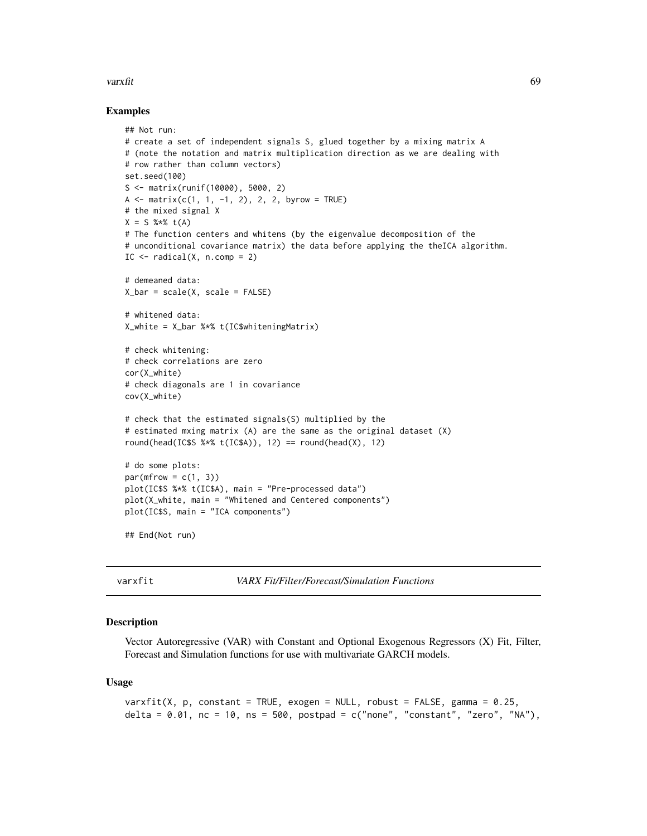#### varxfit 69 and 30 and 30 and 30 and 30 and 30 and 30 and 30 and 30 and 30 and 30 and 30 and 30 and 30 and 30 and 30 and 30 and 30 and 30 and 30 and 30 and 30 and 30 and 30 and 30 and 30 and 30 and 30 and 30 and 30 and 30 a

### Examples

```
## Not run:
# create a set of independent signals S, glued together by a mixing matrix A
# (note the notation and matrix multiplication direction as we are dealing with
# row rather than column vectors)
set.seed(100)
S <- matrix(runif(10000), 5000, 2)
A <- matrix(c(1, 1, -1, 2), 2, 2, byrow = TRUE)# the mixed signal X
X = S % * t(A)# The function centers and whitens (by the eigenvalue decomposition of the
# unconditional covariance matrix) the data before applying the theICA algorithm.
IC \leq radical(X, n.comp = 2)
# demeaned data:
X_bar = scale(X, scale = FALSE)
# whitened data:
X_white = X_bar %*% t(IC$whiteningMatrix)
# check whitening:
# check correlations are zero
cor(X_white)
# check diagonals are 1 in covariance
cov(X_white)
# check that the estimated signals(S) multiplied by the
# estimated mxing matrix (A) are the same as the original dataset (X)
round(head(IC$S %*% t(IC$A)), 12) == round(head(X), 12)
# do some plots:
par(mfrow = c(1, 3))plot(IC$S %*% t(IC$A), main = "Pre-processed data")
plot(X_white, main = "Whitened and Centered components")
plot(IC$S, main = "ICA components")
## End(Not run)
```
varxfit *VARX Fit/Filter/Forecast/Simulation Functions*

#### <span id="page-68-0"></span>Description

Vector Autoregressive (VAR) with Constant and Optional Exogenous Regressors (X) Fit, Filter, Forecast and Simulation functions for use with multivariate GARCH models.

#### Usage

```
varxfit(X, p, constant = TRUE, exogen = NULL, robust = FALSE, gamma = 0.25,
delta = 0.01, nc = 10, ns = 500, postpad = c("none", "constant", "zero", "NA"),
```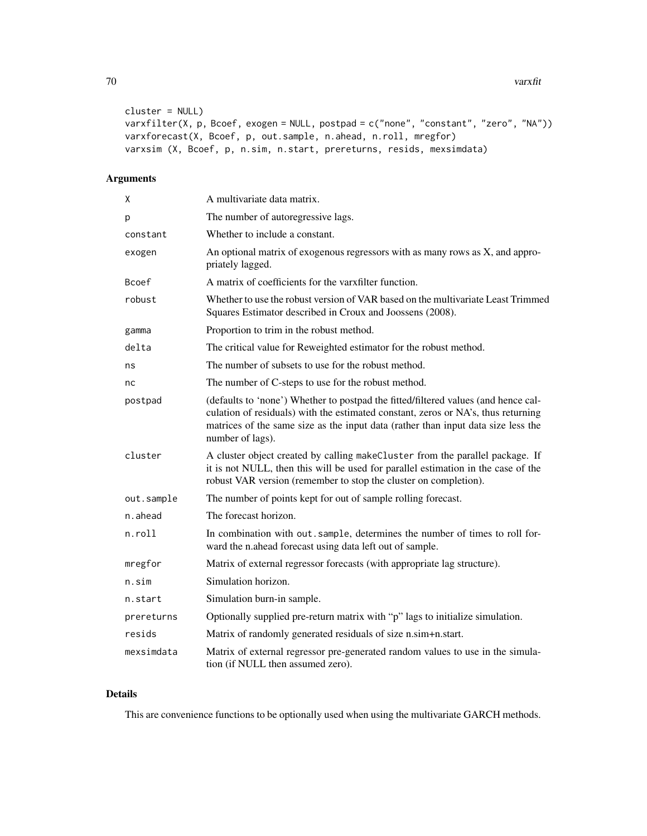```
cluster = NULL)
varxfilter(X, p, Bcoef, exogen = NULL, postpad = c("none", "constant", "zero", "NA"))
varxforecast(X, Bcoef, p, out.sample, n.ahead, n.roll, mregfor)
varxsim (X, Bcoef, p, n.sim, n.start, prereturns, resids, mexsimdata)
```
# Arguments

| χ          | A multivariate data matrix.                                                                                                                                                                                                                                                      |
|------------|----------------------------------------------------------------------------------------------------------------------------------------------------------------------------------------------------------------------------------------------------------------------------------|
| р          | The number of autoregressive lags.                                                                                                                                                                                                                                               |
| constant   | Whether to include a constant.                                                                                                                                                                                                                                                   |
| exogen     | An optional matrix of exogenous regressors with as many rows as X, and appro-<br>priately lagged.                                                                                                                                                                                |
| Bcoef      | A matrix of coefficients for the varxfilter function.                                                                                                                                                                                                                            |
| robust     | Whether to use the robust version of VAR based on the multivariate Least Trimmed<br>Squares Estimator described in Croux and Joossens (2008).                                                                                                                                    |
| gamma      | Proportion to trim in the robust method.                                                                                                                                                                                                                                         |
| delta      | The critical value for Reweighted estimator for the robust method.                                                                                                                                                                                                               |
| ns         | The number of subsets to use for the robust method.                                                                                                                                                                                                                              |
| nc         | The number of C-steps to use for the robust method.                                                                                                                                                                                                                              |
| postpad    | (defaults to 'none') Whether to postpad the fitted/filtered values (and hence cal-<br>culation of residuals) with the estimated constant, zeros or NA's, thus returning<br>matrices of the same size as the input data (rather than input data size less the<br>number of lags). |
| cluster    | A cluster object created by calling makeCluster from the parallel package. If<br>it is not NULL, then this will be used for parallel estimation in the case of the<br>robust VAR version (remember to stop the cluster on completion).                                           |
| out.sample | The number of points kept for out of sample rolling forecast.                                                                                                                                                                                                                    |
| n.ahead    | The forecast horizon.                                                                                                                                                                                                                                                            |
| n.roll     | In combination with out sample, determines the number of times to roll for-<br>ward the n.ahead forecast using data left out of sample.                                                                                                                                          |
| mregfor    | Matrix of external regressor forecasts (with appropriate lag structure).                                                                                                                                                                                                         |
| n.sim      | Simulation horizon.                                                                                                                                                                                                                                                              |
| n.start    | Simulation burn-in sample.                                                                                                                                                                                                                                                       |
| prereturns | Optionally supplied pre-return matrix with "p" lags to initialize simulation.                                                                                                                                                                                                    |
| resids     | Matrix of randomly generated residuals of size n.sim+n.start.                                                                                                                                                                                                                    |
| mexsimdata | Matrix of external regressor pre-generated random values to use in the simula-<br>tion (if NULL then assumed zero).                                                                                                                                                              |

### Details

This are convenience functions to be optionally used when using the multivariate GARCH methods.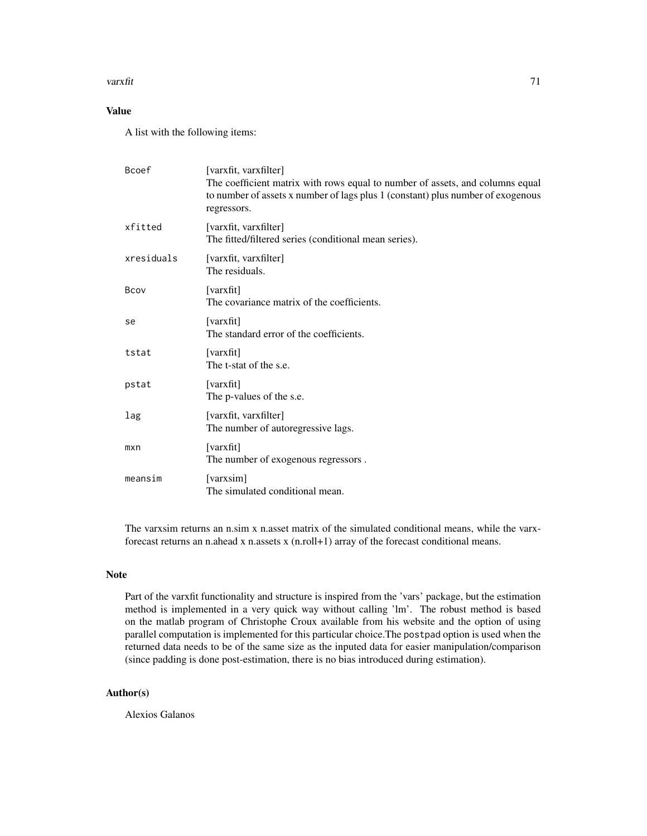#### varxfit 71

# Value

A list with the following items:

| Bcoef      | [varxfit, varxfilter]<br>The coefficient matrix with rows equal to number of assets, and columns equal<br>to number of assets x number of lags plus 1 (constant) plus number of exogenous<br>regressors. |
|------------|----------------------------------------------------------------------------------------------------------------------------------------------------------------------------------------------------------|
| xfitted    | [varxfit, varxfilter]<br>The fitted/filtered series (conditional mean series).                                                                                                                           |
| xresiduals | [varxfit, varxfilter]<br>The residuals.                                                                                                                                                                  |
| Bcov       | [varxfit]<br>The covariance matrix of the coefficients.                                                                                                                                                  |
| se         | [varxfit]<br>The standard error of the coefficients.                                                                                                                                                     |
| tstat      | [varxfit]<br>The t-stat of the s.e.                                                                                                                                                                      |
| pstat      | [varxfit]<br>The p-values of the s.e.                                                                                                                                                                    |
| lag        | [varxfit, varxfilter]<br>The number of autoregressive lags.                                                                                                                                              |
| mxn        | [varxfit]<br>The number of exogenous regressors.                                                                                                                                                         |
| meansim    | [varxsim]<br>The simulated conditional mean.                                                                                                                                                             |

The varxsim returns an n.sim x n.asset matrix of the simulated conditional means, while the varxforecast returns an n.ahead x n.assets x (n.roll+1) array of the forecast conditional means.

# Note

Part of the varxfit functionality and structure is inspired from the 'vars' package, but the estimation method is implemented in a very quick way without calling 'lm'. The robust method is based on the matlab program of Christophe Croux available from his website and the option of using parallel computation is implemented for this particular choice.The postpad option is used when the returned data needs to be of the same size as the inputed data for easier manipulation/comparison (since padding is done post-estimation, there is no bias introduced during estimation).

### Author(s)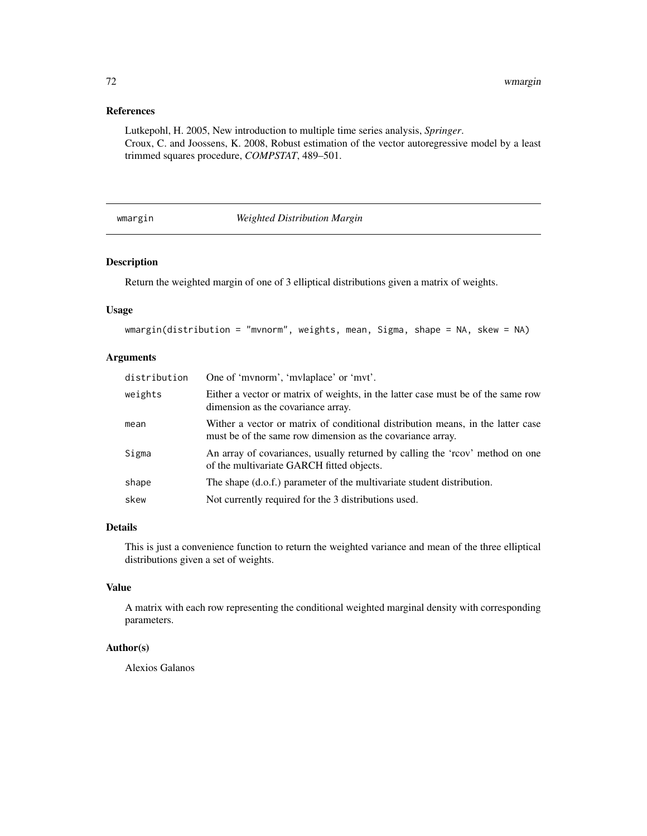# References

Lutkepohl, H. 2005, New introduction to multiple time series analysis, *Springer*. Croux, C. and Joossens, K. 2008, Robust estimation of the vector autoregressive model by a least trimmed squares procedure, *COMPSTAT*, 489–501.

### wmargin *Weighted Distribution Margin*

# Description

Return the weighted margin of one of 3 elliptical distributions given a matrix of weights.

# Usage

```
wmargin(distribution = "mvnorm", weights, mean, Sigma, shape = NA, skew = NA)
```
# Arguments

| distribution | One of 'mvnorm', 'mvlaplace' or 'mvt'.                                                                                                        |
|--------------|-----------------------------------------------------------------------------------------------------------------------------------------------|
| weights      | Either a vector or matrix of weights, in the latter case must be of the same row<br>dimension as the covariance array.                        |
| mean         | Wither a vector or matrix of conditional distribution means, in the latter case<br>must be of the same row dimension as the covariance array. |
| Sigma        | An array of covariances, usually returned by calling the 'rcov' method on one<br>of the multivariate GARCH fitted objects.                    |
| shape        | The shape (d.o.f.) parameter of the multivariate student distribution.                                                                        |
| skew         | Not currently required for the 3 distributions used.                                                                                          |

#### Details

This is just a convenience function to return the weighted variance and mean of the three elliptical distributions given a set of weights.

# Value

A matrix with each row representing the conditional weighted marginal density with corresponding parameters.

### Author(s)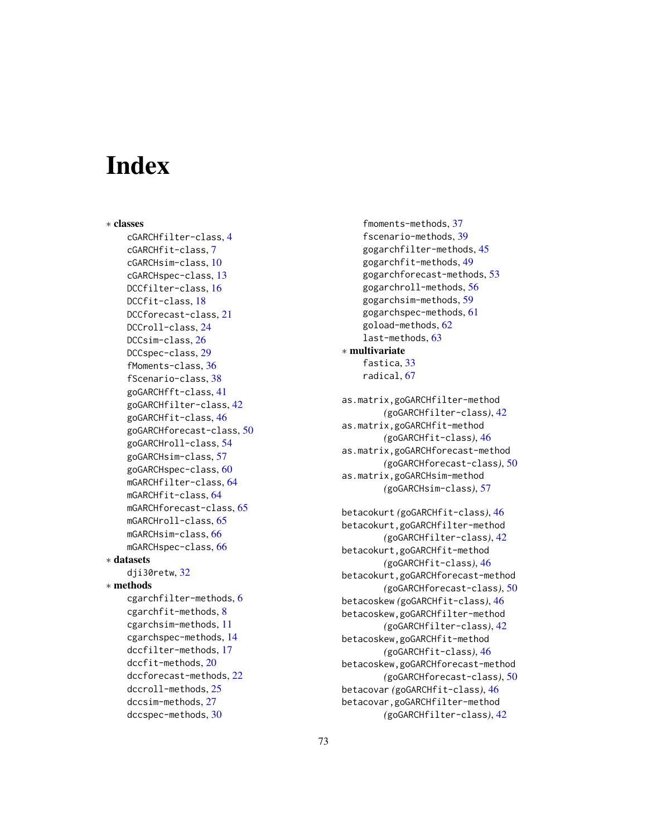# **Index**

∗ classes cGARCHfilter-class, [4](#page-3-0) cGARCHfit-class, [7](#page-6-0) cGARCHsim-class, [10](#page-9-0) cGARCHspec-class, [13](#page-12-0) DCCfilter-class, [16](#page-15-0) DCCfit-class, [18](#page-17-0) DCCforecast-class, [21](#page-20-0) DCCroll-class, [24](#page-23-0) DCCsim-class, [26](#page-25-0) DCCspec-class, [29](#page-28-0) fMoments-class, [36](#page-35-0) fScenario-class, [38](#page-37-0) goGARCHfft-class, [41](#page-40-0) goGARCHfilter-class, [42](#page-41-0) goGARCHfit-class, [46](#page-45-0) goGARCHforecast-class, [50](#page-49-0) goGARCHroll-class, [54](#page-53-0) goGARCHsim-class, [57](#page-56-0) goGARCHspec-class, [60](#page-59-0) mGARCHfilter-class, [64](#page-63-0) mGARCHfit-class, [64](#page-63-0) mGARCHforecast-class, [65](#page-64-0) mGARCHroll-class, [65](#page-64-0) mGARCHsim-class, [66](#page-65-0) mGARCHspec-class, [66](#page-65-0) ∗ datasets dji30retw, [32](#page-31-0) ∗ methods cgarchfilter-methods, [6](#page-5-0) cgarchfit-methods, [8](#page-7-0) cgarchsim-methods, [11](#page-10-0) cgarchspec-methods, [14](#page-13-0) dccfilter-methods, [17](#page-16-0) dccfit-methods, [20](#page-19-0) dccforecast-methods, [22](#page-21-0) dccroll-methods, [25](#page-24-0) dccsim-methods, [27](#page-26-0) dccspec-methods, [30](#page-29-0)

fmoments-methods, [37](#page-36-0) fscenario-methods, [39](#page-38-0) gogarchfilter-methods, [45](#page-44-0) gogarchfit-methods, [49](#page-48-0) gogarchforecast-methods, [53](#page-52-0) gogarchroll-methods, [56](#page-55-0) gogarchsim-methods, [59](#page-58-0) gogarchspec-methods, [61](#page-60-0) goload-methods, [62](#page-61-0) last-methods, [63](#page-62-0) ∗ multivariate fastica, [33](#page-32-0) radical, [67](#page-66-0) as.matrix,goGARCHfilter-method *(*goGARCHfilter-class*)*, [42](#page-41-0) as.matrix,goGARCHfit-method *(*goGARCHfit-class*)*, [46](#page-45-0) as.matrix,goGARCHforecast-method *(*goGARCHforecast-class*)*, [50](#page-49-0) as.matrix,goGARCHsim-method *(*goGARCHsim-class*)*, [57](#page-56-0) betacokurt *(*goGARCHfit-class*)*, [46](#page-45-0)

betacokurt,goGARCHfilter-method *(*goGARCHfilter-class*)*, [42](#page-41-0) betacokurt,goGARCHfit-method *(*goGARCHfit-class*)*, [46](#page-45-0) betacokurt,goGARCHforecast-method *(*goGARCHforecast-class*)*, [50](#page-49-0) betacoskew *(*goGARCHfit-class*)*, [46](#page-45-0) betacoskew,goGARCHfilter-method *(*goGARCHfilter-class*)*, [42](#page-41-0) betacoskew,goGARCHfit-method *(*goGARCHfit-class*)*, [46](#page-45-0) betacoskew,goGARCHforecast-method *(*goGARCHforecast-class*)*, [50](#page-49-0) betacovar *(*goGARCHfit-class*)*, [46](#page-45-0) betacovar,goGARCHfilter-method *(*goGARCHfilter-class*)*, [42](#page-41-0)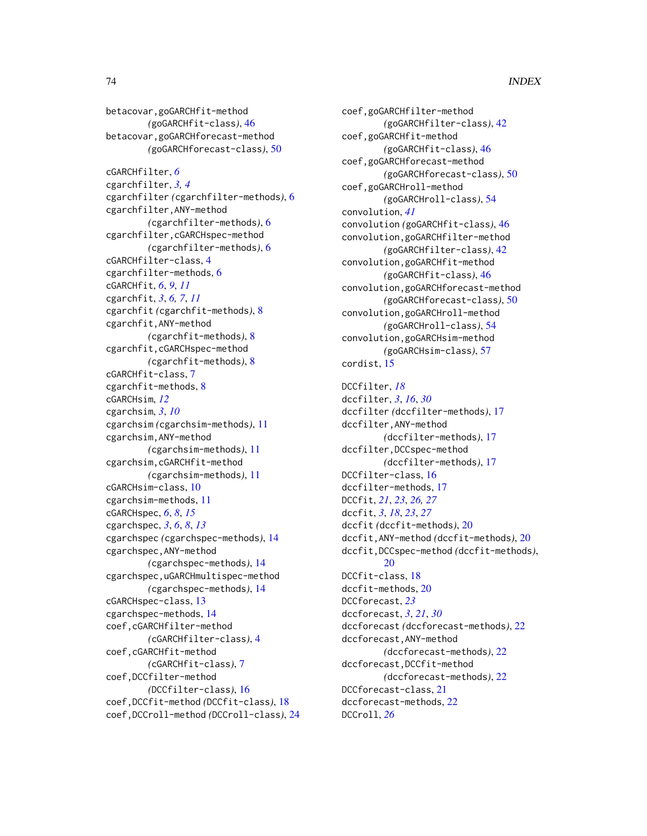betacovar,goGARCHfit-method *(*goGARCHfit-class*)*, [46](#page-45-0) betacovar,goGARCHforecast-method *(*goGARCHforecast-class*)*, [50](#page-49-0) cGARCHfilter, *[6](#page-5-0)* cgarchfilter, *[3,](#page-2-0) [4](#page-3-0)* cgarchfilter *(*cgarchfilter-methods*)*, [6](#page-5-0) cgarchfilter,ANY-method *(*cgarchfilter-methods*)*, [6](#page-5-0) cgarchfilter,cGARCHspec-method *(*cgarchfilter-methods*)*, [6](#page-5-0) cGARCHfilter-class, [4](#page-3-0) cgarchfilter-methods, [6](#page-5-0) cGARCHfit, *[6](#page-5-0)*, *[9](#page-8-0)*, *[11](#page-10-0)* cgarchfit, *[3](#page-2-0)*, *[6,](#page-5-0) [7](#page-6-0)*, *[11](#page-10-0)* cgarchfit *(*cgarchfit-methods*)*, [8](#page-7-0) cgarchfit,ANY-method *(*cgarchfit-methods*)*, [8](#page-7-0) cgarchfit, cGARCHspec-method *(*cgarchfit-methods*)*, [8](#page-7-0) cGARCHfit-class, [7](#page-6-0) cgarchfit-methods, [8](#page-7-0) cGARCHsim, *[12](#page-11-0)* cgarchsim, *[3](#page-2-0)*, *[10](#page-9-0)* cgarchsim *(*cgarchsim-methods*)*, [11](#page-10-0) cgarchsim,ANY-method *(*cgarchsim-methods*)*, [11](#page-10-0) cgarchsim,cGARCHfit-method *(*cgarchsim-methods*)*, [11](#page-10-0) cGARCHsim-class, [10](#page-9-0) cgarchsim-methods, [11](#page-10-0) cGARCHspec, *[6](#page-5-0)*, *[8](#page-7-0)*, *[15](#page-14-0)* cgarchspec, *[3](#page-2-0)*, *[6](#page-5-0)*, *[8](#page-7-0)*, *[13](#page-12-0)* cgarchspec *(*cgarchspec-methods*)*, [14](#page-13-0) cgarchspec,ANY-method *(*cgarchspec-methods*)*, [14](#page-13-0) cgarchspec,uGARCHmultispec-method *(*cgarchspec-methods*)*, [14](#page-13-0) cGARCHspec-class, [13](#page-12-0) cgarchspec-methods, [14](#page-13-0) coef,cGARCHfilter-method *(*cGARCHfilter-class*)*, [4](#page-3-0) coef,cGARCHfit-method *(*cGARCHfit-class*)*, [7](#page-6-0) coef,DCCfilter-method *(*DCCfilter-class*)*, [16](#page-15-0) coef,DCCfit-method *(*DCCfit-class*)*, [18](#page-17-0) coef,DCCroll-method *(*DCCroll-class*)*, [24](#page-23-0)

coef,goGARCHfilter-method *(*goGARCHfilter-class*)*, [42](#page-41-0) coef,goGARCHfit-method *(*goGARCHfit-class*)*, [46](#page-45-0) coef,goGARCHforecast-method *(*goGARCHforecast-class*)*, [50](#page-49-0) coef,goGARCHroll-method *(*goGARCHroll-class*)*, [54](#page-53-0) convolution, *[41](#page-40-0)* convolution *(*goGARCHfit-class*)*, [46](#page-45-0) convolution,goGARCHfilter-method *(*goGARCHfilter-class*)*, [42](#page-41-0) convolution,goGARCHfit-method *(*goGARCHfit-class*)*, [46](#page-45-0) convolution,goGARCHforecast-method *(*goGARCHforecast-class*)*, [50](#page-49-0) convolution,goGARCHroll-method *(*goGARCHroll-class*)*, [54](#page-53-0) convolution,goGARCHsim-method *(*goGARCHsim-class*)*, [57](#page-56-0) cordist, [15](#page-14-0)

DCCfilter, *[18](#page-17-0)* dccfilter, *[3](#page-2-0)*, *[16](#page-15-0)*, *[30](#page-29-0)* dccfilter *(*dccfilter-methods*)*, [17](#page-16-0) dccfilter,ANY-method *(*dccfilter-methods*)*, [17](#page-16-0) dccfilter,DCCspec-method *(*dccfilter-methods*)*, [17](#page-16-0) DCCfilter-class, [16](#page-15-0) dccfilter-methods, [17](#page-16-0) DCCfit, *[21](#page-20-0)*, *[23](#page-22-0)*, *[26,](#page-25-0) [27](#page-26-0)* dccfit, *[3](#page-2-0)*, *[18](#page-17-0)*, *[23](#page-22-0)*, *[27](#page-26-0)* dccfit *(*dccfit-methods*)*, [20](#page-19-0) dccfit,ANY-method *(*dccfit-methods*)*, [20](#page-19-0) dccfit,DCCspec-method *(*dccfit-methods*)*, [20](#page-19-0) DCCfit-class, [18](#page-17-0) dccfit-methods, [20](#page-19-0) DCCforecast, *[23](#page-22-0)* dccforecast, *[3](#page-2-0)*, *[21](#page-20-0)*, *[30](#page-29-0)* dccforecast *(*dccforecast-methods*)*, [22](#page-21-0) dccforecast,ANY-method *(*dccforecast-methods*)*, [22](#page-21-0) dccforecast,DCCfit-method *(*dccforecast-methods*)*, [22](#page-21-0) DCCforecast-class, [21](#page-20-0) dccforecast-methods, [22](#page-21-0) DCCroll, *[26](#page-25-0)*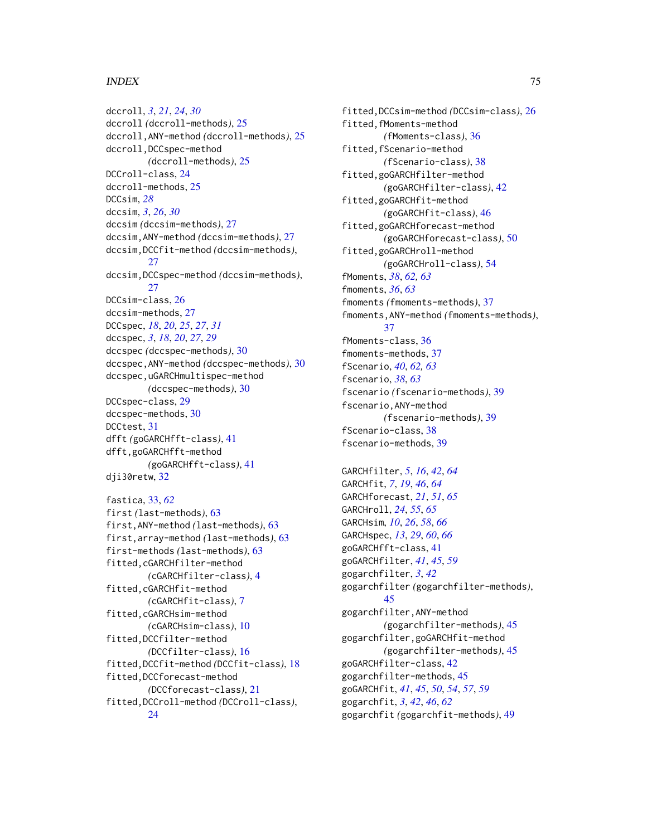dccroll, *[3](#page-2-0)*, *[21](#page-20-0)*, *[24](#page-23-0)*, *[30](#page-29-0)* dccroll *(*dccroll-methods*)*, [25](#page-24-0) dccroll,ANY-method *(*dccroll-methods*)*, [25](#page-24-0) dccroll,DCCspec-method *(*dccroll-methods*)*, [25](#page-24-0) DCCroll-class, [24](#page-23-0) dccroll-methods, [25](#page-24-0) DCCsim, *[28](#page-27-0)* dccsim, *[3](#page-2-0)*, *[26](#page-25-0)*, *[30](#page-29-0)* dccsim *(*dccsim-methods*)*, [27](#page-26-0) dccsim,ANY-method *(*dccsim-methods*)*, [27](#page-26-0) dccsim,DCCfit-method *(*dccsim-methods*)*, [27](#page-26-0) dccsim,DCCspec-method *(*dccsim-methods*)*, [27](#page-26-0) DCCsim-class, [26](#page-25-0) dccsim-methods, [27](#page-26-0) DCCspec, *[18](#page-17-0)*, *[20](#page-19-0)*, *[25](#page-24-0)*, *[27](#page-26-0)*, *[31](#page-30-0)* dccspec, *[3](#page-2-0)*, *[18](#page-17-0)*, *[20](#page-19-0)*, *[27](#page-26-0)*, *[29](#page-28-0)* dccspec *(*dccspec-methods*)*, [30](#page-29-0) dccspec,ANY-method *(*dccspec-methods*)*, [30](#page-29-0) dccspec,uGARCHmultispec-method *(*dccspec-methods*)*, [30](#page-29-0) DCCspec-class, [29](#page-28-0) dccspec-methods, [30](#page-29-0) DCCtest, [31](#page-30-0) dfft *(*goGARCHfft-class*)*, [41](#page-40-0) dfft,goGARCHfft-method *(*goGARCHfft-class*)*, [41](#page-40-0) dji30retw, [32](#page-31-0)

```
fastica, 33, 62
first (last-methods), 63
first,ANY-method (last-methods), 63
first,array-method (last-methods), 63
first-methods (last-methods), 63
fitted,cGARCHfilter-method
        (cGARCHfilter-class), 4
fitted,cGARCHfit-method
        (cGARCHfit-class), 7
fitted,cGARCHsim-method
        (cGARCHsim-class), 10
fitted,DCCfilter-method
        (DCCfilter-class), 16
fitted,DCCfit-method (DCCfit-class), 18
fitted,DCCforecast-method
        (DCCforecast-class), 21
fitted,DCCroll-method (DCCroll-class),
        24
```
fitted,DCCsim-method *(*DCCsim-class*)*, [26](#page-25-0) fitted,fMoments-method *(*fMoments-class*)*, [36](#page-35-0) fitted,fScenario-method *(*fScenario-class*)*, [38](#page-37-0) fitted,goGARCHfilter-method *(*goGARCHfilter-class*)*, [42](#page-41-0) fitted,goGARCHfit-method *(*goGARCHfit-class*)*, [46](#page-45-0) fitted,goGARCHforecast-method *(*goGARCHforecast-class*)*, [50](#page-49-0) fitted,goGARCHroll-method *(*goGARCHroll-class*)*, [54](#page-53-0) fMoments, *[38](#page-37-0)*, *[62,](#page-61-0) [63](#page-62-0)* fmoments, *[36](#page-35-0)*, *[63](#page-62-0)* fmoments *(*fmoments-methods*)*, [37](#page-36-0) fmoments,ANY-method *(*fmoments-methods*)*, [37](#page-36-0) fMoments-class, [36](#page-35-0) fmoments-methods, [37](#page-36-0) fScenario, *[40](#page-39-0)*, *[62,](#page-61-0) [63](#page-62-0)* fscenario, *[38](#page-37-0)*, *[63](#page-62-0)* fscenario *(*fscenario-methods*)*, [39](#page-38-0) fscenario,ANY-method *(*fscenario-methods*)*, [39](#page-38-0) fScenario-class, [38](#page-37-0) fscenario-methods, [39](#page-38-0)

GARCHfilter, *[5](#page-4-0)*, *[16](#page-15-0)*, *[42](#page-41-0)*, *[64](#page-63-0)* GARCHfit, *[7](#page-6-0)*, *[19](#page-18-0)*, *[46](#page-45-0)*, *[64](#page-63-0)* GARCHforecast, *[21](#page-20-0)*, *[51](#page-50-0)*, *[65](#page-64-0)* GARCHroll, *[24](#page-23-0)*, *[55](#page-54-0)*, *[65](#page-64-0)* GARCHsim, *[10](#page-9-0)*, *[26](#page-25-0)*, *[58](#page-57-0)*, *[66](#page-65-0)* GARCHspec, *[13](#page-12-0)*, *[29](#page-28-0)*, *[60](#page-59-0)*, *[66](#page-65-0)* goGARCHfft-class, [41](#page-40-0) goGARCHfilter, *[41](#page-40-0)*, *[45](#page-44-0)*, *[59](#page-58-0)* gogarchfilter, *[3](#page-2-0)*, *[42](#page-41-0)* gogarchfilter *(*gogarchfilter-methods*)*, [45](#page-44-0) gogarchfilter,ANY-method *(*gogarchfilter-methods*)*, [45](#page-44-0) gogarchfilter,goGARCHfit-method *(*gogarchfilter-methods*)*, [45](#page-44-0) goGARCHfilter-class, [42](#page-41-0) gogarchfilter-methods, [45](#page-44-0) goGARCHfit, *[41](#page-40-0)*, *[45](#page-44-0)*, *[50](#page-49-0)*, *[54](#page-53-0)*, *[57](#page-56-0)*, *[59](#page-58-0)* gogarchfit, *[3](#page-2-0)*, *[42](#page-41-0)*, *[46](#page-45-0)*, *[62](#page-61-0)* gogarchfit *(*gogarchfit-methods*)*, [49](#page-48-0)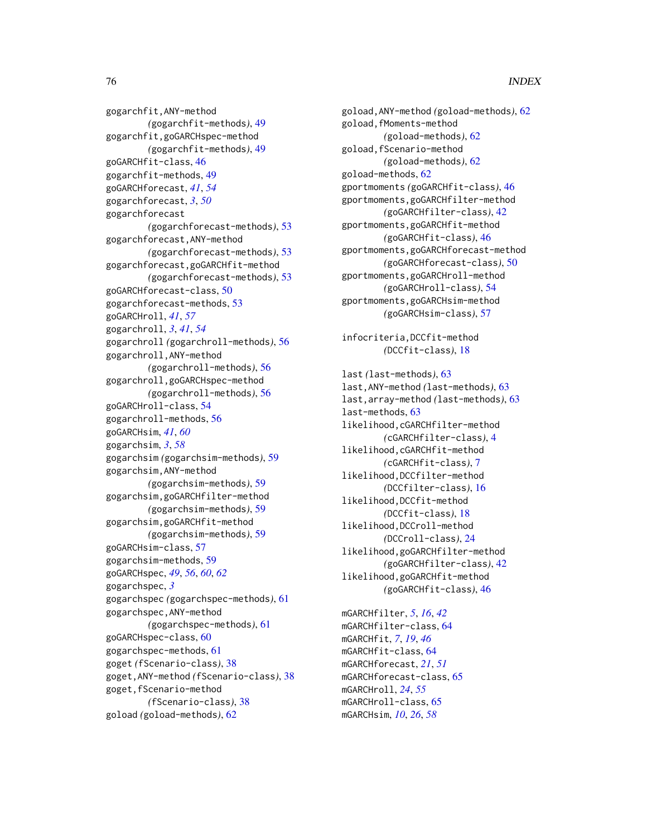gogarchfit,ANY-method *(*gogarchfit-methods*)*, [49](#page-48-0) gogarchfit,goGARCHspec-method *(*gogarchfit-methods*)*, [49](#page-48-0) goGARCHfit-class, [46](#page-45-0) gogarchfit-methods, [49](#page-48-0) goGARCHforecast, *[41](#page-40-0)*, *[54](#page-53-0)* gogarchforecast, *[3](#page-2-0)*, *[50](#page-49-0)* gogarchforecast *(*gogarchforecast-methods*)*, [53](#page-52-0) gogarchforecast,ANY-method *(*gogarchforecast-methods*)*, [53](#page-52-0) gogarchforecast,goGARCHfit-method *(*gogarchforecast-methods*)*, [53](#page-52-0) goGARCHforecast-class, [50](#page-49-0) gogarchforecast-methods, [53](#page-52-0) goGARCHroll, *[41](#page-40-0)*, *[57](#page-56-0)* gogarchroll, *[3](#page-2-0)*, *[41](#page-40-0)*, *[54](#page-53-0)* gogarchroll *(*gogarchroll-methods*)*, [56](#page-55-0) gogarchroll,ANY-method *(*gogarchroll-methods*)*, [56](#page-55-0) gogarchroll,goGARCHspec-method *(*gogarchroll-methods*)*, [56](#page-55-0) goGARCHroll-class, [54](#page-53-0) gogarchroll-methods, [56](#page-55-0) goGARCHsim, *[41](#page-40-0)*, *[60](#page-59-0)* gogarchsim, *[3](#page-2-0)*, *[58](#page-57-0)* gogarchsim *(*gogarchsim-methods*)*, [59](#page-58-0) gogarchsim,ANY-method *(*gogarchsim-methods*)*, [59](#page-58-0) gogarchsim,goGARCHfilter-method *(*gogarchsim-methods*)*, [59](#page-58-0) gogarchsim,goGARCHfit-method *(*gogarchsim-methods*)*, [59](#page-58-0) goGARCHsim-class, [57](#page-56-0) gogarchsim-methods, [59](#page-58-0) goGARCHspec, *[49](#page-48-0)*, *[56](#page-55-0)*, *[60](#page-59-0)*, *[62](#page-61-0)* gogarchspec, *[3](#page-2-0)* gogarchspec *(*gogarchspec-methods*)*, [61](#page-60-0) gogarchspec,ANY-method *(*gogarchspec-methods*)*, [61](#page-60-0) goGARCHspec-class, [60](#page-59-0) gogarchspec-methods, [61](#page-60-0) goget *(*fScenario-class*)*, [38](#page-37-0) goget,ANY-method *(*fScenario-class*)*, [38](#page-37-0) goget,fScenario-method *(*fScenario-class*)*, [38](#page-37-0) goload *(*goload-methods*)*, [62](#page-61-0)

goload,ANY-method *(*goload-methods*)*, [62](#page-61-0) goload,fMoments-method *(*goload-methods*)*, [62](#page-61-0) goload,fScenario-method *(*goload-methods*)*, [62](#page-61-0) goload-methods, [62](#page-61-0) gportmoments *(*goGARCHfit-class*)*, [46](#page-45-0) gportmoments,goGARCHfilter-method *(*goGARCHfilter-class*)*, [42](#page-41-0) gportmoments,goGARCHfit-method *(*goGARCHfit-class*)*, [46](#page-45-0) gportmoments,goGARCHforecast-method *(*goGARCHforecast-class*)*, [50](#page-49-0) gportmoments,goGARCHroll-method *(*goGARCHroll-class*)*, [54](#page-53-0) gportmoments,goGARCHsim-method *(*goGARCHsim-class*)*, [57](#page-56-0) infocriteria,DCCfit-method *(*DCCfit-class*)*, [18](#page-17-0) last *(*last-methods*)*, [63](#page-62-0) last,ANY-method *(*last-methods*)*, [63](#page-62-0) last,array-method *(*last-methods*)*, [63](#page-62-0) last-methods, [63](#page-62-0) likelihood,cGARCHfilter-method *(*cGARCHfilter-class*)*, [4](#page-3-0) likelihood,cGARCHfit-method *(*cGARCHfit-class*)*, [7](#page-6-0) likelihood,DCCfilter-method *(*DCCfilter-class*)*, [16](#page-15-0) likelihood,DCCfit-method *(*DCCfit-class*)*, [18](#page-17-0)

likelihood,DCCroll-method *(*DCCroll-class*)*, [24](#page-23-0) likelihood,goGARCHfilter-method *(*goGARCHfilter-class*)*, [42](#page-41-0) likelihood,goGARCHfit-method *(*goGARCHfit-class*)*, [46](#page-45-0)

mGARCHfilter, *[5](#page-4-0)*, *[16](#page-15-0)*, *[42](#page-41-0)* mGARCHfilter-class, [64](#page-63-0) mGARCHfit, *[7](#page-6-0)*, *[19](#page-18-0)*, *[46](#page-45-0)* mGARCHfit-class, [64](#page-63-0) mGARCHforecast, *[21](#page-20-0)*, *[51](#page-50-0)* mGARCHforecast-class, [65](#page-64-0) mGARCHroll, *[24](#page-23-0)*, *[55](#page-54-0)* mGARCHroll-class, [65](#page-64-0) mGARCHsim, *[10](#page-9-0)*, *[26](#page-25-0)*, *[58](#page-57-0)*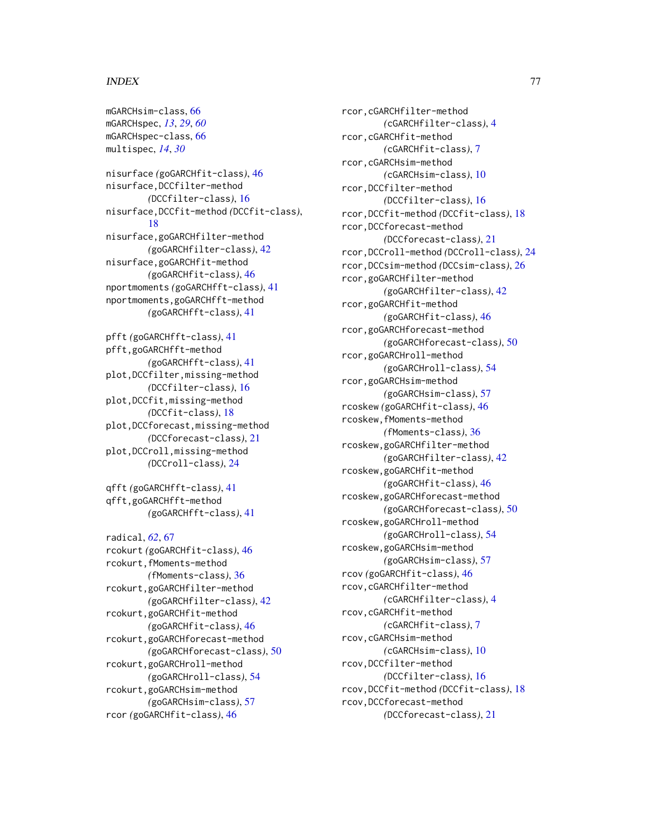mGARCHsim-class, [66](#page-65-0) mGARCHspec, *[13](#page-12-0)*, *[29](#page-28-0)*, *[60](#page-59-0)* mGARCHspec-class, [66](#page-65-0) multispec, *[14](#page-13-0)*, *[30](#page-29-0)* nisurface *(*goGARCHfit-class*)*, [46](#page-45-0) nisurface,DCCfilter-method *(*DCCfilter-class*)*, [16](#page-15-0) nisurface,DCCfit-method *(*DCCfit-class*)*, [18](#page-17-0) nisurface,goGARCHfilter-method *(*goGARCHfilter-class*)*, [42](#page-41-0) nisurface,goGARCHfit-method *(*goGARCHfit-class*)*, [46](#page-45-0) nportmoments *(*goGARCHfft-class*)*, [41](#page-40-0) nportmoments,goGARCHfft-method *(*goGARCHfft-class*)*, [41](#page-40-0) pfft *(*goGARCHfft-class*)*, [41](#page-40-0) pfft,goGARCHfft-method *(*goGARCHfft-class*)*, [41](#page-40-0) plot,DCCfilter,missing-method *(*DCCfilter-class*)*, [16](#page-15-0) plot,DCCfit,missing-method *(*DCCfit-class*)*, [18](#page-17-0) plot,DCCforecast,missing-method *(*DCCforecast-class*)*, [21](#page-20-0) plot,DCCroll,missing-method *(*DCCroll-class*)*, [24](#page-23-0) qfft *(*goGARCHfft-class*)*, [41](#page-40-0) qfft,goGARCHfft-method

```
radical, 62, 67
rcokurt (goGARCHfit-class), 46
rcokurt,fMoments-method
        (fMoments-class), 36
rcokurt,goGARCHfilter-method
        (goGARCHfilter-class), 42
rcokurt,goGARCHfit-method
        (goGARCHfit-class), 46
rcokurt,goGARCHforecast-method
        (goGARCHforecast-class), 50
rcokurt,goGARCHroll-method
        (goGARCHroll-class), 54
rcokurt,goGARCHsim-method
        (goGARCHsim-class), 57
rcor (goGARCHfit-class), 46
```
*(*goGARCHfft-class*)*, [41](#page-40-0)

rcor,cGARCHfilter-method *(*cGARCHfilter-class*)*, [4](#page-3-0) rcor,cGARCHfit-method *(*cGARCHfit-class*)*, [7](#page-6-0) rcor,cGARCHsim-method *(*cGARCHsim-class*)*, [10](#page-9-0) rcor,DCCfilter-method *(*DCCfilter-class*)*, [16](#page-15-0) rcor,DCCfit-method *(*DCCfit-class*)*, [18](#page-17-0) rcor,DCCforecast-method *(*DCCforecast-class*)*, [21](#page-20-0) rcor,DCCroll-method *(*DCCroll-class*)*, [24](#page-23-0) rcor,DCCsim-method *(*DCCsim-class*)*, [26](#page-25-0) rcor,goGARCHfilter-method *(*goGARCHfilter-class*)*, [42](#page-41-0) rcor,goGARCHfit-method *(*goGARCHfit-class*)*, [46](#page-45-0) rcor,goGARCHforecast-method *(*goGARCHforecast-class*)*, [50](#page-49-0) rcor,goGARCHroll-method *(*goGARCHroll-class*)*, [54](#page-53-0) rcor,goGARCHsim-method *(*goGARCHsim-class*)*, [57](#page-56-0) rcoskew *(*goGARCHfit-class*)*, [46](#page-45-0) rcoskew,fMoments-method *(*fMoments-class*)*, [36](#page-35-0) rcoskew,goGARCHfilter-method *(*goGARCHfilter-class*)*, [42](#page-41-0) rcoskew,goGARCHfit-method *(*goGARCHfit-class*)*, [46](#page-45-0) rcoskew,goGARCHforecast-method *(*goGARCHforecast-class*)*, [50](#page-49-0) rcoskew,goGARCHroll-method *(*goGARCHroll-class*)*, [54](#page-53-0) rcoskew,goGARCHsim-method *(*goGARCHsim-class*)*, [57](#page-56-0) rcov *(*goGARCHfit-class*)*, [46](#page-45-0) rcov,cGARCHfilter-method *(*cGARCHfilter-class*)*, [4](#page-3-0) rcov,cGARCHfit-method *(*cGARCHfit-class*)*, [7](#page-6-0) rcov,cGARCHsim-method *(*cGARCHsim-class*)*, [10](#page-9-0) rcov,DCCfilter-method *(*DCCfilter-class*)*, [16](#page-15-0) rcov,DCCfit-method *(*DCCfit-class*)*, [18](#page-17-0) rcov,DCCforecast-method *(*DCCforecast-class*)*, [21](#page-20-0)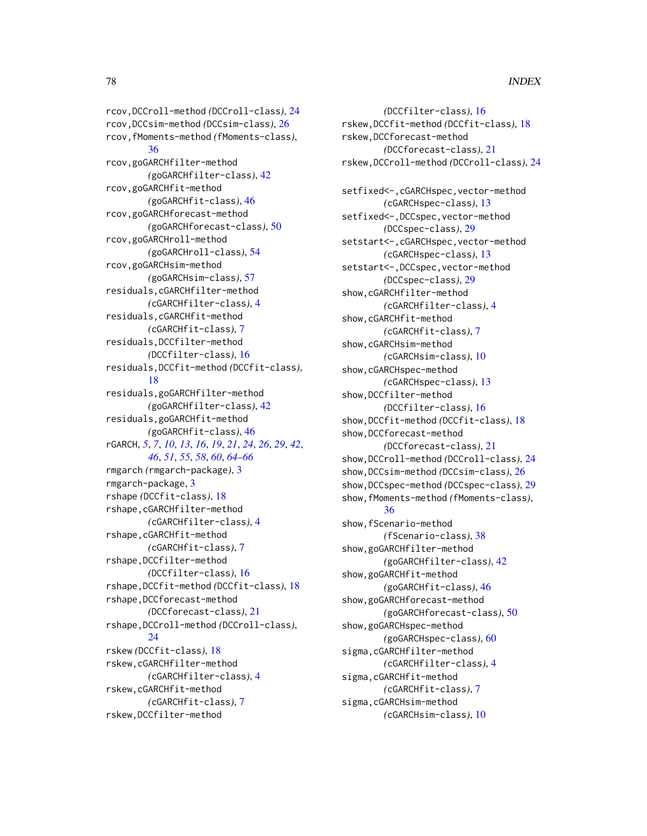rcov,DCCroll-method *(*DCCroll-class*)*, [24](#page-23-0) rcov,DCCsim-method *(*DCCsim-class*)*, [26](#page-25-0) rcov,fMoments-method *(*fMoments-class*)*, [36](#page-35-0) rcov,goGARCHfilter-method *(*goGARCHfilter-class*)*, [42](#page-41-0) rcov,goGARCHfit-method *(*goGARCHfit-class*)*, [46](#page-45-0) rcov,goGARCHforecast-method *(*goGARCHforecast-class*)*, [50](#page-49-0) rcov,goGARCHroll-method *(*goGARCHroll-class*)*, [54](#page-53-0) rcov,goGARCHsim-method *(*goGARCHsim-class*)*, [57](#page-56-0) residuals,cGARCHfilter-method *(*cGARCHfilter-class*)*, [4](#page-3-0) residuals,cGARCHfit-method *(*cGARCHfit-class*)*, [7](#page-6-0) residuals,DCCfilter-method *(*DCCfilter-class*)*, [16](#page-15-0) residuals,DCCfit-method *(*DCCfit-class*)*, [18](#page-17-0) residuals,goGARCHfilter-method *(*goGARCHfilter-class*)*, [42](#page-41-0) residuals,goGARCHfit-method *(*goGARCHfit-class*)*, [46](#page-45-0) rGARCH, *[5](#page-4-0)*, *[7](#page-6-0)*, *[10](#page-9-0)*, *[13](#page-12-0)*, *[16](#page-15-0)*, *[19](#page-18-0)*, *[21](#page-20-0)*, *[24](#page-23-0)*, *[26](#page-25-0)*, *[29](#page-28-0)*, *[42](#page-41-0)*, *[46](#page-45-0)*, *[51](#page-50-0)*, *[55](#page-54-0)*, *[58](#page-57-0)*, *[60](#page-59-0)*, *[64–](#page-63-0)[66](#page-65-0)* rmgarch *(*rmgarch-package*)*, [3](#page-2-0) rmgarch-package, [3](#page-2-0) rshape *(*DCCfit-class*)*, [18](#page-17-0) rshape,cGARCHfilter-method *(*cGARCHfilter-class*)*, [4](#page-3-0) rshape,cGARCHfit-method *(*cGARCHfit-class*)*, [7](#page-6-0) rshape,DCCfilter-method *(*DCCfilter-class*)*, [16](#page-15-0) rshape,DCCfit-method *(*DCCfit-class*)*, [18](#page-17-0) rshape,DCCforecast-method *(*DCCforecast-class*)*, [21](#page-20-0) rshape,DCCroll-method *(*DCCroll-class*)*,  $24$ rskew *(*DCCfit-class*)*, [18](#page-17-0) rskew,cGARCHfilter-method *(*cGARCHfilter-class*)*, [4](#page-3-0) rskew,cGARCHfit-method *(*cGARCHfit-class*)*, [7](#page-6-0) rskew,DCCfilter-method

*(*DCCfilter-class*)*, [16](#page-15-0) rskew,DCCfit-method *(*DCCfit-class*)*, [18](#page-17-0) rskew,DCCforecast-method *(*DCCforecast-class*)*, [21](#page-20-0) rskew,DCCroll-method *(*DCCroll-class*)*, [24](#page-23-0) setfixed<-,cGARCHspec,vector-method *(*cGARCHspec-class*)*, [13](#page-12-0) setfixed<-,DCCspec,vector-method *(*DCCspec-class*)*, [29](#page-28-0) setstart<-, cGARCHspec, vector-method *(*cGARCHspec-class*)*, [13](#page-12-0) setstart<-,DCCspec,vector-method *(*DCCspec-class*)*, [29](#page-28-0) show,cGARCHfilter-method *(*cGARCHfilter-class*)*, [4](#page-3-0) show,cGARCHfit-method *(*cGARCHfit-class*)*, [7](#page-6-0) show,cGARCHsim-method *(*cGARCHsim-class*)*, [10](#page-9-0) show,cGARCHspec-method *(*cGARCHspec-class*)*, [13](#page-12-0) show,DCCfilter-method *(*DCCfilter-class*)*, [16](#page-15-0) show,DCCfit-method *(*DCCfit-class*)*, [18](#page-17-0) show,DCCforecast-method *(*DCCforecast-class*)*, [21](#page-20-0) show,DCCroll-method *(*DCCroll-class*)*, [24](#page-23-0) show,DCCsim-method *(*DCCsim-class*)*, [26](#page-25-0) show,DCCspec-method *(*DCCspec-class*)*, [29](#page-28-0) show,fMoments-method *(*fMoments-class*)*, [36](#page-35-0) show,fScenario-method *(*fScenario-class*)*, [38](#page-37-0) show,goGARCHfilter-method *(*goGARCHfilter-class*)*, [42](#page-41-0) show,goGARCHfit-method *(*goGARCHfit-class*)*, [46](#page-45-0) show,goGARCHforecast-method *(*goGARCHforecast-class*)*, [50](#page-49-0) show,goGARCHspec-method *(*goGARCHspec-class*)*, [60](#page-59-0) sigma,cGARCHfilter-method *(*cGARCHfilter-class*)*, [4](#page-3-0) sigma,cGARCHfit-method *(*cGARCHfit-class*)*, [7](#page-6-0) sigma,cGARCHsim-method *(*cGARCHsim-class*)*, [10](#page-9-0)